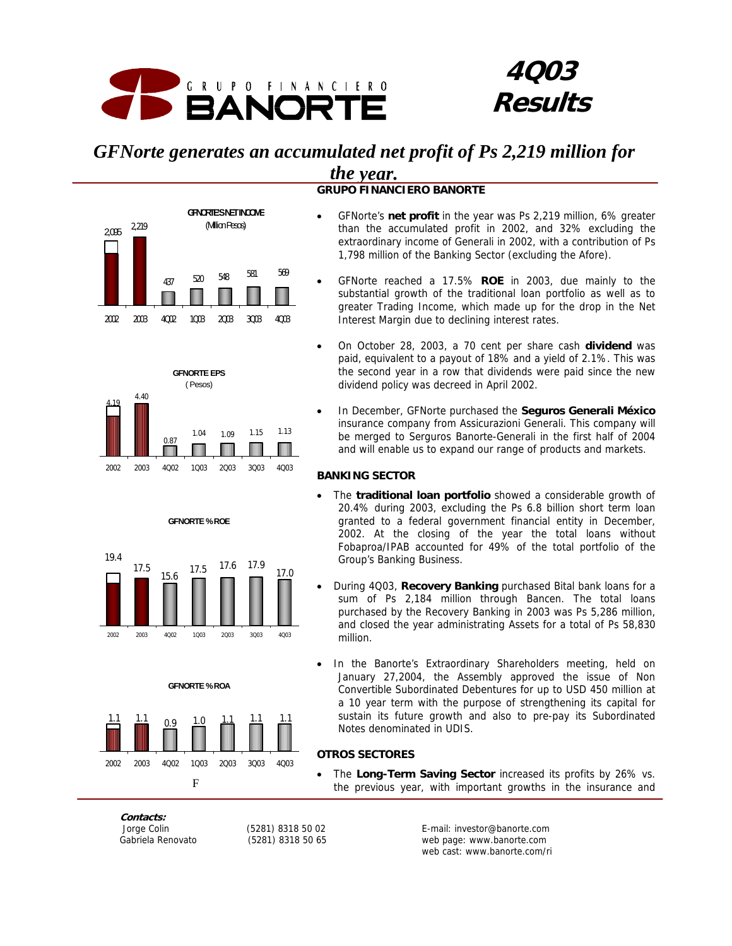

## **4Q03 Results**

## *GFNorte generates an accumulated net profit of Ps 2,219 million for the year.*

**GRUPO FINANCIERO BANORTE**



**GFNORTE EPS** ( Pesos)

2002 2003 4Q02 1Q03 2Q03 3Q03 4Q03

**GFNORTE % ROE**

2002 2003 4Q02 1Q03 2Q03 3Q03 4Q03

**GFNORTE % ROA**

 $\frac{1.1}{2}$   $\frac{1.1}{2}$   $\frac{0.9}{2}$   $\frac{1.0}{2}$   $\frac{1.1}{1.1}$   $\frac{1.1}{1.1}$ 

2002 2003 4Q02 1Q03 2Q03 3Q03 4Q03

 $15.6$   $17.5$   $17.6$   $17.9$ 

0.87

4.40

17.5

4.19

19.4

1.04 1.09 1.15 1.13



- than the accumulated profit in 2002, and 32% excluding the extraordinary income of Generali in 2002, with a contribution of Ps 1,798 million of the Banking Sector (excluding the Afore).
- GFNorte reached a 17.5% **ROE** in 2003, due mainly to the substantial growth of the traditional loan portfolio as well as to greater Trading Income, which made up for the drop in the Net Interest Margin due to declining interest rates.
- On October 28, 2003, a 70 cent per share cash **dividend** was paid, equivalent to a payout of 18% and a yield of 2.1%. This was the second year in a row that dividends were paid since the new dividend policy was decreed in April 2002.
- In December, GFNorte purchased the **Seguros Generali México** insurance company from Assicurazioni Generali. This company will be merged to Serguros Banorte-Generali in the first half of 2004 and will enable us to expand our range of products and markets.

#### **BANKING SECTOR**

- The **traditional loan portfolio** showed a considerable growth of 20.4% during 2003, excluding the Ps 6.8 billion short term loan granted to a federal government financial entity in December, 2002. At the closing of the year the total loans without Fobaproa/IPAB accounted for 49% of the total portfolio of the Group's Banking Business.
- During 4Q03, **Recovery Banking** purchased Bital bank loans for a sum of Ps 2,184 million through Bancen. The total loans purchased by the Recovery Banking in 2003 was Ps 5,286 million, and closed the year administrating Assets for a total of Ps 58,830 million.
- In the Banorte's Extraordinary Shareholders meeting, held on January 27,2004, the Assembly approved the issue of Non Convertible Subordinated Debentures for up to USD 450 million at a 10 year term with the purpose of strengthening its capital for sustain its future growth and also to pre-pay its Subordinated Notes denominated in UDIS.

#### **OTROS SECTORES**

• The **Long-Term Saving Sector** increased its profits by 26% vs. the previous year, with important growths in the insurance and

**Contacts:** 

**F** 

17.0

п

 Jorge Colin (5281) 8318 50 02 E-mail: investor@banorte.com Gabriela Renovato (5281) 8318 50 65 web page: www.banorte.com web cast: www.banorte.com/ri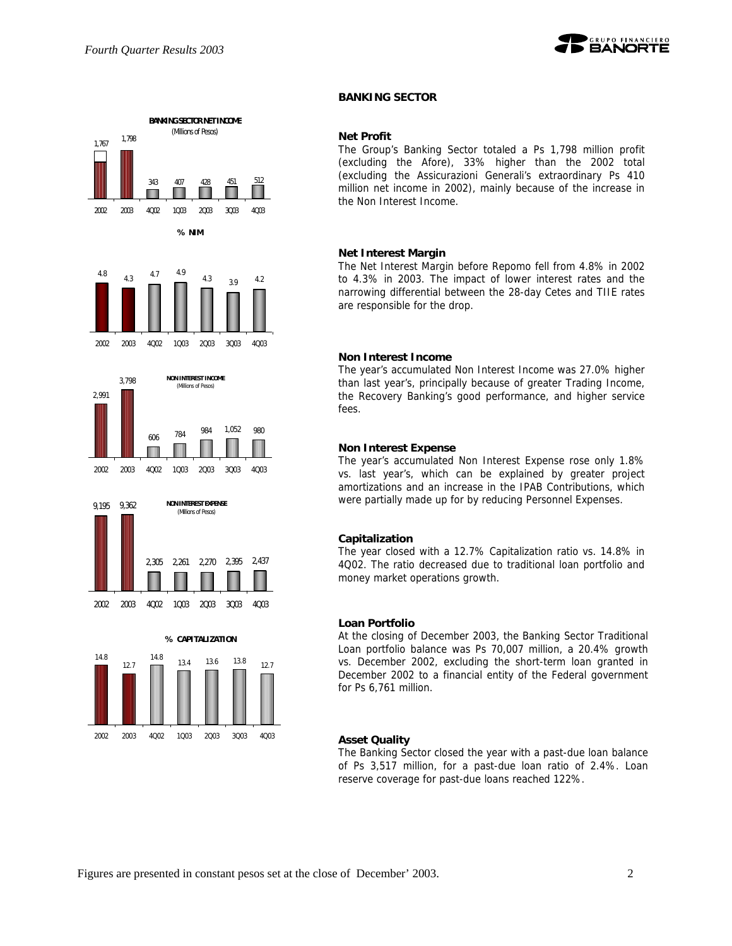



#### **BANKING SECTOR**

#### **Net Profit**

The Group's Banking Sector totaled a Ps 1,798 million profit (excluding the Afore), 33% higher than the 2002 total (excluding the Assicurazioni Generali's extraordinary Ps 410 million net income in 2002), mainly because of the increase in the Non Interest Income.

#### **Net Interest Margin**

The Net Interest Margin before Repomo fell from 4.8% in 2002 to 4.3% in 2003. The impact of lower interest rates and the narrowing differential between the 28-day Cetes and TIIE rates are responsible for the drop.

#### **Non Interest Income**

The year's accumulated Non Interest Income was 27.0% higher than last year's, principally because of greater Trading Income, the Recovery Banking's good performance, and higher service fees.

#### **Non Interest Expense**

The year's accumulated Non Interest Expense rose only 1.8% vs. last year's, which can be explained by greater project amortizations and an increase in the IPAB Contributions, which were partially made up for by reducing Personnel Expenses.

#### **Capitalization**

The year closed with a 12.7% Capitalization ratio vs. 14.8% in 4Q02. The ratio decreased due to traditional loan portfolio and money market operations growth.

#### **Loan Portfolio**

At the closing of December 2003, the Banking Sector Traditional Loan portfolio balance was Ps 70,007 million, a 20.4% growth vs. December 2002, excluding the short-term loan granted in December 2002 to a financial entity of the Federal government for Ps 6,761 million.

#### **Asset Quality**

The Banking Sector closed the year with a past-due loan balance of Ps 3,517 million, for a past-due loan ratio of 2.4%. Loan reserve coverage for past-due loans reached 122%.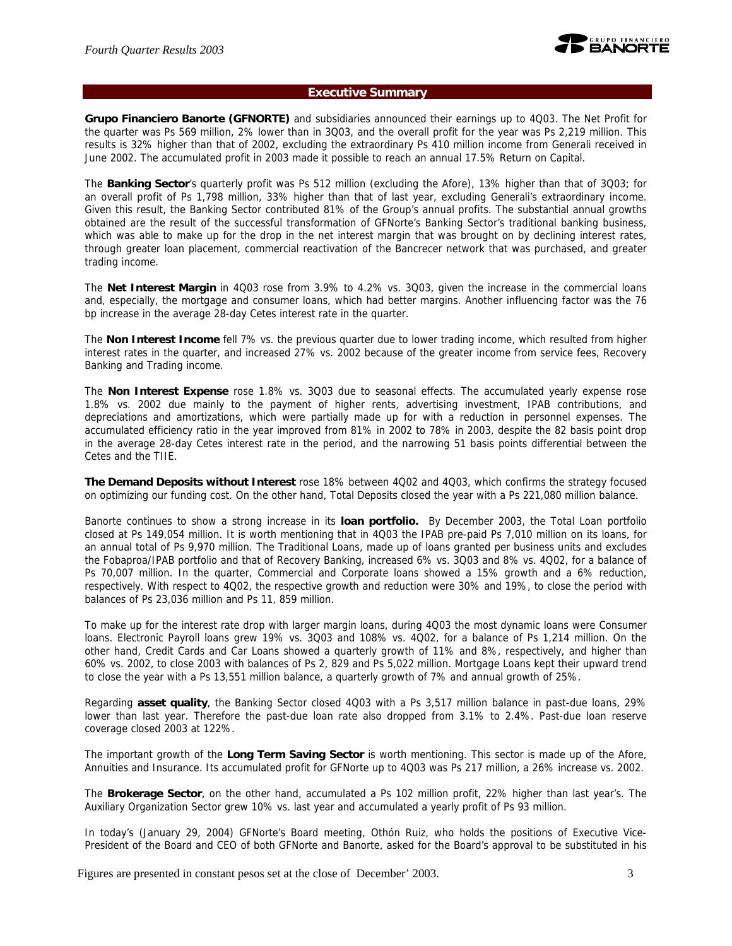

#### **Executive Summary**

**Grupo Financiero Banorte (GFNORTE)** and subsidiaries announced their earnings up to 4Q03. The Net Profit for the quarter was Ps 569 million, 2% lower than in 3Q03, and the overall profit for the year was Ps 2,219 million. This results is 32% higher than that of 2002, excluding the extraordinary Ps 410 million income from Generali received in June 2002. The accumulated profit in 2003 made it possible to reach an annual 17.5% Return on Capital.

The **Banking Sector**'s quarterly profit was Ps 512 million (excluding the Afore), 13% higher than that of 3Q03; for an overall profit of Ps 1,798 million, 33% higher than that of last year, excluding Generali's extraordinary income. Given this result, the Banking Sector contributed 81% of the Group's annual profits. The substantial annual growths obtained are the result of the successful transformation of GFNorte's Banking Sector's traditional banking business, which was able to make up for the drop in the net interest margin that was brought on by declining interest rates, through greater loan placement, commercial reactivation of the Bancrecer network that was purchased, and greater trading income.

The **Net Interest Margin** in 4Q03 rose from 3.9% to 4.2% vs. 3Q03, given the increase in the commercial loans and, especially, the mortgage and consumer loans, which had better margins. Another influencing factor was the 76 bp increase in the average 28-day Cetes interest rate in the quarter.

The **Non Interest Income** fell 7% vs. the previous quarter due to lower trading income, which resulted from higher interest rates in the quarter, and increased 27% vs. 2002 because of the greater income from service fees, Recovery Banking and Trading income.

The **Non Interest Expense** rose 1.8% vs. 3Q03 due to seasonal effects. The accumulated yearly expense rose 1.8% vs. 2002 due mainly to the payment of higher rents, advertising investment, IPAB contributions, and depreciations and amortizations, which were partially made up for with a reduction in personnel expenses. The accumulated efficiency ratio in the year improved from 81% in 2002 to 78% in 2003, despite the 82 basis point drop in the average 28-day Cetes interest rate in the period, and the narrowing 51 basis points differential between the Cetes and the TIIE.

**The Demand Deposits without Interest** rose 18% between 4Q02 and 4Q03, which confirms the strategy focused on optimizing our funding cost. On the other hand, Total Deposits closed the year with a Ps 221,080 million balance.

Banorte continues to show a strong increase in its **loan portfolio.** By December 2003, the Total Loan portfolio closed at Ps 149,054 million. It is worth mentioning that in 4Q03 the IPAB pre-paid Ps 7,010 million on its loans, for an annual total of Ps 9,970 million. The Traditional Loans, made up of loans granted per business units and excludes the Fobaproa/IPAB portfolio and that of Recovery Banking, increased 6% vs. 3Q03 and 8% vs. 4Q02, for a balance of Ps 70,007 million. In the quarter, Commercial and Corporate loans showed a 15% growth and a 6% reduction, respectively. With respect to 4Q02, the respective growth and reduction were 30% and 19%, to close the period with balances of Ps 23,036 million and Ps 11, 859 million.

To make up for the interest rate drop with larger margin loans, during 4Q03 the most dynamic loans were Consumer loans. Electronic Payroll loans grew 19% vs. 3Q03 and 108% vs. 4Q02, for a balance of Ps 1,214 million. On the other hand, Credit Cards and Car Loans showed a quarterly growth of 11% and 8%, respectively, and higher than 60% vs. 2002, to close 2003 with balances of Ps 2, 829 and Ps 5,022 million. Mortgage Loans kept their upward trend to close the year with a Ps 13,551 million balance, a quarterly growth of 7% and annual growth of 25%.

Regarding **asset quality**, the Banking Sector closed 4Q03 with a Ps 3,517 million balance in past-due loans, 29% lower than last year. Therefore the past-due loan rate also dropped from 3.1% to 2.4%. Past-due loan reserve coverage closed 2003 at 122%.

The important growth of the **Long Term Saving Sector** is worth mentioning. This sector is made up of the Afore, Annuities and Insurance. Its accumulated profit for GFNorte up to 4Q03 was Ps 217 million, a 26% increase vs. 2002.

The **Brokerage Sector**, on the other hand, accumulated a Ps 102 million profit, 22% higher than last year's. The Auxiliary Organization Sector grew 10% vs. last year and accumulated a yearly profit of Ps 93 million.

In today's (January 29, 2004) GFNorte's Board meeting, Othón Ruiz, who holds the positions of Executive Vice-President of the Board and CEO of both GFNorte and Banorte, asked for the Board's approval to be substituted in his

Figures are presented in constant pesos set at the close of December' 2003. 3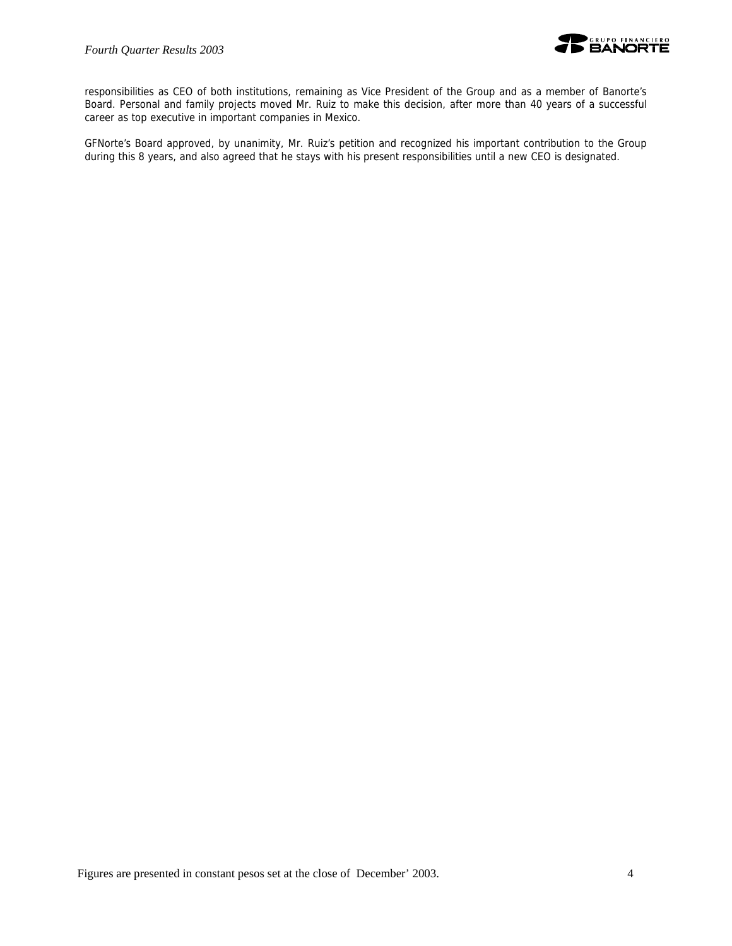

responsibilities as CEO of both institutions, remaining as Vice President of the Group and as a member of Banorte's Board. Personal and family projects moved Mr. Ruiz to make this decision, after more than 40 years of a successful career as top executive in important companies in Mexico.

GFNorte's Board approved, by unanimity, Mr. Ruiz's petition and recognized his important contribution to the Group during this 8 years, and also agreed that he stays with his present responsibilities until a new CEO is designated.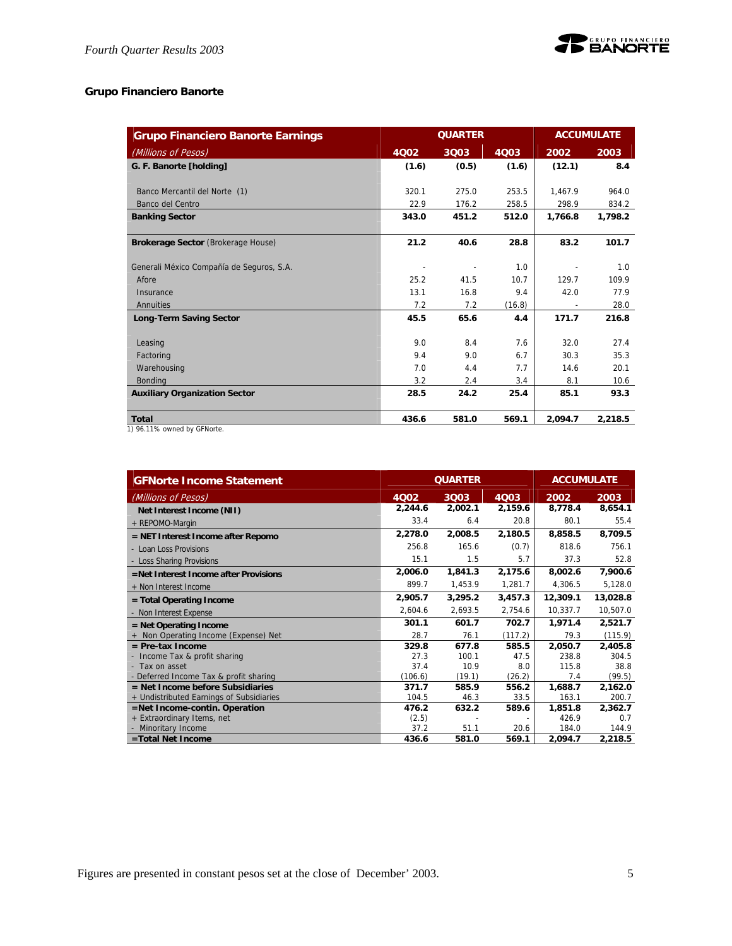

## **Grupo Financiero Banorte**

| <b>Grupo Financiero Banorte Earnings</b>                                                                                                                                                                                                                                                                                                                                                                                                             |       | <b>QUARTER</b> |        |         | <b>ACCUMULATE</b> |
|------------------------------------------------------------------------------------------------------------------------------------------------------------------------------------------------------------------------------------------------------------------------------------------------------------------------------------------------------------------------------------------------------------------------------------------------------|-------|----------------|--------|---------|-------------------|
| (Millions of Pesos)                                                                                                                                                                                                                                                                                                                                                                                                                                  | 4Q02  | 3Q03           | 4Q03   | 2002    | 2003              |
| G. F. Banorte [holding]                                                                                                                                                                                                                                                                                                                                                                                                                              | (1.6) | (0.5)          | (1.6)  | (12.1)  | 8.4               |
|                                                                                                                                                                                                                                                                                                                                                                                                                                                      |       |                |        |         |                   |
| Banco Mercantil del Norte (1)                                                                                                                                                                                                                                                                                                                                                                                                                        | 320.1 | 275.0          | 253.5  | 1.467.9 | 964.0             |
| Banco del Centro                                                                                                                                                                                                                                                                                                                                                                                                                                     | 22.9  | 176.2          | 258.5  | 298.9   | 834.2             |
| <b>Banking Sector</b>                                                                                                                                                                                                                                                                                                                                                                                                                                | 343.0 | 451.2          | 512.0  | 1,766.8 | 1,798.2           |
| Brokerage Sector (Brokerage House)                                                                                                                                                                                                                                                                                                                                                                                                                   | 21.2  | 40.6           | 28.8   | 83.2    | 101.7             |
| Generali México Compañía de Seguros, S.A.                                                                                                                                                                                                                                                                                                                                                                                                            |       |                | 1.0    |         | 1.0               |
| Afore                                                                                                                                                                                                                                                                                                                                                                                                                                                | 25.2  | 41.5           | 10.7   | 129.7   | 109.9             |
| Insurance                                                                                                                                                                                                                                                                                                                                                                                                                                            | 13.1  | 16.8           | 9.4    | 42.0    | 77.9              |
| Annuities                                                                                                                                                                                                                                                                                                                                                                                                                                            | 7.2   | 7.2            | (16.8) |         | 28.0              |
| <b>Long-Term Saving Sector</b>                                                                                                                                                                                                                                                                                                                                                                                                                       | 45.5  | 65.6           | 4.4    | 171.7   | 216.8             |
| Leasing                                                                                                                                                                                                                                                                                                                                                                                                                                              | 9.0   | 8.4            | 7.6    | 32.0    | 27.4              |
| Factoring                                                                                                                                                                                                                                                                                                                                                                                                                                            | 9.4   | 9.0            | 6.7    | 30.3    | 35.3              |
| Warehousing                                                                                                                                                                                                                                                                                                                                                                                                                                          | 7.0   | 4.4            | 7.7    | 14.6    | 20.1              |
| <b>Bonding</b>                                                                                                                                                                                                                                                                                                                                                                                                                                       | 3.2   | 2.4            | 3.4    | 8.1     | 10.6              |
| <b>Auxiliary Organization Sector</b>                                                                                                                                                                                                                                                                                                                                                                                                                 | 28.5  | 24.2           | 25.4   | 85.1    | 93.3              |
| Total<br>$4\lambda$ , $0.4$ , $4.40$ $\lambda$ , $\lambda$ , $\lambda$ , $\lambda$ , $\lambda$ , $\lambda$ , $\lambda$ , $\lambda$ , $\lambda$ , $\lambda$ , $\lambda$ , $\lambda$ , $\lambda$ , $\lambda$ , $\lambda$ , $\lambda$ , $\lambda$ , $\lambda$ , $\lambda$ , $\lambda$ , $\lambda$ , $\lambda$ , $\lambda$ , $\lambda$ , $\lambda$ , $\lambda$ , $\lambda$ , $\lambda$ , $\lambda$ , $\lambda$ , $\lambda$ , $\lambda$ , $\lambda$ , $\$ | 436.6 | 581.0          | 569.1  | 2.094.7 | 2,218.5           |

1) 96.11% owned by GFNorte.

| <b>GFNorte Income Statement</b>          |         | <b>QUARTER</b> |         | <b>ACCUMULATE</b> |          |  |
|------------------------------------------|---------|----------------|---------|-------------------|----------|--|
| (Millions of Pesos)                      | 4Q02    | 3Q03           | 4Q03    | 2002              | 2003     |  |
| Net Interest Income (NII)                | 2,244.6 | 2,002.1        | 2,159.6 | 8,778.4           | 8,654.1  |  |
| + REPOMO-Margin                          | 33.4    | 6.4            | 20.8    | 80.1              | 55.4     |  |
| = NET Interest Income after Repomo       | 2,278.0 | 2,008.5        | 2,180.5 | 8,858.5           | 8,709.5  |  |
| - Loan Loss Provisions                   | 256.8   | 165.6          | (0.7)   | 818.6             | 756.1    |  |
| - Loss Sharing Provisions                | 15.1    | 1.5            | 5.7     | 37.3              | 52.8     |  |
| =Net Interest Income after Provisions    | 2,006.0 | 1,841.3        | 2,175.6 | 8,002.6           | 7,900.6  |  |
| + Non Interest Income                    | 899.7   | 1,453.9        | 1,281.7 | 4,306.5           | 5,128.0  |  |
| = Total Operating Income                 | 2,905.7 | 3,295.2        | 3,457.3 | 12,309.1          | 13,028.8 |  |
| - Non Interest Expense                   | 2,604.6 | 2.693.5        | 2,754.6 | 10,337.7          | 10,507.0 |  |
| $=$ Net Operating Income                 | 301.1   | 601.7          | 702.7   | 1,971.4           | 2,521.7  |  |
| Non Operating Income (Expense) Net       | 28.7    | 76.1           | (117.2) | 79.3              | (115.9)  |  |
| $=$ Pre-tax Income                       | 329.8   | 677.8          | 585.5   | 2,050.7           | 2,405.8  |  |
| - Income Tax & profit sharing            | 27.3    | 100.1          | 47.5    | 238.8             | 304.5    |  |
| - Tax on asset                           | 37.4    | 10.9           | 8.0     | 115.8             | 38.8     |  |
| - Deferred Income Tax & profit sharing   | (106.6) | (19.1)         | (26.2)  | 7.4               | (99.5)   |  |
| $=$ Net Income before Subsidiaries       | 371.7   | 585.9          | 556.2   | 1,688.7           | 2,162.0  |  |
| + Undistributed Earnings of Subsidiaries | 104.5   | 46.3           | 33.5    | 163.1             | 200.7    |  |
| =Net Income-contin. Operation            | 476.2   | 632.2          | 589.6   | 1,851.8           | 2,362.7  |  |
| + Extraordinary Items, net               | (2.5)   |                |         | 426.9             | 0.7      |  |
| - Minoritary Income                      | 37.2    | 51.1           | 20.6    | 184.0             | 144.9    |  |
| =Total Net Income                        | 436.6   | 581.0          | 569.1   | 2,094.7           | 2,218.5  |  |

Figures are presented in constant pesos set at the close of December' 2003. 5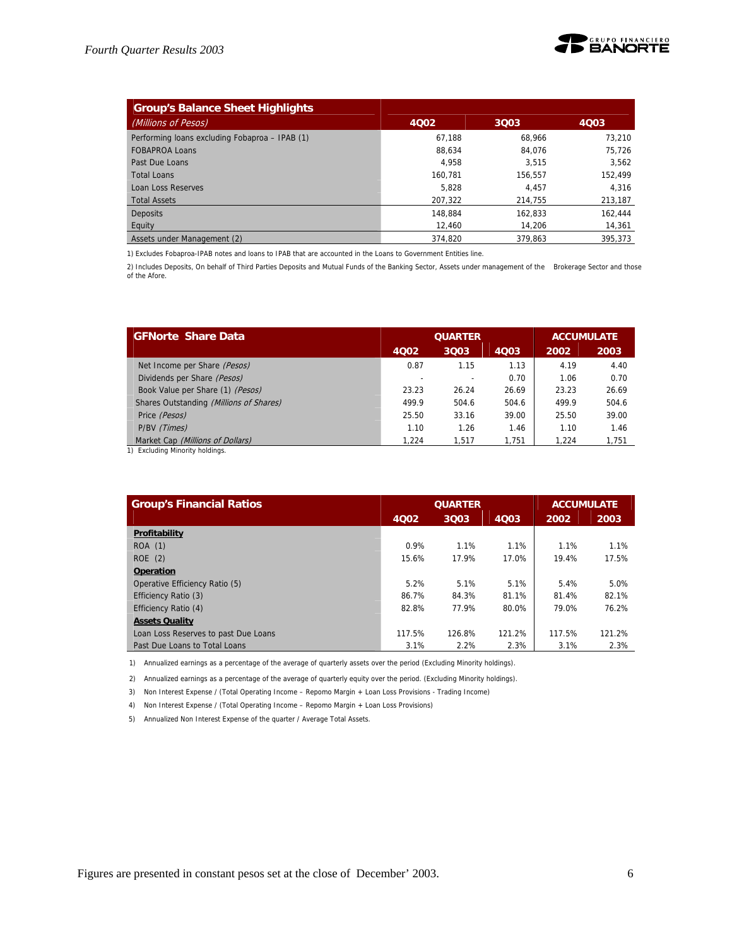

| <b>Group's Balance Sheet Highlights</b>        |         |         |         |
|------------------------------------------------|---------|---------|---------|
| (Millions of Pesos)                            | 4002    | 3003    | 4003    |
| Performing loans excluding Fobaproa - IPAB (1) | 67.188  | 68.966  | 73.210  |
| <b>FOBAPROA Loans</b>                          | 88.634  | 84.076  | 75,726  |
| Past Due Loans                                 | 4.958   | 3.515   | 3,562   |
| <b>Total Loans</b>                             | 160.781 | 156.557 | 152.499 |
| <b>Loan Loss Reserves</b>                      | 5.828   | 4.457   | 4,316   |
| <b>Total Assets</b>                            | 207.322 | 214.755 | 213,187 |
| <b>Deposits</b>                                | 148.884 | 162.833 | 162.444 |
| Equity                                         | 12,460  | 14.206  | 14,361  |
| Assets under Management (2)                    | 374.820 | 379.863 | 395.373 |

1) Excludes Fobaproa-IPAB notes and loans to IPAB that are accounted in the Loans to Government Entities line.

2) Includes Deposits, On behalf of Third Parties Deposits and Mutual Funds of the Banking Sector, Assets under management of the Brokerage Sector and those of the Afore.

| <b>GFNorte Share Data</b>               |       | <b>QUARTER</b> | <b>ACCUMULATE</b> |       |       |
|-----------------------------------------|-------|----------------|-------------------|-------|-------|
|                                         | 4002  | 3003           | 2002              | 2003  |       |
| Net Income per Share (Pesos)            | 0.87  | 1.15           | 1.13              | 4.19  | 4.40  |
| Dividends per Share (Pesos)             |       |                | 0.70              | 1.06  | 0.70  |
| Book Value per Share (1) (Pesos)        | 23.23 | 26.24          | 26.69             | 23.23 | 26.69 |
| Shares Outstanding (Millions of Shares) | 499.9 | 504.6          | 504.6             | 499.9 | 504.6 |
| Price (Pesos)                           | 25.50 | 33.16          | 39.00             | 25.50 | 39.00 |
| P/BV (Times)                            | 1.10  | 1.26           | 1.46              | 1.10  | 1.46  |
| Market Cap (Millions of Dollars)        | 1.224 | 1.517          | 1.751             | 1,224 | 1.751 |

1) Excluding Minority holdings.

| <b>Group's Financial Ratios</b>      |        | <b>QUARTER</b> | <b>ACCUMULATE</b> |        |        |
|--------------------------------------|--------|----------------|-------------------|--------|--------|
|                                      | 4002   | 3Q03           | 4003              | 2002   | 2003   |
| Profitability                        |        |                |                   |        |        |
| ROA (1)                              | 0.9%   | 1.1%           | 1.1%              | 1.1%   | 1.1%   |
| ROE (2)                              | 15.6%  | 17.9%          | 17.0%             | 19.4%  | 17.5%  |
| <b>Operation</b>                     |        |                |                   |        |        |
| Operative Efficiency Ratio (5)       | 5.2%   | 5.1%           | 5.1%              | 5.4%   | 5.0%   |
| Efficiency Ratio (3)                 | 86.7%  | 84.3%          | 81.1%             | 81.4%  | 82.1%  |
| Efficiency Ratio (4)                 | 82.8%  | 77.9%          | 80.0%             | 79.0%  | 76.2%  |
| <b>Assets Quality</b>                |        |                |                   |        |        |
| Loan Loss Reserves to past Due Loans | 117.5% | 126.8%         | 121.2%            | 117.5% | 121.2% |
| Past Due Loans to Total Loans        | 3.1%   | 2.2%           | 2.3%              | 3.1%   | 2.3%   |

1) Annualized earnings as a percentage of the average of quarterly assets over the period (Excluding Minority holdings).

2) Annualized earnings as a percentage of the average of quarterly equity over the period. (Excluding Minority holdings).

3) Non Interest Expense / (Total Operating Income – Repomo Margin + Loan Loss Provisions - Trading Income)

4) Non Interest Expense / (Total Operating Income – Repomo Margin + Loan Loss Provisions)

5) Annualized Non Interest Expense of the quarter / Average Total Assets.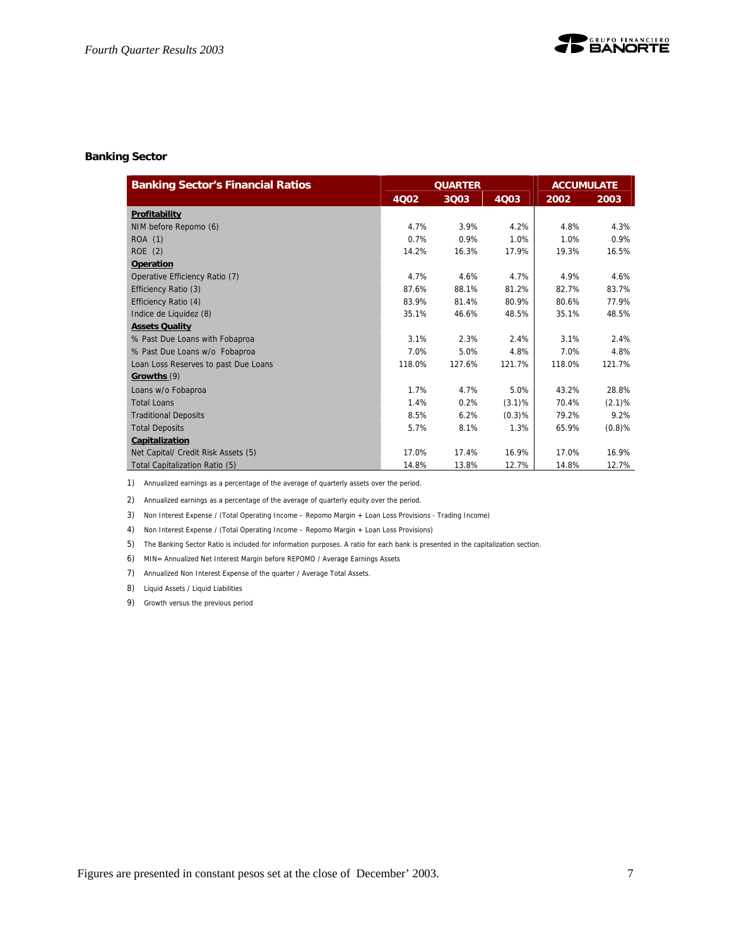#### **Banking Sector**

| <b>Banking Sector's Financial Ratios</b> |        | <b>QUARTER</b> |        | <b>ACCUMULATE</b> |           |  |
|------------------------------------------|--------|----------------|--------|-------------------|-----------|--|
|                                          | 4Q02   | 3Q03           | 4Q03   | 2002              | 2003      |  |
| Profitability                            |        |                |        |                   |           |  |
| NIM before Repomo (6)                    | 4.7%   | 3.9%           | 4.2%   | 4.8%              | 4.3%      |  |
| ROA (1)                                  | 0.7%   | 0.9%           | 1.0%   | 1.0%              | 0.9%      |  |
| ROE (2)                                  | 14.2%  | 16.3%          | 17.9%  | 19.3%             | 16.5%     |  |
| <b>Operation</b>                         |        |                |        |                   |           |  |
| Operative Efficiency Ratio (7)           | 4.7%   | 4.6%           | 4.7%   | 4.9%              | 4.6%      |  |
| Efficiency Ratio (3)                     | 87.6%  | 88.1%          | 81.2%  | 82.7%             | 83.7%     |  |
| Efficiency Ratio (4)                     | 83.9%  | 81.4%          | 80.9%  | 80.6%             | 77.9%     |  |
| Indice de Liquidez (8)                   | 35.1%  | 46.6%          | 48.5%  | 35.1%             | 48.5%     |  |
| <b>Assets Quality</b>                    |        |                |        |                   |           |  |
| % Past Due Loans with Fobaproa           | 3.1%   | 2.3%           | 2.4%   | 3.1%              | 2.4%      |  |
| % Past Due Loans w/o Fobaproa            | 7.0%   | 5.0%           | 4.8%   | 7.0%              | 4.8%      |  |
| Loan Loss Reserves to past Due Loans     | 118.0% | 127.6%         | 121.7% | 118.0%            | 121.7%    |  |
| Growths (9)                              |        |                |        |                   |           |  |
| Loans w/o Fobaproa                       | 1.7%   | 4.7%           | 5.0%   | 43.2%             | 28.8%     |  |
| <b>Total Loans</b>                       | 1.4%   | 0.2%           | (3.1)% | 70.4%             | (2.1)%    |  |
| <b>Traditional Deposits</b>              | 8.5%   | 6.2%           | (0.3)% | 79.2%             | 9.2%      |  |
| <b>Total Deposits</b>                    | 5.7%   | 8.1%           | 1.3%   | 65.9%             | $(0.8)$ % |  |
| Capitalization                           |        |                |        |                   |           |  |
| Net Capital/ Credit Risk Assets (5)      | 17.0%  | 17.4%          | 16.9%  | 17.0%             | 16.9%     |  |
| Total Capitalization Ratio (5)           | 14.8%  | 13.8%          | 12.7%  | 14.8%             | 12.7%     |  |

1) Annualized earnings as a percentage of the average of quarterly assets over the period.

2) Annualized earnings as a percentage of the average of quarterly equity over the period.

3) Non Interest Expense / (Total Operating Income – Repomo Margin + Loan Loss Provisions - Trading Income)

4) Non Interest Expense / (Total Operating Income – Repomo Margin + Loan Loss Provisions)

5) The Banking Sector Ratio is included for information purposes. A ratio for each bank is presented in the capitalization section.

6) MIN= Annualized Net Interest Margin before REPOMO / Average Earnings Assets

7) Annualized Non Interest Expense of the quarter / Average Total Assets.

8) Líquid Assets / Liquid Liabilities

9) Growth versus the previous period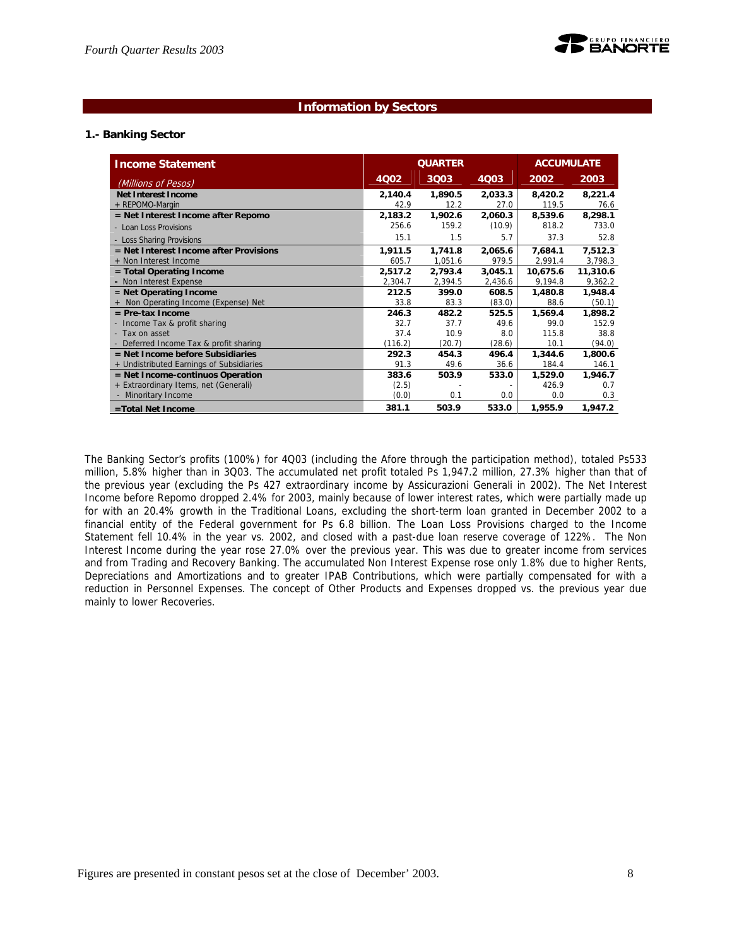#### **Information by Sectors**

#### **1.- Banking Sector**

| <b>Income Statement</b>                  |         | <b>QUARTER</b> | <b>ACCUMULATE</b> |          |          |
|------------------------------------------|---------|----------------|-------------------|----------|----------|
| (Millions of Pesos)                      | 4Q02    | 3Q03           | <b>4Q03</b>       | 2002     | 2003     |
| <b>Net Interest Income</b>               | 2,140.4 | 1,890.5        | 2,033.3           | 8,420.2  | 8,221.4  |
| + REPOMO-Margin                          | 42.9    | 12.2           | 27.0              | 119.5    | 76.6     |
| $=$ Net Interest Income after Repomo     | 2,183.2 | 1,902.6        | 2,060.3           | 8,539.6  | 8,298.1  |
| - Loan Loss Provisions                   | 256.6   | 159.2          | (10.9)            | 818.2    | 733.0    |
| - Loss Sharing Provisions                | 15.1    | 1.5            | 5.7               | 37.3     | 52.8     |
| $=$ Net Interest Income after Provisions | 1,911.5 | 1,741.8        | 2,065.6           | 7,684.1  | 7,512.3  |
| + Non Interest Income                    | 605.7   | 1,051.6        | 979.5             | 2,991.4  | 3,798.3  |
| = Total Operating Income                 | 2,517.2 | 2,793.4        | 3,045.1           | 10,675.6 | 11,310.6 |
| - Non Interest Expense                   | 2,304.7 | 2,394.5        | 2,436.6           | 9,194.8  | 9,362.2  |
| $=$ Net Operating Income                 | 212.5   | 399.0          | 608.5             | 1,480.8  | 1,948.4  |
| + Non Operating Income (Expense) Net     | 33.8    | 83.3           | (83.0)            | 88.6     | (50.1)   |
| $=$ Pre-tax Income                       | 246.3   | 482.2          | 525.5             | 1,569.4  | 1,898.2  |
| - Income Tax & profit sharing            | 32.7    | 37.7           | 49.6              | 99.0     | 152.9    |
| - Tax on asset                           | 37.4    | 10.9           | 8.0               | 115.8    | 38.8     |
| - Deferred Income Tax & profit sharing   | (116.2) | (20.7)         | (28.6)            | 10.1     | (94.0)   |
| = Net Income before Subsidiaries         | 292.3   | 454.3          | 496.4             | 1,344.6  | 1,800.6  |
| + Undistributed Earnings of Subsidiaries | 91.3    | 49.6           | 36.6              | 184.4    | 146.1    |
| = Net Income-continuos Operation         | 383.6   | 503.9          | 533.0             | 1,529.0  | 1,946.7  |
| + Extraordinary Items, net (Generali)    | (2.5)   |                |                   | 426.9    | 0.7      |
| - Minoritary Income                      | (0.0)   | 0.1            | 0.0               | 0.0      | 0.3      |
| =Total Net Income                        | 381.1   | 503.9          | 533.0             | 1,955.9  | 1,947.2  |

The Banking Sector's profits (100%) for 4Q03 (including the Afore through the participation method), totaled Ps533 million, 5.8% higher than in 3Q03. The accumulated net profit totaled Ps 1,947.2 million, 27.3% higher than that of the previous year (excluding the Ps 427 extraordinary income by Assicurazioni Generali in 2002). The Net Interest Income before Repomo dropped 2.4% for 2003, mainly because of lower interest rates, which were partially made up for with an 20.4% growth in the Traditional Loans, excluding the short-term loan granted in December 2002 to a financial entity of the Federal government for Ps 6.8 billion. The Loan Loss Provisions charged to the Income Statement fell 10.4% in the year vs. 2002, and closed with a past-due loan reserve coverage of 122%. The Non Interest Income during the year rose 27.0% over the previous year. This was due to greater income from services and from Trading and Recovery Banking. The accumulated Non Interest Expense rose only 1.8% due to higher Rents, Depreciations and Amortizations and to greater IPAB Contributions, which were partially compensated for with a reduction in Personnel Expenses. The concept of Other Products and Expenses dropped vs. the previous year due mainly to lower Recoveries.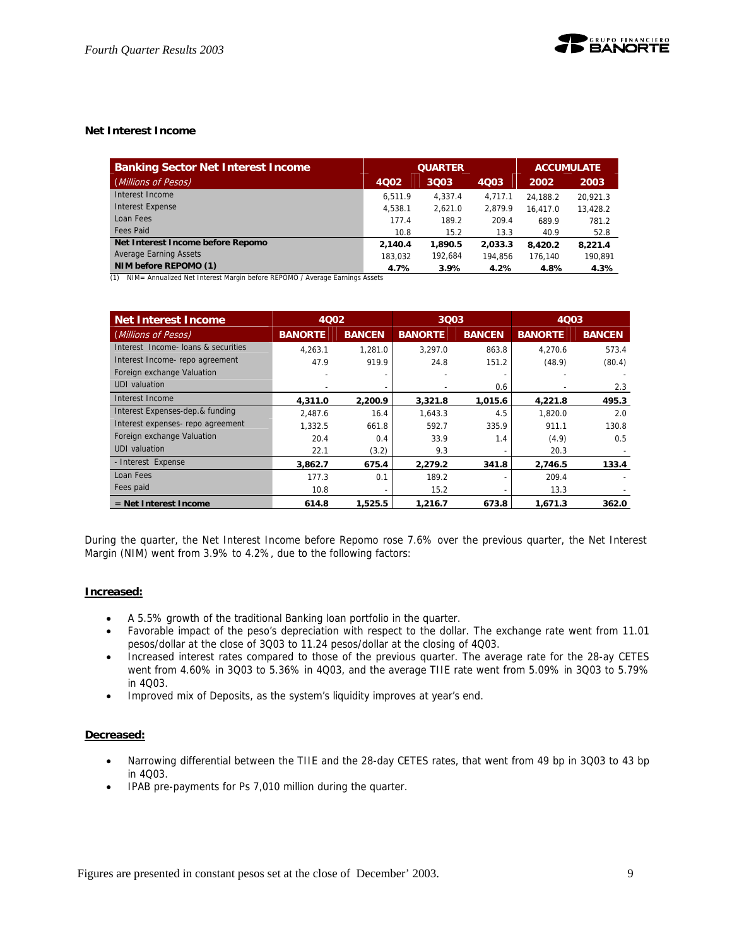#### **Net Interest Income**

| <b>Banking Sector Net Interest Income</b> |         | <b>QUARTER</b> | <b>ACCUMULATE</b> |          |          |
|-------------------------------------------|---------|----------------|-------------------|----------|----------|
| (Millions of Pesos)                       | 4Q02    | 3Q03<br>4003   |                   | 2002     | 2003     |
| Interest Income                           | 6.511.9 | 4.337.4        | 4.717.1           | 24.188.2 | 20.921.3 |
| <b>Interest Expense</b>                   | 4.538.1 | 2.621.0        | 2.879.9           | 16.417.0 | 13,428.2 |
| Loan Fees                                 | 177.4   | 189.2          | 209.4             | 689.9    | 781.2    |
| <b>Fees Paid</b>                          | 10.8    | 15.2           | 13.3              | 40.9     | 52.8     |
| Net Interest Income before Repomo         | 2.140.4 | 1,890.5        | 2,033.3           | 8.420.2  | 8.221.4  |
| <b>Average Earning Assets</b>             | 183.032 | 192.684        | 194.856           | 176.140  | 190.891  |
| NIM before REPOMO (1)                     | 4.7%    | 3.9%           | 4.2%              | 4.8%     | 4.3%     |

(1) NIM= Annualized Net Interest Margin before REPOMO / Average Earnings Assets

| <b>Net Interest Income</b>          |                | 4002<br>3Q03<br>4Q03 |                |               |                |               |
|-------------------------------------|----------------|----------------------|----------------|---------------|----------------|---------------|
| (Millions of Pe <u>sos)</u>         | <b>BANORTE</b> | <b>BANCEN</b>        | <b>BANORTE</b> | <b>BANCEN</b> | <b>BANORTE</b> | <b>BANCEN</b> |
| Interest Income- loans & securities | 4.263.1        | 1.281.0              | 3.297.0        | 863.8         | 4.270.6        | 573.4         |
| Interest Income-repo agreement      | 47.9           | 919.9                | 24.8           | 151.2         | (48.9)         | (80.4)        |
| Foreign exchange Valuation          |                |                      |                |               |                |               |
| <b>UDI</b> valuation                |                |                      |                | 0.6           |                | 2.3           |
| Interest Income                     | 4,311.0        | 2,200.9              | 3,321.8        | 1,015.6       | 4,221.8        | 495.3         |
| Interest Expenses-dep.& funding     | 2.487.6        | 16.4                 | 1.643.3        | 4.5           | 1.820.0        | 2.0           |
| Interest expenses- repo agreement   | 1,332.5        | 661.8                | 592.7          | 335.9         | 911.1          | 130.8         |
| Foreign exchange Valuation          | 20.4           | 0.4                  | 33.9           | 1.4           | (4.9)          | 0.5           |
| UDI valuation                       | 22.1           | (3.2)                | 9.3            |               | 20.3           |               |
| - Interest Expense                  | 3,862.7        | 675.4                | 2,279.2        | 341.8         | 2,746.5        | 133.4         |
| Loan Fees                           | 177.3          | 0.1                  | 189.2          |               | 209.4          |               |
| Fees paid                           | 10.8           |                      | 15.2           |               | 13.3           |               |
| $=$ Net Interest Income             | 614.8          | 1,525.5              | 1.216.7        | 673.8         | 1,671.3        | 362.0         |

During the quarter, the Net Interest Income before Repomo rose 7.6% over the previous quarter, the Net Interest Margin (NIM) went from 3.9% to 4.2%, due to the following factors:

#### **Increased:**

- A 5.5% growth of the traditional Banking loan portfolio in the quarter.
- Favorable impact of the peso's depreciation with respect to the dollar. The exchange rate went from 11.01 pesos/dollar at the close of 3Q03 to 11.24 pesos/dollar at the closing of 4Q03.
- Increased interest rates compared to those of the previous quarter. The average rate for the 28-ay CETES went from 4.60% in 3Q03 to 5.36% in 4Q03, and the average TIIE rate went from 5.09% in 3Q03 to 5.79% in 4Q03.
- Improved mix of Deposits, as the system's liquidity improves at year's end.

#### **Decreased:**

- Narrowing differential between the TIIE and the 28-day CETES rates, that went from 49 bp in 3Q03 to 43 bp in 4Q03.
- IPAB pre-payments for Ps 7,010 million during the quarter.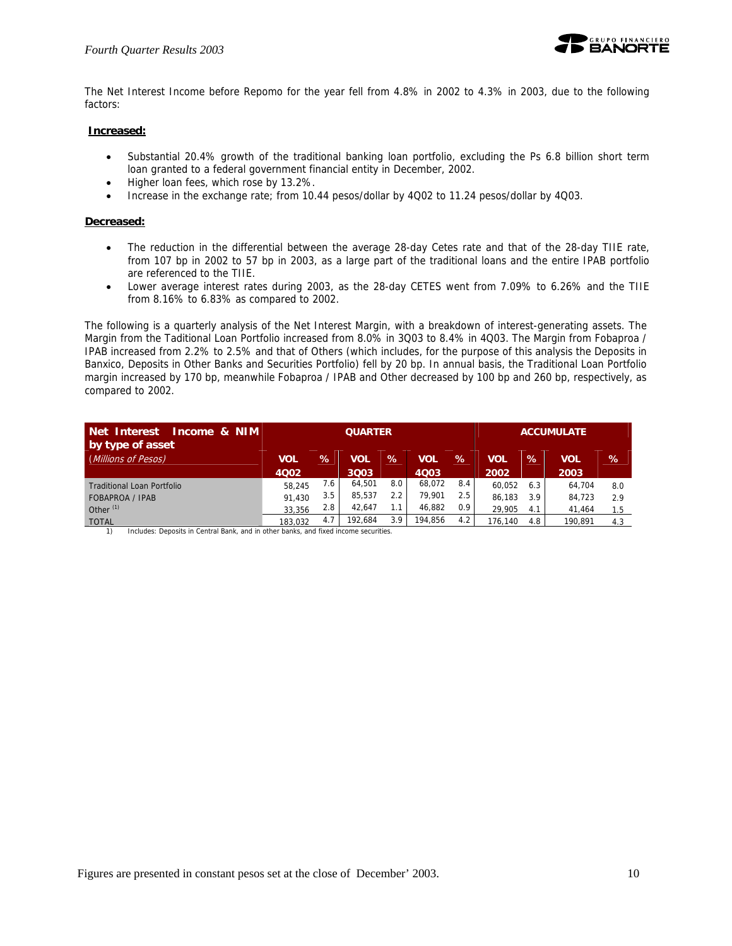

The Net Interest Income before Repomo for the year fell from 4.8% in 2002 to 4.3% in 2003, due to the following factors:

#### **Increased:**

- Substantial 20.4% growth of the traditional banking loan portfolio, excluding the Ps 6.8 billion short term loan granted to a federal government financial entity in December, 2002.
- Higher loan fees, which rose by 13.2%.
- Increase in the exchange rate; from 10.44 pesos/dollar by 4Q02 to 11.24 pesos/dollar by 4Q03.

#### **Decreased:**

- The reduction in the differential between the average 28-day Cetes rate and that of the 28-day TIIE rate, from 107 bp in 2002 to 57 bp in 2003, as a large part of the traditional loans and the entire IPAB portfolio are referenced to the TIIE.
- Lower average interest rates during 2003, as the 28-day CETES went from 7.09% to 6.26% and the TIIE from 8.16% to 6.83% as compared to 2002.

The following is a quarterly analysis of the Net Interest Margin, with a breakdown of interest-generating assets. The Margin from the Taditional Loan Portfolio increased from 8.0% in 3Q03 to 8.4% in 4Q03. The Margin from Fobaproa / IPAB increased from 2.2% to 2.5% and that of Others (which includes, for the purpose of this analysis the Deposits in Banxico, Deposits in Other Banks and Securities Portfolio) fell by 20 bp. In annual basis, the Traditional Loan Portfolio margin increased by 170 bp, meanwhile Fobaproa / IPAB and Other decreased by 100 bp and 260 bp, respectively, as compared to 2002.

| Net Interest<br>Income & NIM<br>by type of asset |            |               | <b>QUARTER</b> |      |         |                  |            |     | <b>ACCUMULATE</b> |     |
|--------------------------------------------------|------------|---------------|----------------|------|---------|------------------|------------|-----|-------------------|-----|
| (Millions of Pesos)                              | <b>VOL</b> | $\mathcal{A}$ | VOL            | $\%$ | VOL     | $\%$             | <b>VOL</b> | %   | <b>VOL</b>        | %   |
|                                                  | 4002       |               | 3Q03           |      | 4003    |                  | 2002       |     | 2003              |     |
| <b>Traditional Loan Portfolio</b>                | 58.245     | 7.6           | 64.501         | 8.0  | 68.072  | 8.4              | 60,052     | 6.3 | 64,704            | 8.0 |
| <b>FOBAPROA / IPAB</b>                           | 91.430     | 3.5           | 85,537         | 2.2  | 79.901  | 2.5              | 86.183     | 3.9 | 84,723            | 2.9 |
| Other <sup>(1)</sup>                             | 33.356     | 2.8           | 42.647         |      | 46,882  | 0.9 <sup>°</sup> | 29.905     | 4.1 | 41.464            | 1.5 |
| <b>TOTAL</b>                                     | 183.032    | 4.7           | 192.684        | 3.9  | 194.856 | 4.2              | 176.140    | 4.8 | 190.891           | 4.3 |

1) Includes: Deposits in Central Bank, and in other banks, and fixed income securities.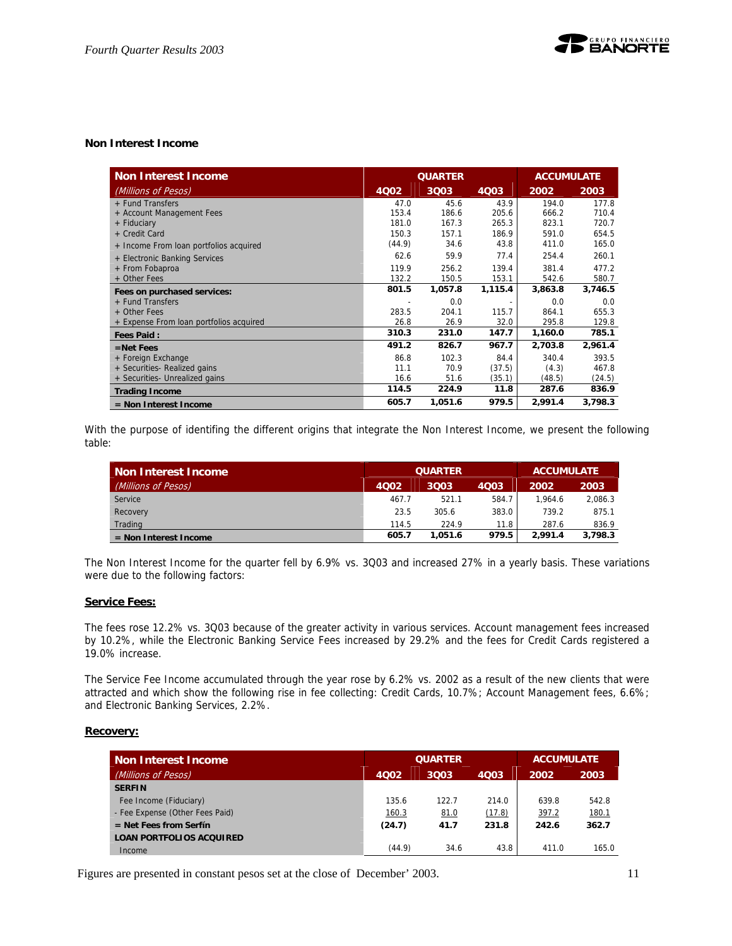#### **Non Interest Income**

| <b>Non Interest Income</b>              |             | <b>QUARTER</b> |         | <b>ACCUMULATE</b> |         |  |
|-----------------------------------------|-------------|----------------|---------|-------------------|---------|--|
| (Millions of Pesos)                     | <b>4002</b> | 3Q03           | 4Q03    | 2002              | 2003    |  |
| + Fund Transfers                        | 47.0        | 45.6           | 43.9    | 194.0             | 177.8   |  |
| + Account Management Fees               | 153.4       | 186.6          | 205.6   | 666.2             | 710.4   |  |
| + Fiduciary                             | 181.0       | 167.3          | 265.3   | 823.1             | 720.7   |  |
| + Credit Card                           | 150.3       | 157.1          | 186.9   | 591.0             | 654.5   |  |
| + Income From loan portfolios acquired  | (44.9)      | 34.6           | 43.8    | 411.0             | 165.0   |  |
| + Electronic Banking Services           | 62.6        | 59.9           | 77.4    | 254.4             | 260.1   |  |
| + From Fobaproa                         | 119.9       | 256.2          | 139.4   | 381.4             | 477.2   |  |
| + Other Fees                            | 132.2       | 150.5          | 153.1   | 542.6             | 580.7   |  |
| Fees on purchased services:             | 801.5       | 1,057.8        | 1,115.4 | 3,863.8           | 3,746.5 |  |
| + Fund Transfers                        |             | 0.0            |         | 0.0               | 0.0     |  |
| + Other Fees                            | 283.5       | 204.1          | 115.7   | 864.1             | 655.3   |  |
| + Expense From loan portfolios acquired | 26.8        | 26.9           | 32.0    | 295.8             | 129.8   |  |
| <b>Fees Paid:</b>                       | 310.3       | 231.0          | 147.7   | 1,160.0           | 785.1   |  |
| $=$ Net Fees                            | 491.2       | 826.7          | 967.7   | 2,703.8           | 2,961.4 |  |
| + Foreign Exchange                      | 86.8        | 102.3          | 84.4    | 340.4             | 393.5   |  |
| + Securities- Realized gains            | 11.1        | 70.9           | (37.5)  | (4.3)             | 467.8   |  |
| + Securities- Unrealized gains          | 16.6        | 51.6           | (35.1)  | (48.5)            | (24.5)  |  |
| <b>Trading Income</b>                   | 114.5       | 224.9          | 11.8    | 287.6             | 836.9   |  |
| $=$ Non Interest Income                 | 605.7       | 1,051.6        | 979.5   | 2,991.4           | 3,798.3 |  |

With the purpose of identifing the different origins that integrate the Non Interest Income, we present the following table:

| Non Interest Income     |       | <b>QUARTER</b> | <b>ACCUMULATE</b> |         |         |
|-------------------------|-------|----------------|-------------------|---------|---------|
| (Millions of Pesos)     | 4002  | 3003           | 2002              | 2003    |         |
| Service                 | 467.7 | 521.1          | 584.7             | 1.964.6 | 2.086.3 |
| Recovery                | 23.5  | 305.6          | 383.0             | 739.2   | 875.1   |
| Trading                 | 114.5 | 224.9          | 11.8              | 287.6   | 836.9   |
| $=$ Non Interest Income | 605.7 | 1.051.6        | 979.5             | 2.991.4 | 3,798.3 |

The Non Interest Income for the quarter fell by 6.9% vs. 3Q03 and increased 27% in a yearly basis. These variations were due to the following factors:

#### **Service Fees:**

The fees rose 12.2% vs. 3Q03 because of the greater activity in various services. Account management fees increased by 10.2%, while the Electronic Banking Service Fees increased by 29.2% and the fees for Credit Cards registered a 19.0% increase.

The Service Fee Income accumulated through the year rose by 6.2% vs. 2002 as a result of the new clients that were attracted and which show the following rise in fee collecting: Credit Cards, 10.7%; Account Management fees, 6.6%; and Electronic Banking Services, 2.2%.

#### **Recovery:**

| <b>Non Interest Income</b>      | <b>QUARTER</b> |       |        | <b>ACCUMULATE</b> |       |  |
|---------------------------------|----------------|-------|--------|-------------------|-------|--|
| (Millions of Pesos)             | 4Q02           | 3Q03  | 2002   | 2003              |       |  |
| <b>SERFIN</b>                   |                |       |        |                   |       |  |
| Fee Income (Fiduciary)          | 135.6          | 122.7 | 214.0  | 639.8             | 542.8 |  |
| - Fee Expense (Other Fees Paid) | <u>160.3</u>   | 81.0  | (17.8) | 397.2             | 180.1 |  |
| $=$ Net Fees from Serfín        | (24.7)         | 41.7  | 231.8  | 242.6             | 362.7 |  |
| <b>LOAN PORTFOLIOS ACQUIRED</b> |                |       |        |                   |       |  |
| Income                          | (44.9)         | 34.6  | 43.8   | 411.0             | 165.0 |  |

Figures are presented in constant pesos set at the close of December' 2003. 11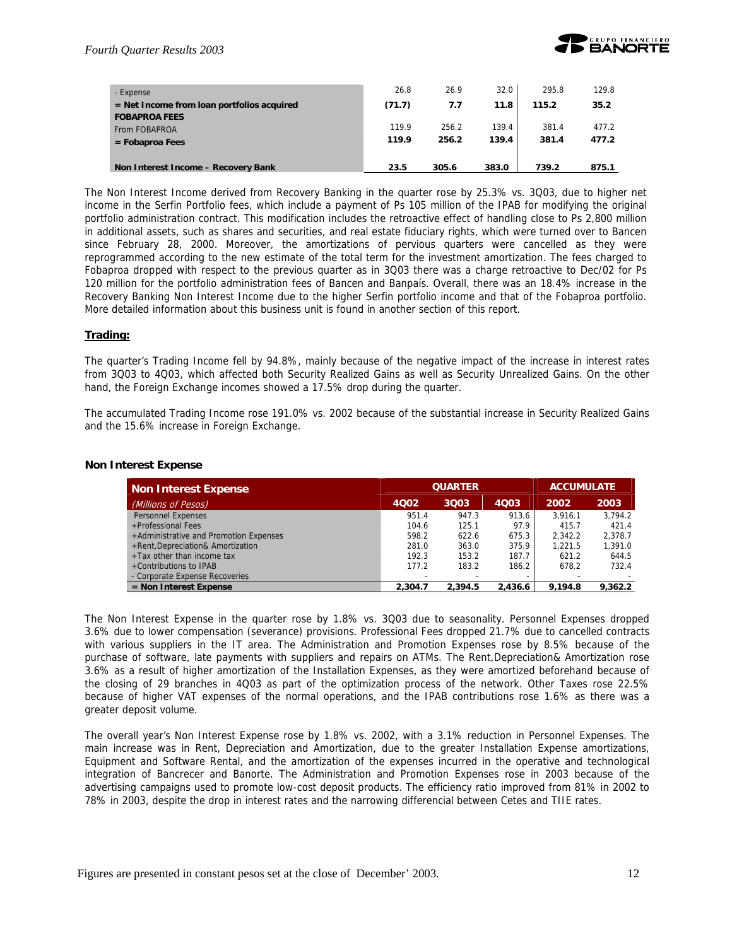

| - Expense                                    | 26.8   | 26.9  | 32.0  | 295.8 | 129.8 |
|----------------------------------------------|--------|-------|-------|-------|-------|
| $=$ Net Income from loan portfolios acquired | (71.7) | 7.7   | 11.8  | 115.2 | 35.2  |
| <b>FOBAPROA FEES</b>                         |        |       |       |       |       |
| From FOBAPROA                                | 119.9  | 256.2 | 139.4 | 381.4 | 477.2 |
| $=$ Fobaproa Fees                            | 119.9  | 256.2 | 139.4 | 381.4 | 477.2 |
|                                              |        |       |       |       |       |
| Non Interest Income - Recovery Bank          | 23.5   | 305.6 | 383.0 | 739.2 | 875.1 |

The Non Interest Income derived from Recovery Banking in the quarter rose by 25.3% vs. 3Q03, due to higher net income in the Serfin Portfolio fees, which include a payment of Ps 105 million of the IPAB for modifying the original portfolio administration contract. This modification includes the retroactive effect of handling close to Ps 2,800 million in additional assets, such as shares and securities, and real estate fiduciary rights, which were turned over to Bancen since February 28, 2000. Moreover, the amortizations of pervious quarters were cancelled as they were reprogrammed according to the new estimate of the total term for the investment amortization. The fees charged to Fobaproa dropped with respect to the previous quarter as in 3Q03 there was a charge retroactive to Dec/02 for Ps 120 million for the portfolio administration fees of Bancen and Banpaís. Overall, there was an 18.4% increase in the Recovery Banking Non Interest Income due to the higher Serfin portfolio income and that of the Fobaproa portfolio. More detailed information about this business unit is found in another section of this report.

#### **Trading:**

The quarter's Trading Income fell by 94.8%, mainly because of the negative impact of the increase in interest rates from 3Q03 to 4Q03, which affected both Security Realized Gains as well as Security Unrealized Gains. On the other hand, the Foreign Exchange incomes showed a 17.5% drop during the quarter.

The accumulated Trading Income rose 191.0% vs. 2002 because of the substantial increase in Security Realized Gains and the 15.6% increase in Foreign Exchange.

#### **Non Interest Expense**

| Non Interest Expense                   |         | <b>QUARTER</b> |         |         | <b>ACCUMULATE</b> |
|----------------------------------------|---------|----------------|---------|---------|-------------------|
| (Millions of Pesos)                    | 4Q02    | 3Q03           | 4Q03    | 2002    | 2003              |
| <b>Personnel Expenses</b>              | 951.4   | 947.3          | 913.6   | 3.916.1 | 3.794.2           |
| +Professional Fees                     | 104.6   | 125.1          | 97.9    | 415.7   | 421.4             |
| +Administrative and Promotion Expenses | 598.2   | 622.6          | 675.3   | 2.342.2 | 2.378.7           |
| +Rent, Depreciation& Amortization      | 281.0   | 363.0          | 375.9   | 1.221.5 | 1.391.0           |
| $+$ Tax other than income tax          | 192.3   | 153.2          | 187.7   | 621.2   | 644.5             |
| +Contributions to IPAB                 | 177.2   | 183.2          | 186.2   | 678.2   | 732.4             |
| - Corporate Expense Recoveries         |         |                |         |         |                   |
| $=$ Non Interest Expense               | 2.304.7 | 2.394.5        | 2,436.6 | 9.194.8 | 9.362.2           |

The Non Interest Expense in the quarter rose by 1.8% vs. 3Q03 due to seasonality. Personnel Expenses dropped 3.6% due to lower compensation (severance) provisions. Professional Fees dropped 21.7% due to cancelled contracts with various suppliers in the IT area. The Administration and Promotion Expenses rose by 8.5% because of the purchase of software, late payments with suppliers and repairs on ATMs. The Rent,Depreciation& Amortization rose 3.6% as a result of higher amortization of the Installation Expenses, as they were amortized beforehand because of the closing of 29 branches in 4Q03 as part of the optimization process of the network. Other Taxes rose 22.5% because of higher VAT expenses of the normal operations, and the IPAB contributions rose 1.6% as there was a greater deposit volume.

The overall year's Non Interest Expense rose by 1.8% vs. 2002, with a 3.1% reduction in Personnel Expenses. The main increase was in Rent, Depreciation and Amortization, due to the greater Installation Expense amortizations, Equipment and Software Rental, and the amortization of the expenses incurred in the operative and technological integration of Bancrecer and Banorte. The Administration and Promotion Expenses rose in 2003 because of the advertising campaigns used to promote low-cost deposit products. The efficiency ratio improved from 81% in 2002 to 78% in 2003, despite the drop in interest rates and the narrowing differencial between Cetes and TIIE rates.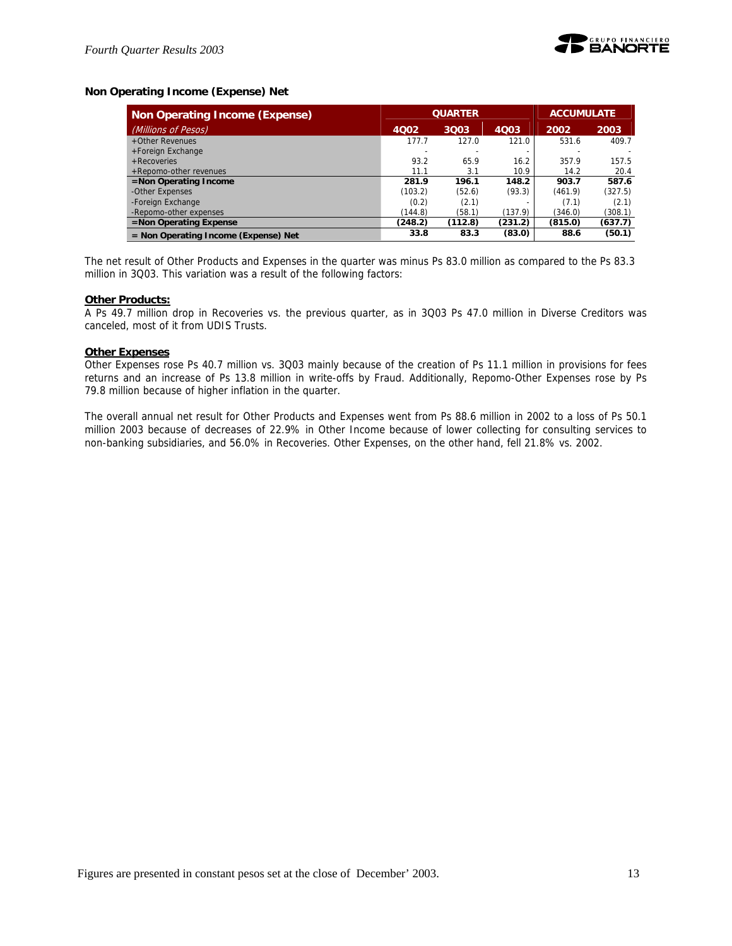

#### **Non Operating Income (Expense) Net**

| <b>Non Operating Income (Expense)</b>  | <b>QUARTER</b> |         |         | <b>ACCUMULATE</b> |         |  |
|----------------------------------------|----------------|---------|---------|-------------------|---------|--|
| (Millions of Pesos)                    | 4Q02           | 3Q03    | 4Q03    | 2002              | 2003    |  |
| +Other Revenues                        | 177.7          | 127.0   | 121.0   | 531.6             | 409.7   |  |
| +Foreign Exchange                      |                |         |         |                   |         |  |
| $+$ Recoveries                         | 93.2           | 65.9    | 16.2    | 357.9             | 157.5   |  |
| +Repomo-other revenues                 | 11.1           | 3.1     | 10.9    | 14.2              | 20.4    |  |
| $=$ Non Operating Income               | 281.9          | 196.1   | 148.2   | 903.7             | 587.6   |  |
| -Other Expenses                        | (103.2)        | (52.6)  | (93.3)  | (461.9)           | (327.5) |  |
| -Foreign Exchange                      | (0.2)          | (2.1)   |         | (7.1)             | (2.1)   |  |
| -Repomo-other expenses                 | (144.8)        | (58.1)  | (137.9) | (346.0)           | (308.1) |  |
| $=$ Non Operating Expense              | (248.2)        | (112.8) | (231.2) | (815.0)           | (637.7) |  |
| $=$ Non Operating Income (Expense) Net | 33.8           | 83.3    | (83.0)  | 88.6              | (50.1)  |  |

The net result of Other Products and Expenses in the quarter was minus Ps 83.0 million as compared to the Ps 83.3 million in 3Q03. This variation was a result of the following factors:

#### **Other Products:**

A Ps 49.7 million drop in Recoveries vs. the previous quarter, as in 3Q03 Ps 47.0 million in Diverse Creditors was canceled, most of it from UDIS Trusts.

#### **Other Expenses**

Other Expenses rose Ps 40.7 million vs. 3Q03 mainly because of the creation of Ps 11.1 million in provisions for fees returns and an increase of Ps 13.8 million in write-offs by Fraud. Additionally, Repomo-Other Expenses rose by Ps 79.8 million because of higher inflation in the quarter.

The overall annual net result for Other Products and Expenses went from Ps 88.6 million in 2002 to a loss of Ps 50.1 million 2003 because of decreases of 22.9% in Other Income because of lower collecting for consulting services to non-banking subsidiaries, and 56.0% in Recoveries. Other Expenses, on the other hand, fell 21.8% vs. 2002.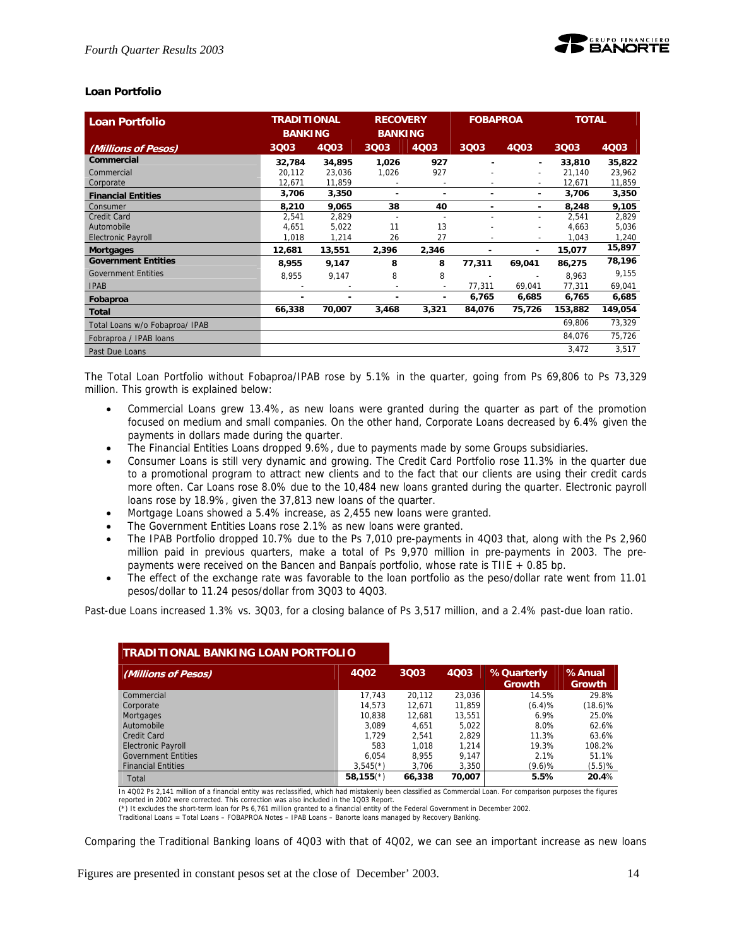#### **Loan Portfolio**

| <b>Loan Portfolio</b>          | <b>TRADITIONAL</b><br><b>BANKING</b> |        | <b>RECOVERY</b><br><b>BANKING</b> |                          | <b>FOBAPROA</b> |                          | <b>TOTAL</b> |         |
|--------------------------------|--------------------------------------|--------|-----------------------------------|--------------------------|-----------------|--------------------------|--------------|---------|
| (Millions of Pesos)            | 3Q03                                 | 4Q03   | 3Q03                              | 4Q03                     | 3Q03            | 4Q03                     | 3Q03         | 4Q03    |
| <b>Commercial</b>              | 32,784                               | 34,895 | 1,026                             | 927                      |                 | ٠                        | 33,810       | 35,822  |
| Commercial                     | 20,112                               | 23,036 | 1,026                             | 927                      |                 | $\overline{a}$           | 21,140       | 23,962  |
| Corporate                      | 12,671                               | 11,859 |                                   | -                        |                 | ۰                        | 12,671       | 11,859  |
| <b>Financial Entities</b>      | 3,706                                | 3,350  | ۰                                 | ٠                        | ۰               | ۰                        | 3,706        | 3,350   |
| Consumer                       | 8,210                                | 9,065  | 38                                | 40                       | ۰               | ۰                        | 8,248        | 9,105   |
| <b>Credit Card</b>             | 2,541                                | 2,829  | $\overline{a}$                    | $\overline{\phantom{a}}$ |                 | $\overline{\phantom{a}}$ | 2,541        | 2,829   |
| Automobile                     | 4.651                                | 5,022  | 11                                | 13                       |                 |                          | 4,663        | 5,036   |
| <b>Electronic Payroll</b>      | 1,018                                | 1,214  | 26                                | 27                       |                 | $\overline{\phantom{a}}$ | 1,043        | 1,240   |
| <b>Mortgages</b>               | 12,681                               | 13,551 | 2,396                             | 2,346                    | $\blacksquare$  | ٠                        | 15,077       | 15,897  |
| <b>Government Entities</b>     | 8,955                                | 9,147  | 8                                 | 8                        | 77,311          | 69,041                   | 86,275       | 78,196  |
| <b>Government Entities</b>     | 8,955                                | 9,147  | 8                                 | 8                        |                 | $\overline{\phantom{a}}$ | 8,963        | 9,155   |
| <b>IPAB</b>                    |                                      |        | $\overline{\phantom{a}}$          | $\sim$                   | 77,311          | 69,041                   | 77,311       | 69,041  |
| Fobaproa                       |                                      |        |                                   | ۰                        | 6,765           | 6,685                    | 6,765        | 6,685   |
| Total                          | 66,338                               | 70,007 | 3,468                             | 3,321                    | 84,076          | 75,726                   | 153,882      | 149,054 |
| Total Loans w/o Fobaproa/ IPAB |                                      |        |                                   |                          |                 |                          | 69,806       | 73,329  |
| Fobraproa / IPAB loans         |                                      |        |                                   |                          |                 |                          | 84,076       | 75,726  |
| Past Due Loans                 |                                      |        |                                   |                          |                 |                          | 3,472        | 3,517   |

The Total Loan Portfolio without Fobaproa/IPAB rose by 5.1% in the quarter, going from Ps 69,806 to Ps 73,329 million. This growth is explained below:

- Commercial Loans grew 13.4%, as new loans were granted during the quarter as part of the promotion focused on medium and small companies. On the other hand, Corporate Loans decreased by 6.4% given the payments in dollars made during the quarter.
- The Financial Entities Loans dropped 9.6%, due to payments made by some Groups subsidiaries.
- Consumer Loans is still very dynamic and growing. The Credit Card Portfolio rose 11.3% in the quarter due to a promotional program to attract new clients and to the fact that our clients are using their credit cards more often. Car Loans rose 8.0% due to the 10,484 new loans granted during the quarter. Electronic payroll loans rose by 18.9%, given the 37,813 new loans of the quarter.
- Mortgage Loans showed a 5.4% increase, as 2,455 new loans were granted.
- The Government Entities Loans rose 2.1% as new loans were granted.
- The IPAB Portfolio dropped 10.7% due to the Ps 7,010 pre-payments in 4Q03 that, along with the Ps 2,960 million paid in previous quarters, make a total of Ps 9,970 million in pre-payments in 2003. The prepayments were received on the Bancen and Banpaís portfolio, whose rate is TIIE + 0.85 bp.
- The effect of the exchange rate was favorable to the loan portfolio as the peso/dollar rate went from 11.01 pesos/dollar to 11.24 pesos/dollar from 3Q03 to 4Q03.

Past-due Loans increased 1.3% vs. 3Q03, for a closing balance of Ps 3,517 million, and a 2.4% past-due loan ratio.

| <b>TRADITIONAL BANKING LOAN PORTFOLIO</b> |                         |        |        |                      |                         |
|-------------------------------------------|-------------------------|--------|--------|----------------------|-------------------------|
| (Millions of Pesos)                       | 4002                    | 3Q03   | 4Q03   | %Quarterly<br>Growth | %Anual<br><b>Growth</b> |
| Commercial                                | 17.743                  | 20.112 | 23,036 | 14.5%                | 29.8%                   |
| Corporate                                 | 14.573                  | 12.671 | 11,859 | (6.4)%               | $(18.6)\%$              |
| Mortgages                                 | 10.838                  | 12.681 | 13,551 | 6.9%                 | 25.0%                   |
| Automobile                                | 3.089                   | 4.651  | 5.022  | 8.0%                 | 62.6%                   |
| Credit Card                               | 1.729                   | 2.541  | 2.829  | 11.3%                | 63.6%                   |
| <b>Electronic Payroll</b>                 | 583                     | 1.018  | 1,214  | 19.3%                | 108.2%                  |
| <b>Government Entities</b>                | 6.054                   | 8.955  | 9,147  | 2.1%                 | 51.1%                   |
| <b>Financial Entities</b>                 | $3,545(*)$              | 3.706  | 3,350  | $(9.6)$ %            | (5.5)%                  |
| Total                                     | $58,155$ <sup>(*)</sup> | 66,338 | 70,007 | 5.5%                 | 20.4%                   |

In 4Q02 Ps 2,141 million of a financial entity was reclassified, which had mistakenly been classified as Commercial Loan. For comparison purposes the figures reported in 2002 were corrected. This correction was also included in the 1Q03 Report.

(\*) It excludes the short-term Ioan for Ps 6,761 million granted to a financial entity of the Federal Government in December 2002.<br>Traditional Loans = Total Loans – FOBAPROA Notes – IPAB Loans – Banorte loans managed by Re

Comparing the Traditional Banking loans of 4Q03 with that of 4Q02, we can see an important increase as new loans

Figures are presented in constant pesos set at the close of December' 2003. 14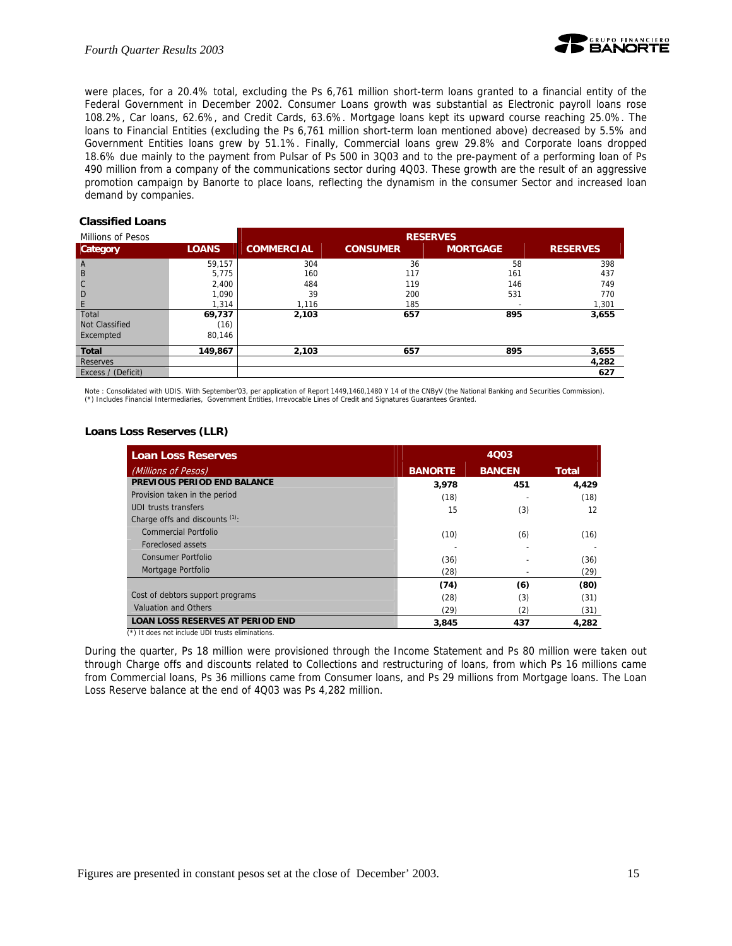

were places, for a 20.4% total, excluding the Ps 6,761 million short-term loans granted to a financial entity of the Federal Government in December 2002. Consumer Loans growth was substantial as Electronic payroll loans rose 108.2%, Car loans, 62.6%, and Credit Cards, 63.6%. Mortgage loans kept its upward course reaching 25.0%. The loans to Financial Entities (excluding the Ps 6,761 million short-term loan mentioned above) decreased by 5.5% and Government Entities loans grew by 51.1%. Finally, Commercial loans grew 29.8% and Corporate loans dropped 18.6% due mainly to the payment from Pulsar of Ps 500 in 3Q03 and to the pre-payment of a performing loan of Ps 490 million from a company of the communications sector during 4Q03. These growth are the result of an aggressive promotion campaign by Banorte to place loans, reflecting the dynamism in the consumer Sector and increased loan demand by companies.

#### **Classified Loans**

| Millions of Pesos  |              | <b>RESERVES</b>   |                 |                 |                 |
|--------------------|--------------|-------------------|-----------------|-----------------|-----------------|
| Category           | <b>LOANS</b> | <b>COMMERCIAL</b> | <b>CONSUMER</b> | <b>MORTGAGE</b> | <b>RESERVES</b> |
| $\overline{A}$     | 59,157       | 304               | 36              | 58              | 398             |
| B                  | 5,775        | 160               | 117             | 161             | 437             |
| $\mathsf{C}$       | 2,400        | 484               | 119             | 146             | 749             |
| D                  | 1,090        | 39                | 200             | 531             | 770             |
| E                  | 1,314        | 1,116             | 185             |                 | 1,301           |
| Total              | 69,737       | 2,103             | 657             | 895             | 3,655           |
| Not Classified     | (16)         |                   |                 |                 |                 |
| Excempted          | 80.146       |                   |                 |                 |                 |
| <b>Total</b>       | 149,867      | 2,103             | 657             | 895             | 3,655           |
| <b>Reserves</b>    |              |                   |                 |                 | 4,282           |
| Excess / (Deficit) |              |                   |                 |                 | 627             |

Note : Consolidated with UDIS. With September'03, per application of Report 1449,1460,1480 Y 14 of the CNByV (the National Banking and Securities Commission). (\*) Includes Financial Intermediaries, Government Entities, Irrevocable Lines of Credit and Signatures Guarantees Granted.

#### **Loans Loss Reserves (LLR)**

| <b>Loan Loss Reserves</b>                    | 4Q03           |               |              |  |
|----------------------------------------------|----------------|---------------|--------------|--|
| (Millions of Pesos)                          | <b>BANORTE</b> | <b>BANCEN</b> | <b>Total</b> |  |
| PREVIOUS PERIOD END BALANCE                  | 3,978          | 451           | 4,429        |  |
| Provision taken in the period                | (18)           |               | (18)         |  |
| <b>UDI trusts transfers</b>                  | 15             | (3)           | 12           |  |
| Charge offs and discounts (1).               |                |               |              |  |
| Commercial Portfolio                         | (10)           | (6)           | (16)         |  |
| Foreclosed assets                            |                |               |              |  |
| Consumer Portfolio                           | (36)           |               | (36)         |  |
| Mortgage Portfolio                           | (28)           |               | (29)         |  |
|                                              | (74)           | (6)           | (80)         |  |
| Cost of debtors support programs             | (28)           | (3)           | (31)         |  |
| <b>Valuation and Others</b>                  | (29)           | (2)           | (31)         |  |
| <b>LOAN LOSS RESERVES AT PERIOD END</b><br>. | 3,845          | 437           | 4,282        |  |

(\*) It does not include UDI trusts eliminations.

During the quarter, Ps 18 million were provisioned through the Income Statement and Ps 80 million were taken out through Charge offs and discounts related to Collections and restructuring of loans, from which Ps 16 millions came from Commercial loans, Ps 36 millions came from Consumer loans, and Ps 29 millions from Mortgage loans. The Loan Loss Reserve balance at the end of 4Q03 was Ps 4,282 million.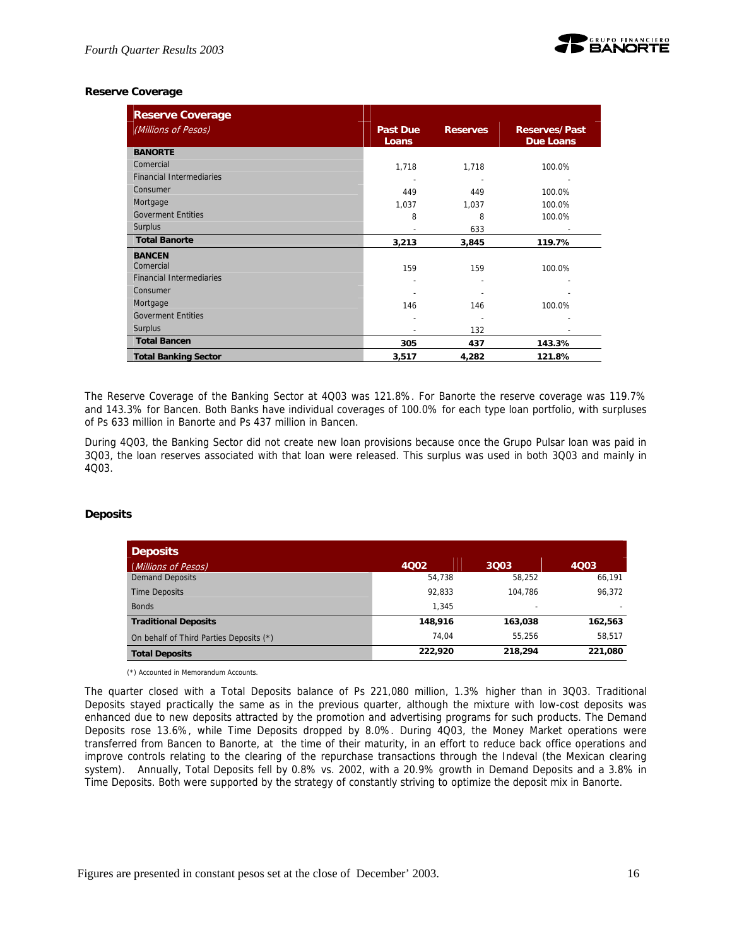

## **Reserve Coverage**

| <b>Reserve Coverage</b>         |                          |                 |                                          |
|---------------------------------|--------------------------|-----------------|------------------------------------------|
| (Millions of Pesos)             | <b>Past Due</b><br>Loans | <b>Reserves</b> | <b>Reserves/Past</b><br><b>Due Loans</b> |
| <b>BANORTE</b>                  |                          |                 |                                          |
| Comercial                       | 1,718                    | 1,718           | 100.0%                                   |
| <b>Financial Intermediaries</b> |                          |                 |                                          |
| Consumer                        | 449                      | 449             | 100.0%                                   |
| Mortgage                        | 1,037                    | 1,037           | 100.0%                                   |
| <b>Goverment Entities</b>       | 8                        | 8               | 100.0%                                   |
| <b>Surplus</b>                  |                          | 633             | $\overline{\phantom{a}}$                 |
| <b>Total Banorte</b>            | 3,213                    | 3,845           | 119.7%                                   |
| <b>BANCEN</b>                   |                          |                 |                                          |
| Comercial                       | 159                      | 159             | 100.0%                                   |
| <b>Financial Intermediaries</b> |                          |                 |                                          |
| Consumer                        |                          |                 |                                          |
| Mortgage                        | 146                      | 146             | 100.0%                                   |
| <b>Goverment Entities</b>       | $\overline{\phantom{0}}$ |                 |                                          |
| <b>Surplus</b>                  |                          | 132             |                                          |
| <b>Total Bancen</b>             | 305                      | 437             | 143.3%                                   |
| <b>Total Banking Sector</b>     | 3,517                    | 4,282           | 121.8%                                   |

The Reserve Coverage of the Banking Sector at 4Q03 was 121.8%. For Banorte the reserve coverage was 119.7% and 143.3% for Bancen. Both Banks have individual coverages of 100.0% for each type loan portfolio, with surpluses of Ps 633 million in Banorte and Ps 437 million in Bancen.

During 4Q03, the Banking Sector did not create new loan provisions because once the Grupo Pulsar loan was paid in 3Q03, the loan reserves associated with that loan were released. This surplus was used in both 3Q03 and mainly in 4Q03.

#### **Deposits**

| <b>Deposits</b>                         |         |         |         |
|-----------------------------------------|---------|---------|---------|
| (Millions of Pesos)                     | 4002    | 3003    | 4003    |
| <b>Demand Deposits</b>                  | 54,738  | 58.252  | 66,191  |
| <b>Time Deposits</b>                    | 92.833  | 104.786 | 96.372  |
| <b>Bonds</b>                            | 1.345   | -       |         |
| <b>Traditional Deposits</b>             | 148,916 | 163.038 | 162,563 |
| On behalf of Third Parties Deposits (*) | 74.04   | 55.256  | 58,517  |
| <b>Total Deposits</b>                   | 222,920 | 218,294 | 221,080 |

(\*) Accounted in Memorandum Accounts.

The quarter closed with a Total Deposits balance of Ps 221,080 million, 1.3% higher than in 3Q03. Traditional Deposits stayed practically the same as in the previous quarter, although the mixture with low-cost deposits was enhanced due to new deposits attracted by the promotion and advertising programs for such products. The Demand Deposits rose 13.6%, while Time Deposits dropped by 8.0%. During 4Q03, the Money Market operations were transferred from Bancen to Banorte, at the time of their maturity, in an effort to reduce back office operations and improve controls relating to the clearing of the repurchase transactions through the Indeval (the Mexican clearing system). Annually, Total Deposits fell by 0.8% vs. 2002, with a 20.9% growth in Demand Deposits and a 3.8% in Time Deposits. Both were supported by the strategy of constantly striving to optimize the deposit mix in Banorte.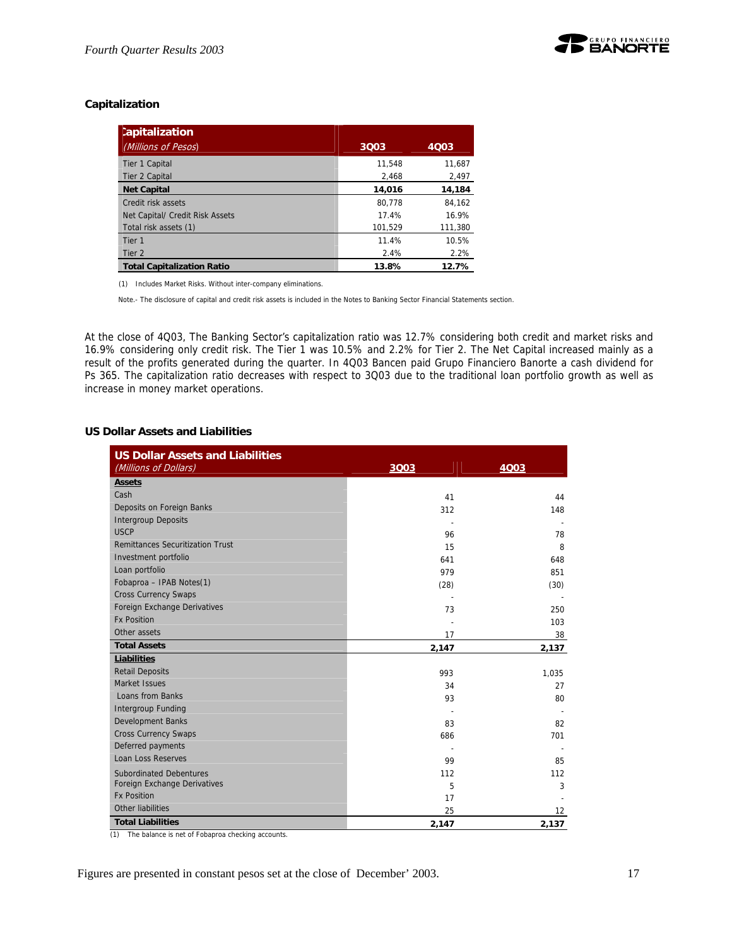## **Capitalization**

| <b>Capitalization</b><br>(Millions of Pesos) | 3003    | 4Q03    |
|----------------------------------------------|---------|---------|
|                                              |         |         |
| Tier 1 Capital                               | 11.548  | 11.687  |
| Tier 2 Capital                               | 2.468   | 2,497   |
| <b>Net Capital</b>                           | 14,016  | 14,184  |
| Credit risk assets                           | 80.778  | 84.162  |
| Net Capital/ Credit Risk Assets              | 17.4%   | 16.9%   |
| Total risk assets (1)                        | 101,529 | 111,380 |
| Tier <sub>1</sub>                            | 11.4%   | 10.5%   |
| Tier 2                                       | 2.4%    | 2.2%    |
| <b>Total Capitalization Ratio</b>            | 13.8%   | 12.7%   |

(1) Includes Market Risks. Without inter-company eliminations.

Note.- The disclosure of capital and credit risk assets is included in the Notes to Banking Sector Financial Statements section.

At the close of 4Q03, The Banking Sector's capitalization ratio was 12.7% considering both credit and market risks and 16.9% considering only credit risk. The Tier 1 was 10.5% and 2.2% for Tier 2. The Net Capital increased mainly as a result of the profits generated during the quarter. In 4Q03 Bancen paid Grupo Financiero Banorte a cash dividend for Ps 365. The capitalization ratio decreases with respect to 3Q03 due to the traditional loan portfolio growth as well as increase in money market operations.

#### **US Dollar Assets and Liabilities**

| <b>US Dollar Assets and Liabilities</b><br>(Millions of Dollars) | 3003  | 4Q03  |
|------------------------------------------------------------------|-------|-------|
| <b>Assets</b>                                                    |       |       |
| Cash                                                             | 41    | 44    |
| Deposits on Foreign Banks                                        | 312   | 148   |
| <b>Intergroup Deposits</b>                                       |       |       |
| <b>USCP</b>                                                      | 96    | 78    |
| <b>Remittances Securitization Trust</b>                          | 15    | 8     |
| Investment portfolio                                             | 641   | 648   |
| Loan portfolio                                                   | 979   | 851   |
| Fobaproa - IPAB Notes(1)                                         | (28)  | (30)  |
| <b>Cross Currency Swaps</b>                                      |       |       |
| Foreign Exchange Derivatives                                     | 73    | 250   |
| <b>Fx Position</b>                                               |       | 103   |
| Other assets                                                     | 17    | 38    |
| <b>Total Assets</b>                                              | 2,147 | 2,137 |
| <b>Liabilities</b>                                               |       |       |
| <b>Retail Deposits</b>                                           | 993   | 1,035 |
| Market Issues                                                    | 34    | 27    |
| Loans from Banks                                                 | 93    | 80    |
| <b>Intergroup Funding</b>                                        |       |       |
| <b>Development Banks</b>                                         | 83    | 82    |
| <b>Cross Currency Swaps</b>                                      | 686   | 701   |
| Deferred payments                                                |       |       |
| <b>Loan Loss Reserves</b>                                        | 99    | 85    |
| <b>Subordinated Debentures</b>                                   | 112   | 112   |
| Foreign Exchange Derivatives                                     | 5     | 3     |
| <b>Fx Position</b>                                               | 17    |       |
| Other liabilities                                                | 25    | 12    |
| <b>Total Liabilities</b>                                         | 2,147 | 2,137 |

(1) The balance is net of Fobaproa checking accounts.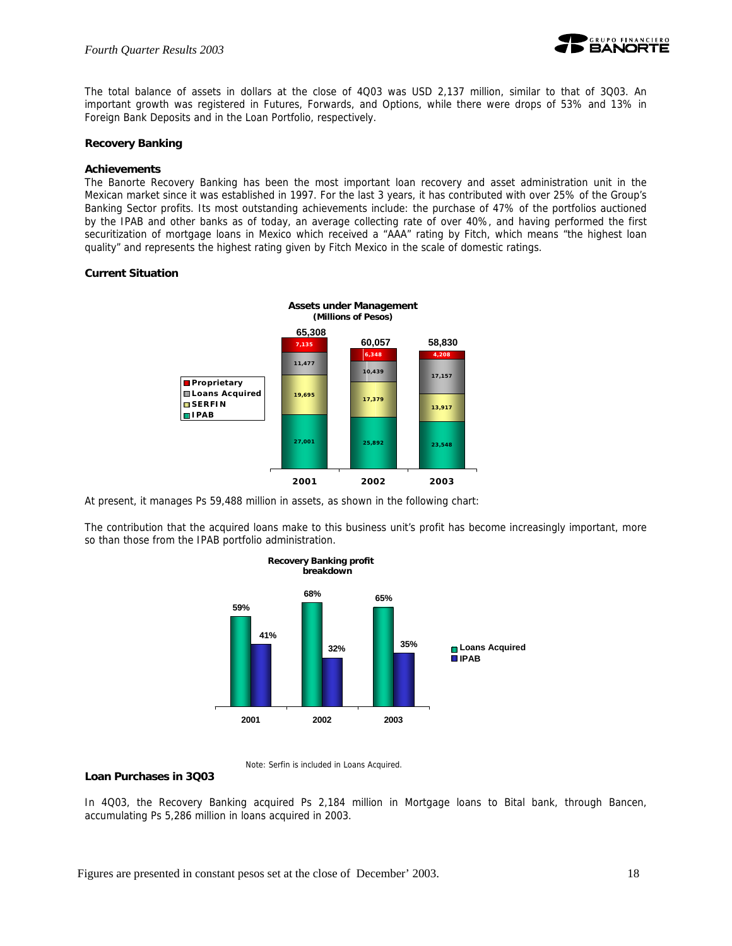

The total balance of assets in dollars at the close of 4Q03 was USD 2,137 million, similar to that of 3Q03. An important growth was registered in Futures, Forwards, and Options, while there were drops of 53% and 13% in Foreign Bank Deposits and in the Loan Portfolio, respectively.

#### **Recovery Banking**

#### **Achievements**

The Banorte Recovery Banking has been the most important loan recovery and asset administration unit in the Mexican market since it was established in 1997. For the last 3 years, it has contributed with over 25% of the Group's Banking Sector profits. Its most outstanding achievements include: the purchase of 47% of the portfolios auctioned by the IPAB and other banks as of today, an average collecting rate of over 40%, and having performed the first securitization of mortgage loans in Mexico which received a "AAA" rating by Fitch, which means "the highest loan quality" and represents the highest rating given by Fitch Mexico in the scale of domestic ratings.

#### **Current Situation**



At present, it manages Ps 59,488 million in assets, as shown in the following chart:

The contribution that the acquired loans make to this business unit's profit has become increasingly important, more so than those from the IPAB portfolio administration.



Note: Serfin is included in Loans Acquired.

#### **Loan Purchases in 3Q03**

In 4Q03, the Recovery Banking acquired Ps 2,184 million in Mortgage loans to Bital bank, through Bancen, accumulating Ps 5,286 million in loans acquired in 2003.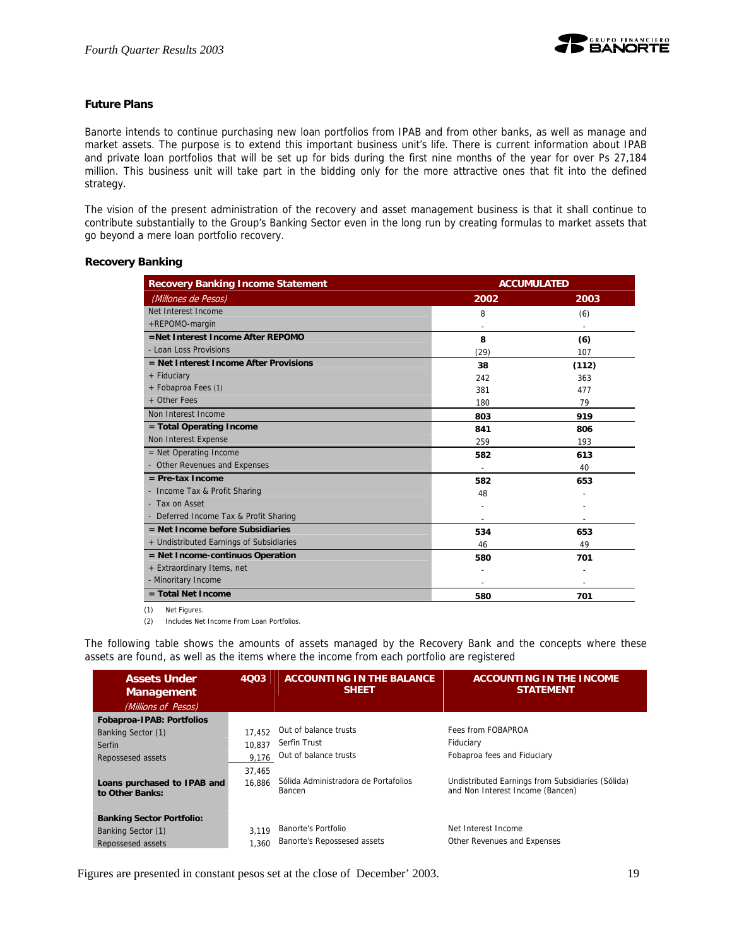#### **Future Plans**

Banorte intends to continue purchasing new loan portfolios from IPAB and from other banks, as well as manage and market assets. The purpose is to extend this important business unit's life. There is current information about IPAB and private loan portfolios that will be set up for bids during the first nine months of the year for over Ps 27,184 million. This business unit will take part in the bidding only for the more attractive ones that fit into the defined strategy.

The vision of the present administration of the recovery and asset management business is that it shall continue to contribute substantially to the Group's Banking Sector even in the long run by creating formulas to market assets that go beyond a mere loan portfolio recovery.

#### **Recovery Banking**

| <b>Recovery Banking Income Statement</b> | <b>ACCUMULATED</b> |       |  |
|------------------------------------------|--------------------|-------|--|
| (Millones de Pesos)                      | 2002               | 2003  |  |
| Net Interest Income                      | 8                  | (6)   |  |
| +REPOMO-margin                           |                    |       |  |
| =Net Interest Income After REPOMO        | 8                  | (6)   |  |
| - Loan Loss Provisions                   | (29)               | 107   |  |
| $=$ Net Interest Income After Provisions | 38                 | (112) |  |
| + Fiduciary                              | 242                | 363   |  |
| + Fobaproa Fees (1)                      | 381                | 477   |  |
| + Other Fees                             | 180                | 79    |  |
| Non Interest Income                      | 803                | 919   |  |
| = Total Operating Income                 | 841                | 806   |  |
| Non Interest Expense                     | 259                | 193   |  |
| $=$ Net Operating Income                 | 582                | 613   |  |
| - Other Revenues and Expenses            |                    | 40    |  |
| $=$ Pre-tax Income                       | 582                | 653   |  |
| - Income Tax & Profit Sharing            | 48                 |       |  |
| - Tax on Asset                           |                    |       |  |
| - Deferred Income Tax & Profit Sharing   |                    |       |  |
| $=$ Net Income before Subsidiaries       | 534                | 653   |  |
| + Undistributed Earnings of Subsidiaries | 46                 | 49    |  |
| = Net Income-continuos Operation         | 580                | 701   |  |
| + Extraordinary Items, net               |                    |       |  |
| - Minoritary Income                      |                    |       |  |
| = Total Net Income                       | 580                | 701   |  |

(1) Net Figures.

(2) Includes Net Income From Loan Portfolios.

The following table shows the amounts of assets managed by the Recovery Bank and the concepts where these assets are found, as well as the items where the income from each portfolio are registered

| <b>Assets Under</b><br><b>Management</b>       | 4003   | <b>ACCOUNTING IN THE BALANCE</b><br><b>SHEET</b> | <b>ACCOUNTING IN THE INCOME</b><br><b>STATEMENT</b>                                   |
|------------------------------------------------|--------|--------------------------------------------------|---------------------------------------------------------------------------------------|
| (Millions of Pesos)                            |        |                                                  |                                                                                       |
| <b>Fobaproa-IPAB: Portfolios</b>               |        |                                                  |                                                                                       |
| Banking Sector (1)                             | 17.452 | Out of balance trusts                            | Fees from FOBAPROA                                                                    |
| Serfin                                         | 10.837 | Serfin Trust                                     | Fiduciary                                                                             |
| Repossesed assets                              | 9.176  | Out of balance trusts                            | Fobaproa fees and Fiduciary                                                           |
|                                                | 37,465 |                                                  |                                                                                       |
| Loans purchased to IPAB and<br>to Other Banks: | 16.886 | Sólida Administradora de Portafolios<br>Bancen   | Undistributed Earnings from Subsidiaries (Sólida)<br>and Non Interest Income (Bancen) |
| <b>Banking Sector Portfolio:</b>               |        |                                                  |                                                                                       |
| Banking Sector (1)                             | 3.119  | Banorte's Portfolio                              | Net Interest Income                                                                   |
| Repossesed assets                              | 1.360  | Banorte's Repossesed assets                      | Other Revenues and Expenses                                                           |

Figures are presented in constant pesos set at the close of December' 2003. 19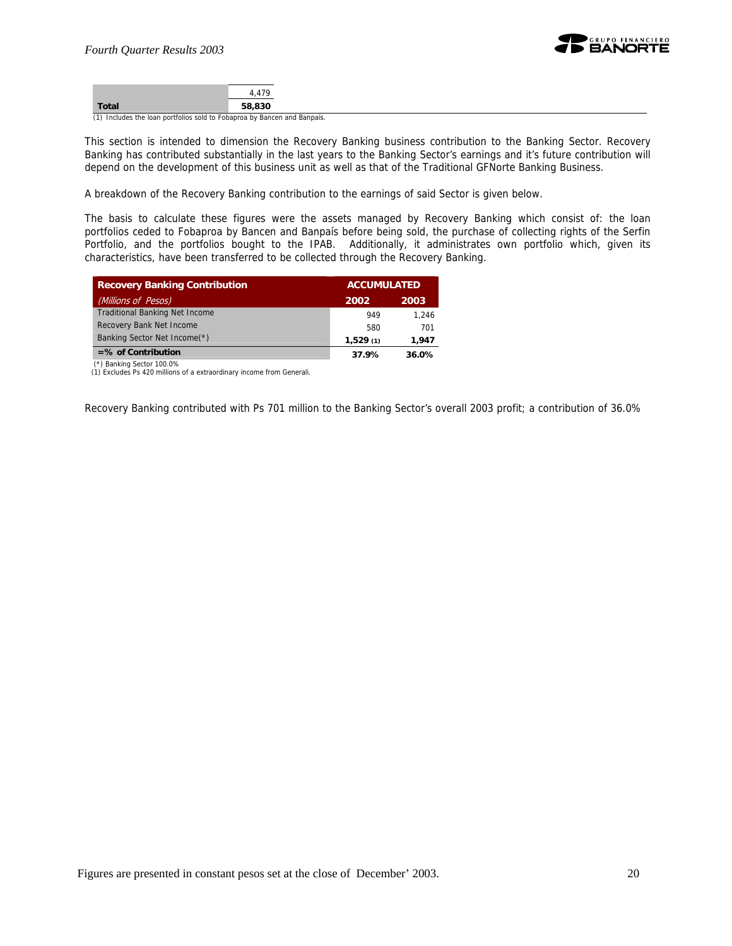| <b>Total</b> | 58,830 |
|--------------|--------|

(1) Includes the loan portfolios sold to Fobaproa by Bancen and Banpaís.

This section is intended to dimension the Recovery Banking business contribution to the Banking Sector. Recovery Banking has contributed substantially in the last years to the Banking Sector's earnings and it's future contribution will depend on the development of this business unit as well as that of the Traditional GFNorte Banking Business.

A breakdown of the Recovery Banking contribution to the earnings of said Sector is given below.

The basis to calculate these figures were the assets managed by Recovery Banking which consist of: the loan portfolios ceded to Fobaproa by Bancen and Banpaís before being sold, the purchase of collecting rights of the Serfin Portfolio, and the portfolios bought to the IPAB. Additionally, it administrates own portfolio which, given its characteristics, have been transferred to be collected through the Recovery Banking.

| <b>Recovery Banking Contribution</b>  |          | <b>ACCUMULATED</b> |  |
|---------------------------------------|----------|--------------------|--|
| (Millions of Pesos)                   | 2002     | 2003               |  |
| <b>Traditional Banking Net Income</b> | 949      | 1.246              |  |
| Recovery Bank Net Income              | 580      | 701                |  |
| Banking Sector Net Income(*)          | 1,529(1) | 1.947              |  |
| $=$ % of Contribution                 | 37.9%    | 36.0%              |  |

(\*) Banking Sector 100.0%

(1) Excludes Ps 420 millions of a extraordinary income from Generali.

Recovery Banking contributed with Ps 701 million to the Banking Sector's overall 2003 profit; a contribution of 36.0%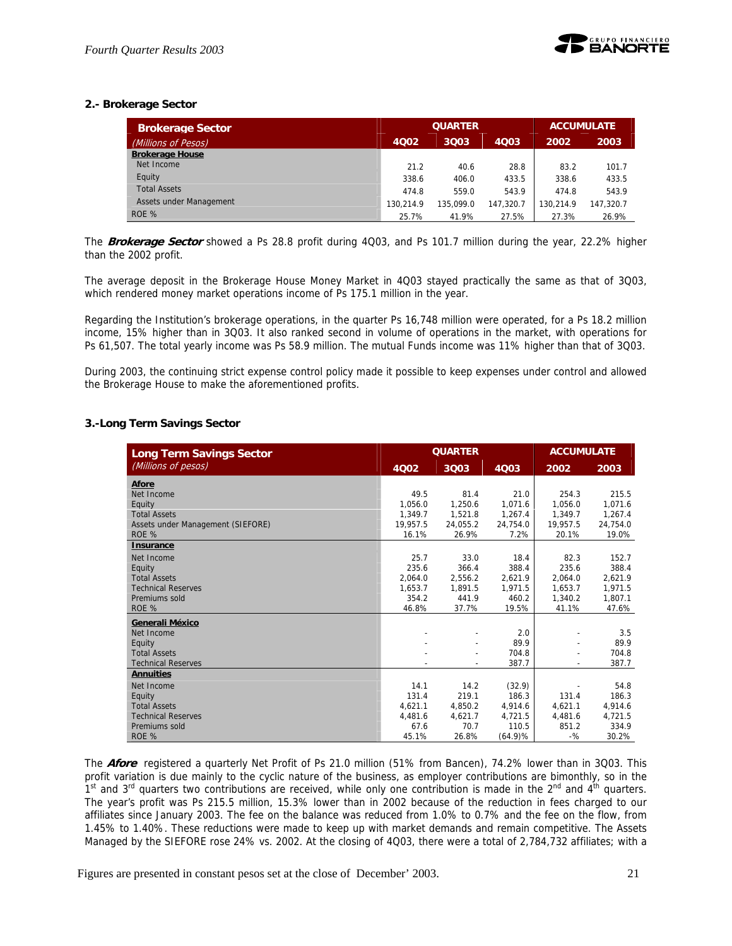

#### **2.- Brokerage Sector**

| <b>Brokerage Sector</b> | <b>QUARTER</b> |           |           | <b>ACCUMULATE</b> |           |
|-------------------------|----------------|-----------|-----------|-------------------|-----------|
| (Millions of Pesos)     | 4002           | 3003      | 4003      | 2002              | 2003      |
| <b>Brokerage House</b>  |                |           |           |                   |           |
| Net Income              | 21.2           | 40.6      | 28.8      | 83.2              | 101.7     |
| Equity                  | 338.6          | 406.0     | 433.5     | 338.6             | 433.5     |
| <b>Total Assets</b>     | 474.8          | 559.0     | 543.9     | 474.8             | 543.9     |
| Assets under Management | 130.214.9      | 135,099.0 | 147.320.7 | 130.214.9         | 147.320.7 |
| ROE %                   | 25.7%          | 41.9%     | 27.5%     | 27.3%             | 26.9%     |

The **Brokerage Sector** showed a Ps 28.8 profit during 4Q03, and Ps 101.7 million during the year, 22.2% higher than the 2002 profit.

The average deposit in the Brokerage House Money Market in 4Q03 stayed practically the same as that of 3Q03, which rendered money market operations income of Ps 175.1 million in the year.

Regarding the Institution's brokerage operations, in the quarter Ps 16,748 million were operated, for a Ps 18.2 million income, 15% higher than in 3Q03. It also ranked second in volume of operations in the market, with operations for Ps 61,507. The total yearly income was Ps 58.9 million. The mutual Funds income was 11% higher than that of 3Q03.

During 2003, the continuing strict expense control policy made it possible to keep expenses under control and allowed the Brokerage House to make the aforementioned profits.

#### **3.-Long Term Savings Sector**

| Long Term Savings Sector          | <b>QUARTER</b> |                |          | <b>ACCUMULATE</b> |          |
|-----------------------------------|----------------|----------------|----------|-------------------|----------|
| (Millions of pesos)               | 4Q02           | 3Q03           | 4Q03     | 2002              | 2003     |
| Afore                             |                |                |          |                   |          |
| Net Income                        | 49.5           | 81.4           | 21.0     | 254.3             | 215.5    |
| Equity                            | 1.056.0        | 1,250.6        | 1,071.6  | 1,056.0           | 1,071.6  |
| <b>Total Assets</b>               | 1.349.7        | 1.521.8        | 1.267.4  | 1.349.7           | 1.267.4  |
| Assets under Management (SIEFORE) | 19,957.5       | 24,055.2       | 24,754.0 | 19,957.5          | 24,754.0 |
| ROE %                             | 16.1%          | 26.9%          | 7.2%     | 20.1%             | 19.0%    |
| <b>Insurance</b>                  |                |                |          |                   |          |
| Net Income                        | 25.7           | 33.0           | 18.4     | 82.3              | 152.7    |
| Equity                            | 235.6          | 366.4          | 388.4    | 235.6             | 388.4    |
| <b>Total Assets</b>               | 2,064.0        | 2,556.2        | 2,621.9  | 2,064.0           | 2,621.9  |
| <b>Technical Reserves</b>         | 1,653.7        | 1,891.5        | 1.971.5  | 1.653.7           | 1,971.5  |
| Premiums sold                     | 354.2          | 441.9          | 460.2    | 1.340.2           | 1.807.1  |
| ROE %                             | 46.8%          | 37.7%          | 19.5%    | 41.1%             | 47.6%    |
| Generali México                   |                |                |          |                   |          |
| Net Income                        |                |                | 2.0      |                   | 3.5      |
| Equity                            |                |                | 89.9     |                   | 89.9     |
| <b>Total Assets</b>               |                |                | 704.8    |                   | 704.8    |
| <b>Technical Reserves</b>         |                | $\overline{a}$ | 387.7    | $\overline{a}$    | 387.7    |
| <b>Annuities</b>                  |                |                |          |                   |          |
| Net Income                        | 14.1           | 14.2           | (32.9)   |                   | 54.8     |
| Equity                            | 131.4          | 219.1          | 186.3    | 131.4             | 186.3    |
| <b>Total Assets</b>               | 4.621.1        | 4.850.2        | 4.914.6  | 4.621.1           | 4.914.6  |
| <b>Technical Reserves</b>         | 4,481.6        | 4,621.7        | 4,721.5  | 4,481.6           | 4,721.5  |
| Premiums sold                     | 67.6           | 70.7           | 110.5    | 851.2             | 334.9    |
| ROE %                             | 45.1%          | 26.8%          | (64.9)%  | $-$ %             | 30.2%    |

The **Afore** registered a quarterly Net Profit of Ps 21.0 million (51% from Bancen), 74.2% lower than in 3Q03. This profit variation is due mainly to the cyclic nature of the business, as employer contributions are bimonthly, so in the  $1<sup>st</sup>$  and  $3<sup>rd</sup>$  quarters two contributions are received, while only one contribution is made in the  $2<sup>nd</sup>$  and  $4<sup>th</sup>$  quarters. The year's profit was Ps 215.5 million, 15.3% lower than in 2002 because of the reduction in fees charged to our affiliates since January 2003. The fee on the balance was reduced from 1.0% to 0.7% and the fee on the flow, from 1.45% to 1.40%. These reductions were made to keep up with market demands and remain competitive. The Assets Managed by the SIEFORE rose 24% vs. 2002. At the closing of 4Q03, there were a total of 2,784,732 affiliates; with a

Figures are presented in constant pesos set at the close of December' 2003. 21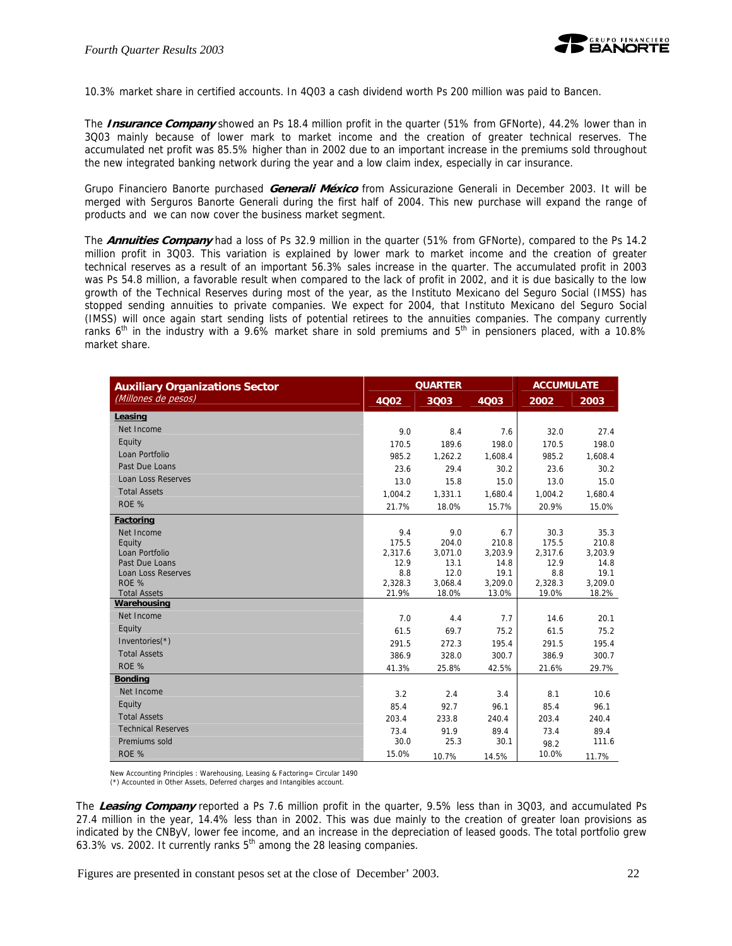

10.3% market share in certified accounts. In 4Q03 a cash dividend worth Ps 200 million was paid to Bancen.

The **Insurance Company** showed an Ps 18.4 million profit in the quarter (51% from GFNorte), 44.2% lower than in 3Q03 mainly because of lower mark to market income and the creation of greater technical reserves. The accumulated net profit was 85.5% higher than in 2002 due to an important increase in the premiums sold throughout the new integrated banking network during the year and a low claim index, especially in car insurance.

Grupo Financiero Banorte purchased **Generali México** from Assicurazione Generali in December 2003. It will be merged with Serguros Banorte Generali during the first half of 2004. This new purchase will expand the range of products and we can now cover the business market segment.

The **Annuities Company** had a loss of Ps 32.9 million in the quarter (51% from GFNorte), compared to the Ps 14.2 million profit in 3Q03. This variation is explained by lower mark to market income and the creation of greater technical reserves as a result of an important 56.3% sales increase in the quarter. The accumulated profit in 2003 was Ps 54.8 million, a favorable result when compared to the lack of profit in 2002, and it is due basically to the low growth of the Technical Reserves during most of the year, as the Instituto Mexicano del Seguro Social (IMSS) has stopped sending annuities to private companies. We expect for 2004, that Instituto Mexicano del Seguro Social (IMSS) will once again start sending lists of potential retirees to the annuities companies. The company currently ranks 6<sup>th</sup> in the industry with a 9.6% market share in sold premiums and  $5<sup>th</sup>$  in pensioners placed, with a 10.8% market share.

| <b>Auxiliary Organizations Sector</b> | <b>QUARTER</b> |              |                 | <b>ACCUMULATE</b> |                 |
|---------------------------------------|----------------|--------------|-----------------|-------------------|-----------------|
| (Millones de pesos)                   | <b>4Q02</b>    | 3Q03         | 4Q03            | 2002              | 2003            |
| Leasing                               |                |              |                 |                   |                 |
| Net Income                            | 9.0            | 8.4          | 7.6             | 32.0              | 27.4            |
| Equity                                | 170.5          | 189.6        | 198.0           | 170.5             | 198.0           |
| Loan Portfolio                        | 985.2          | 1,262.2      | 1,608.4         | 985.2             | 1,608.4         |
| Past Due Loans                        | 23.6           | 29.4         | 30.2            | 23.6              | 30.2            |
| <b>Loan Loss Reserves</b>             | 13.0           | 15.8         | 15.0            | 13.0              | 15.0            |
| <b>Total Assets</b>                   | 1.004.2        | 1,331.1      | 1,680.4         | 1,004.2           | 1,680.4         |
| ROE %                                 | 21.7%          | 18.0%        | 15.7%           | 20.9%             | 15.0%           |
| Factoring                             |                |              |                 |                   |                 |
| Net Income                            | 9.4            | 9.0          | 6.7             | 30.3              | 35.3            |
| Equity                                | 175.5          | 204.0        | 210.8           | 175.5             | 210.8           |
| Loan Portfolio                        | 2,317.6        | 3,071.0      | 3,203.9         | 2,317.6           | 3,203.9         |
| Past Due Loans                        | 12.9           | 13.1<br>12.0 | 14.8            | 12.9              | 14.8            |
| <b>Loan Loss Reserves</b><br>ROE %    | 8.8<br>2,328.3 | 3,068.4      | 19.1<br>3,209.0 | 8.8<br>2,328.3    | 19.1<br>3,209.0 |
| <b>Total Assets</b>                   | 21.9%          | 18.0%        | 13.0%           | 19.0%             | 18.2%           |
| Warehousing                           |                |              |                 |                   |                 |
| Net Income                            | 7.0            | 4.4          | 7.7             | 14.6              | 20.1            |
| Equity                                | 61.5           | 69.7         | 75.2            | 61.5              | 75.2            |
| Inventories(*)                        | 291.5          | 272.3        | 195.4           | 291.5             | 195.4           |
| <b>Total Assets</b>                   | 386.9          | 328.0        | 300.7           | 386.9             | 300.7           |
| ROE %                                 | 41.3%          | 25.8%        | 42.5%           | 21.6%             | 29.7%           |
| <b>Bonding</b>                        |                |              |                 |                   |                 |
| Net Income                            | 3.2            | 2.4          | 3.4             | 8.1               | 10.6            |
| Equity                                | 85.4           | 92.7         | 96.1            | 85.4              | 96.1            |
| <b>Total Assets</b>                   | 203.4          | 233.8        | 240.4           | 203.4             | 240.4           |
| <b>Technical Reserves</b>             | 73.4           | 91.9         | 89.4            | 73.4              | 89.4            |
| Premiums sold                         | 30.0           | 25.3         | 30.1            | 98.2              | 111.6           |
| ROE %                                 | 15.0%          | 10.7%        | 14.5%           | 10.0%             | 11.7%           |

New Accounting Principles : Warehousing, Leasing & Factoring= Circular 1490 (\*) Accounted in Other Assets, Deferred charges and Intangibles account.

The **Leasing Company** reported a Ps 7.6 million profit in the quarter, 9.5% less than in 3Q03, and accumulated Ps 27.4 million in the year, 14.4% less than in 2002. This was due mainly to the creation of greater loan provisions as indicated by the CNByV, lower fee income, and an increase in the depreciation of leased goods. The total portfolio grew 63.3% vs. 2002. It currently ranks  $5<sup>th</sup>$  among the 28 leasing companies.

Figures are presented in constant pesos set at the close of December' 2003. 22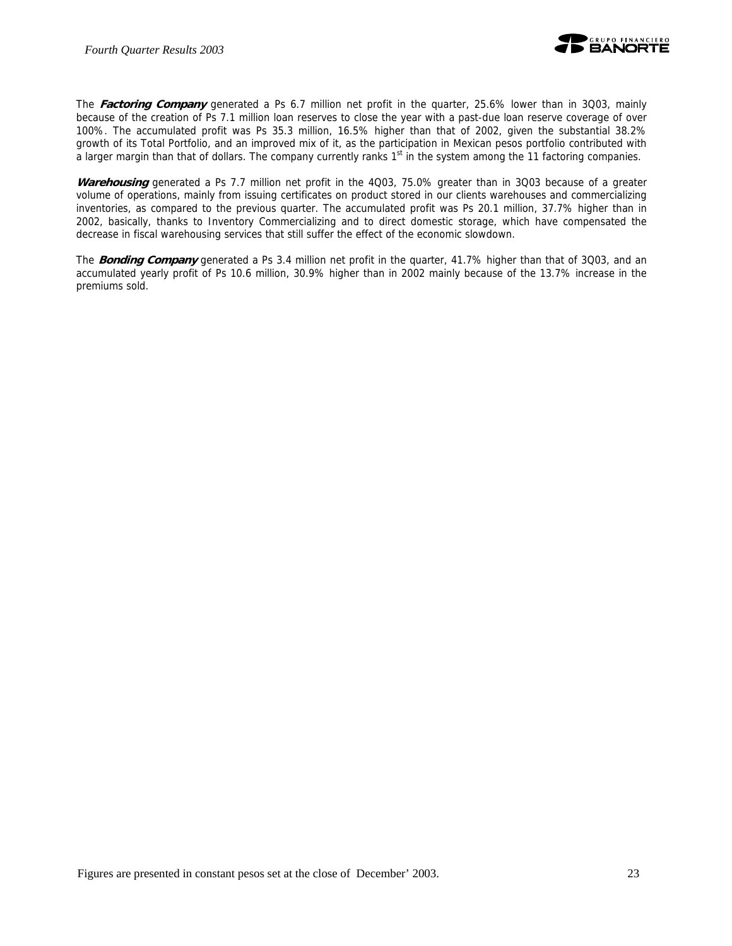

The **Factoring Company** generated a Ps 6.7 million net profit in the quarter, 25.6% lower than in 3Q03, mainly because of the creation of Ps 7.1 million loan reserves to close the year with a past-due loan reserve coverage of over 100%. The accumulated profit was Ps 35.3 million, 16.5% higher than that of 2002, given the substantial 38.2% growth of its Total Portfolio, and an improved mix of it, as the participation in Mexican pesos portfolio contributed with a larger margin than that of dollars. The company currently ranks 1<sup>st</sup> in the system among the 11 factoring companies.

**Warehousing** generated a Ps 7.7 million net profit in the 4Q03, 75.0% greater than in 3Q03 because of a greater volume of operations, mainly from issuing certificates on product stored in our clients warehouses and commercializing inventories, as compared to the previous quarter. The accumulated profit was Ps 20.1 million, 37.7% higher than in 2002, basically, thanks to Inventory Commercializing and to direct domestic storage, which have compensated the decrease in fiscal warehousing services that still suffer the effect of the economic slowdown.

The **Bonding Company** generated a Ps 3.4 million net profit in the quarter, 41.7% higher than that of 3Q03, and an accumulated yearly profit of Ps 10.6 million, 30.9% higher than in 2002 mainly because of the 13.7% increase in the premiums sold.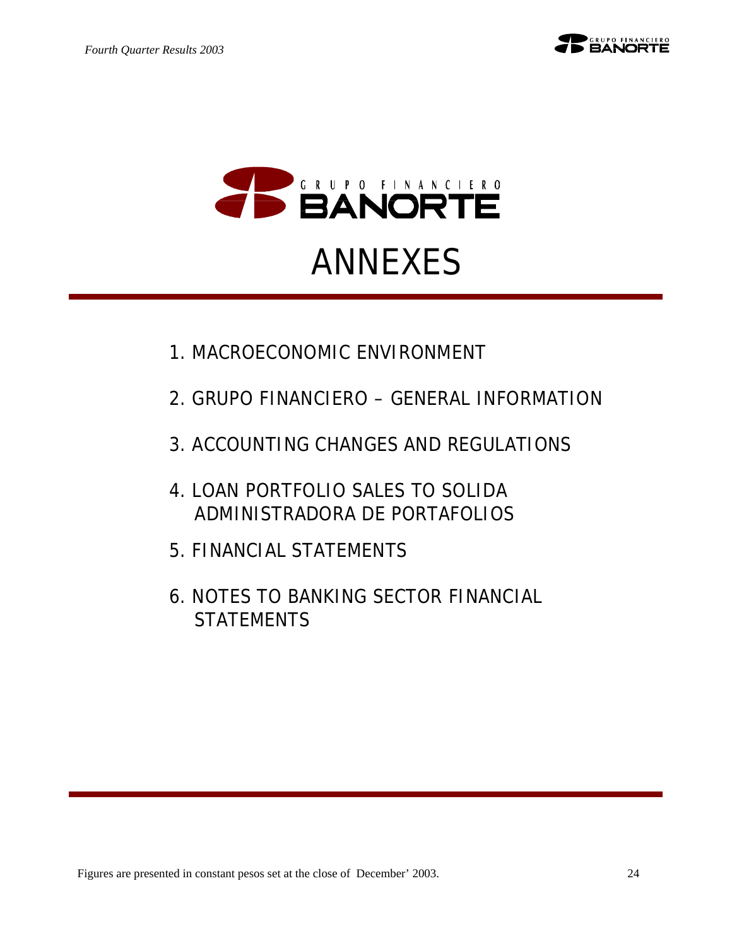

# ANNEXES

- 1.MACROECONOMIC ENVIRONMENT
- 2.GRUPO FINANCIERO GENERAL INFORMATION
- 3.ACCOUNTING CHANGES AND REGULATIONS
- 4.LOAN PORTFOLIO SALES TO SOLIDA ADMINISTRADORA DE PORTAFOLIOS
- 5.FINANCIAL STATEMENTS
- 6.NOTES TO BANKING SECTOR FINANCIAL **STATEMENTS**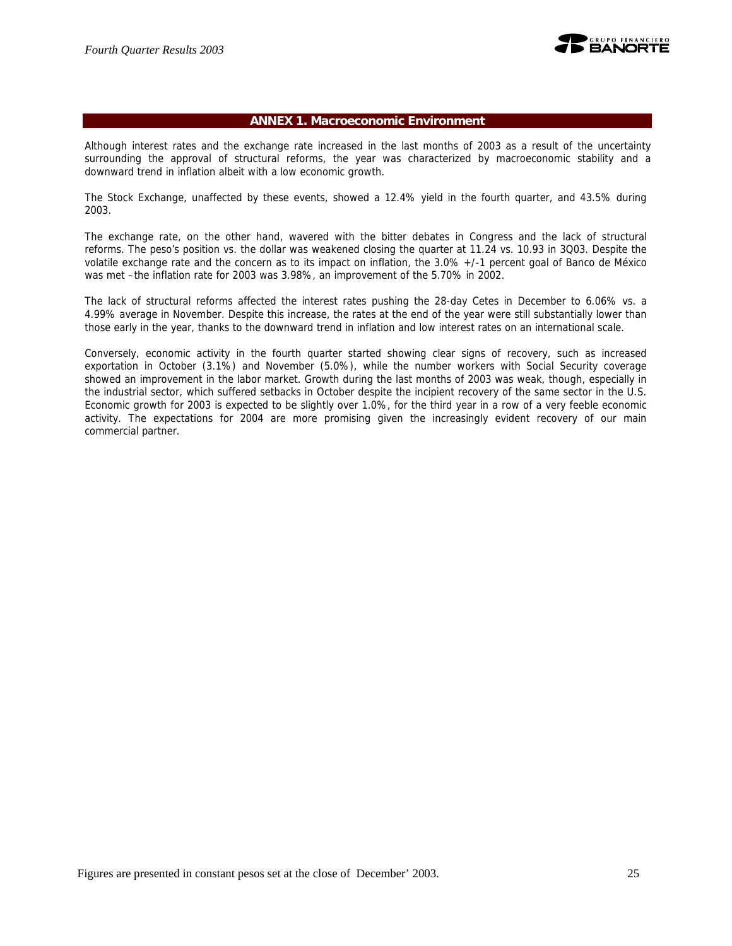

#### **ANNEX 1. Macroeconomic Environment**

Although interest rates and the exchange rate increased in the last months of 2003 as a result of the uncertainty surrounding the approval of structural reforms, the year was characterized by macroeconomic stability and a downward trend in inflation albeit with a low economic growth.

The Stock Exchange, unaffected by these events, showed a 12.4% yield in the fourth quarter, and 43.5% during 2003.

The exchange rate, on the other hand, wavered with the bitter debates in Congress and the lack of structural reforms. The peso's position vs. the dollar was weakened closing the quarter at 11.24 vs. 10.93 in 3Q03. Despite the volatile exchange rate and the concern as to its impact on inflation, the 3.0% +/-1 percent goal of Banco de México was met –the inflation rate for 2003 was 3.98%, an improvement of the 5.70% in 2002.

The lack of structural reforms affected the interest rates pushing the 28-day Cetes in December to 6.06% vs. a 4.99% average in November. Despite this increase, the rates at the end of the year were still substantially lower than those early in the year, thanks to the downward trend in inflation and low interest rates on an international scale.

Conversely, economic activity in the fourth quarter started showing clear signs of recovery, such as increased exportation in October (3.1%) and November (5.0%), while the number workers with Social Security coverage showed an improvement in the labor market. Growth during the last months of 2003 was weak, though, especially in the industrial sector, which suffered setbacks in October despite the incipient recovery of the same sector in the U.S. Economic growth for 2003 is expected to be slightly over 1.0%, for the third year in a row of a very feeble economic activity. The expectations for 2004 are more promising given the increasingly evident recovery of our main commercial partner.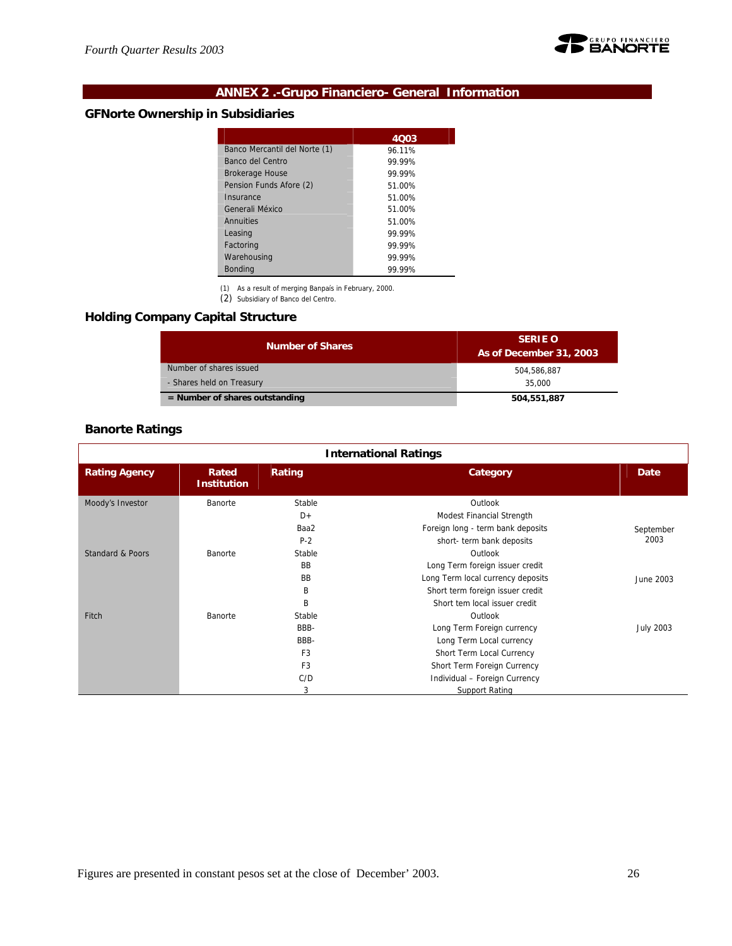

## **ANNEX 2 .-Grupo Financiero- General Information**

## **GFNorte Ownership in Subsidiaries**

|                               | 4003   |
|-------------------------------|--------|
| Banco Mercantil del Norte (1) | 96.11% |
| Banco del Centro              | 99.99% |
| <b>Brokerage House</b>        | 99.99% |
| Pension Funds Afore (2)       | 51.00% |
| Insurance                     | 51.00% |
| Generali México               | 51.00% |
| Annuities                     | 51.00% |
| Leasing                       | 99.99% |
| Factoring                     | 99.99% |
| Warehousing                   | 99.99% |
| <b>Bonding</b>                | 99.99% |

(1) As a result of merging Banpaís in February, 2000. (2) Subsidiary of Banco del Centro.

## **Holding Company Capital Structure**

| <b>Number of Shares</b>          | <b>SERIE O</b><br>As of December 31, 2003 |
|----------------------------------|-------------------------------------------|
| Number of shares issued          | 504.586.887                               |
| - Shares held on Treasury        | 35,000                                    |
| $=$ Number of shares outstanding | 504,551,887                               |

## **Banorte Ratings**

| <b>International Ratings</b> |                             |                |                                   |                  |  |
|------------------------------|-----------------------------|----------------|-----------------------------------|------------------|--|
| <b>Rating Agency</b>         | Rated<br><b>Institution</b> | Rating         | Category                          | Date             |  |
| Moody's Investor             | Banorte                     | Stable         | Outlook                           |                  |  |
|                              |                             | $D+$           | Modest Financial Strength         |                  |  |
|                              |                             | Baa2           | Foreign long - term bank deposits | September        |  |
|                              |                             | $P-2$          | short- term bank deposits         | 2003             |  |
| Standard & Poors             | Banorte                     | Stable         | Outlook                           |                  |  |
|                              |                             | <b>BB</b>      | Long Term foreign issuer credit   |                  |  |
|                              |                             | <b>BB</b>      | Long Term local currency deposits | June 2003        |  |
|                              |                             | B              | Short term foreign issuer credit  |                  |  |
|                              |                             | B              | Short tem local issuer credit     |                  |  |
| Fitch                        | Banorte                     | Stable         | Outlook                           |                  |  |
|                              |                             | BBB-           | Long Term Foreign currency        | <b>July 2003</b> |  |
|                              |                             | BBB-           | Long Term Local currency          |                  |  |
|                              |                             | F <sub>3</sub> | Short Term Local Currency         |                  |  |
|                              |                             | F <sub>3</sub> | Short Term Foreign Currency       |                  |  |
|                              |                             | C/D            | Individual - Foreign Currency     |                  |  |
|                              |                             | 3              | <b>Support Rating</b>             |                  |  |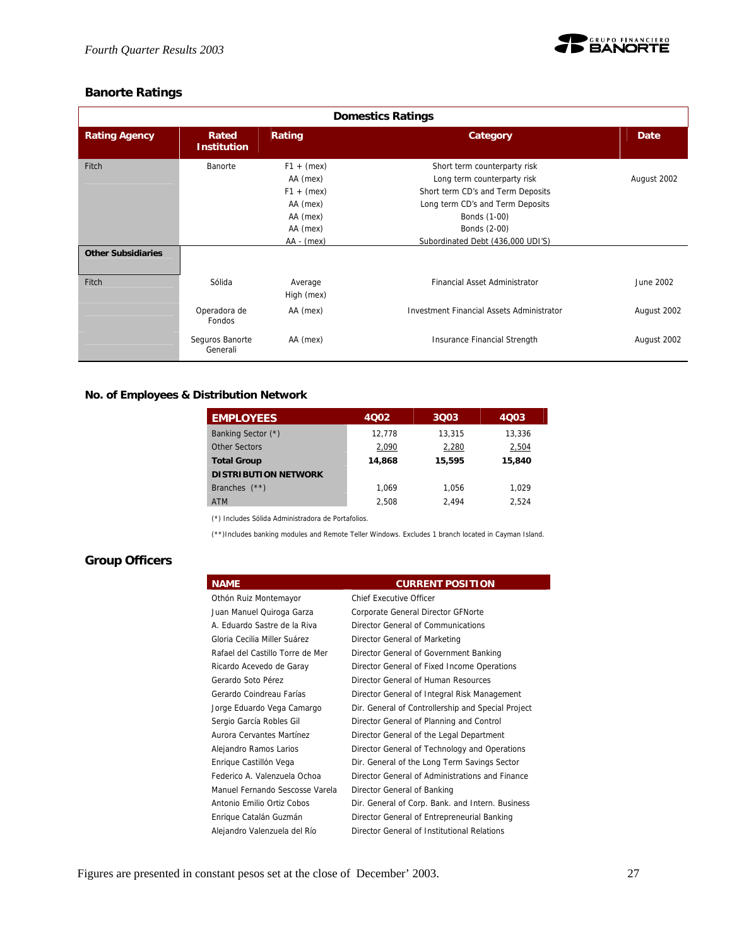

## **Banorte Ratings**

| <b>Domestics Ratings</b>  |                             |              |                                                  |             |  |
|---------------------------|-----------------------------|--------------|--------------------------------------------------|-------------|--|
| <b>Rating Agency</b>      | Rated<br><b>Institution</b> | Rating       | Category                                         | Date        |  |
| Fitch                     | Banorte                     | $F1 + (mex)$ | Short term counterparty risk                     |             |  |
|                           |                             | AA (mex)     | Long term counterparty risk                      | August 2002 |  |
|                           |                             | $F1 + (mex)$ | Short term CD's and Term Deposits                |             |  |
|                           |                             | AA (mex)     | Long term CD's and Term Deposits                 |             |  |
|                           |                             | AA (mex)     | Bonds (1-00)                                     |             |  |
|                           |                             | AA (mex)     | Bonds (2-00)                                     |             |  |
|                           |                             | $AA - (mex)$ | Subordinated Debt (436,000 UDI'S)                |             |  |
| <b>Other Subsidiaries</b> |                             |              |                                                  |             |  |
| Fitch                     | Sólida                      | Average      | Financial Asset Administrator                    | June 2002   |  |
|                           |                             | High (mex)   |                                                  |             |  |
|                           | Operadora de<br>Fondos      | AA (mex)     | <b>Investment Financial Assets Administrator</b> | August 2002 |  |
|                           | Seguros Banorte<br>Generali | AA (mex)     | Insurance Financial Strength                     | August 2002 |  |

## **No. of Employees & Distribution Network**

| <b>EMPLOYEES</b>            | 4002   | 3Q03   | 4003   |
|-----------------------------|--------|--------|--------|
| Banking Sector (*)          | 12.778 | 13,315 | 13.336 |
| Other Sectors               | 2,090  | 2,280  | 2,504  |
| <b>Total Group</b>          | 14,868 | 15,595 | 15,840 |
| <b>DISTRIBUTION NETWORK</b> |        |        |        |
| Branches $(**)$             | 1.069  | 1.056  | 1.029  |
| <b>ATM</b>                  | 2.508  | 2.494  | 2.524  |

(\*) Includes Sólida Administradora de Portafolios.

(\*\*)Includes banking modules and Remote Teller Windows. Excludes 1 branch located in Cayman Island.

## **Group Officers**

| <b>NAME</b>                      | <b>CURRENT POSITION</b>                            |
|----------------------------------|----------------------------------------------------|
| Othón Ruiz Montemayor            | <b>Chief Executive Officer</b>                     |
| Juan Manuel Quiroga Garza        | Corporate General Director GFNorte                 |
| A. Eduardo Sastre de la Riva     | Director General of Communications                 |
| Gloria Cecilia Miller Suárez     | Director General of Marketing                      |
| Rafael del Castillo Torre de Mer | Director General of Government Banking             |
| Ricardo Acevedo de Garay         | Director General of Fixed Income Operations        |
| Gerardo Soto Pérez               | Director General of Human Resources                |
| Gerardo Coindreau Farías         | Director General of Integral Risk Management       |
| Jorge Eduardo Vega Camargo       | Dir. General of Controllership and Special Project |
| Sergio García Robles Gil         | Director General of Planning and Control           |
| Aurora Cervantes Martínez        | Director General of the Legal Department           |
| Alejandro Ramos Larios           | Director General of Technology and Operations      |
| Enrique Castillón Vega           | Dir. General of the Long Term Savings Sector       |
| Federico A. Valenzuela Ochoa     | Director General of Administrations and Finance    |
| Manuel Fernando Sescosse Varela  | Director General of Banking                        |
| Antonio Emilio Ortiz Cobos       | Dir. General of Corp. Bank. and Intern. Business   |
| Enrique Catalán Guzmán           | Director General of Entrepreneurial Banking        |
| Alejandro Valenzuela del Río     | Director General of Institutional Relations        |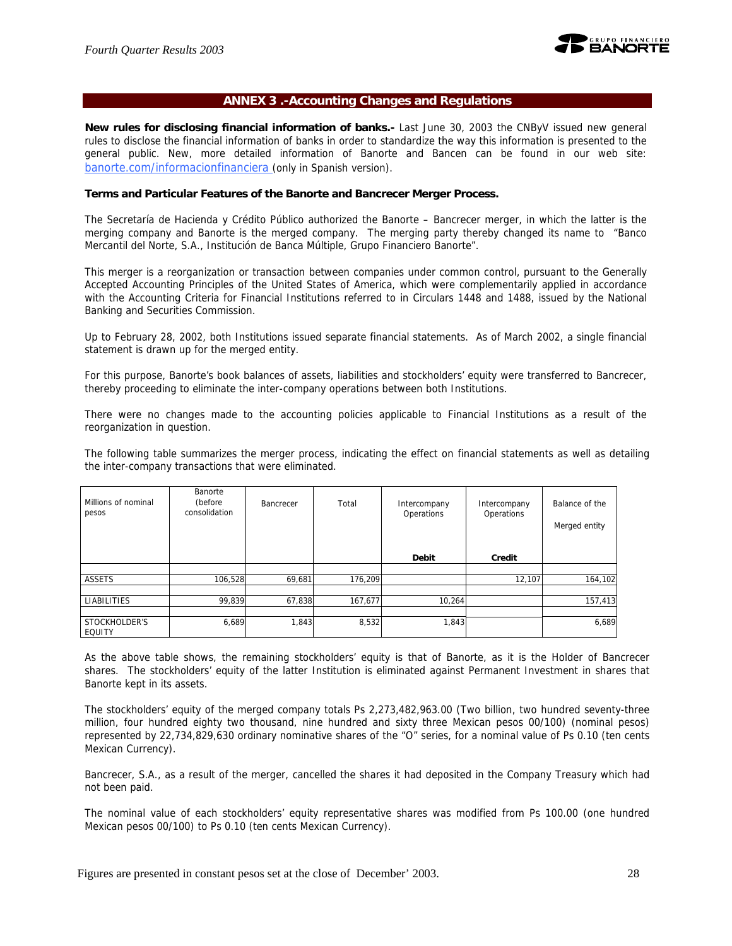

#### **ANNEX 3 .-Accounting Changes and Regulations**

**New rules for disclosing financial information of banks.-** Last June 30, 2003 the CNByV issued new general rules to disclose the financial information of banks in order to standardize the way this information is presented to the general public. New, more detailed information of Banorte and Bancen can be found in our web site: banorte.com/informacionfinanciera (only in Spanish version).

#### **Terms and Particular Features of the Banorte and Bancrecer Merger Process.**

The Secretaría de Hacienda y Crédito Público authorized the Banorte – Bancrecer merger, in which the latter is the merging company and Banorte is the merged company. The merging party thereby changed its name to "Banco Mercantil del Norte, S.A., Institución de Banca Múltiple, Grupo Financiero Banorte".

This merger is a reorganization or transaction between companies under common control, pursuant to the Generally Accepted Accounting Principles of the United States of America, which were complementarily applied in accordance with the Accounting Criteria for Financial Institutions referred to in Circulars 1448 and 1488, issued by the National Banking and Securities Commission.

Up to February 28, 2002, both Institutions issued separate financial statements. As of March 2002, a single financial statement is drawn up for the merged entity.

For this purpose, Banorte's book balances of assets, liabilities and stockholders' equity were transferred to Bancrecer, thereby proceeding to eliminate the inter-company operations between both Institutions.

There were no changes made to the accounting policies applicable to Financial Institutions as a result of the reorganization in question.

The following table summarizes the merger process, indicating the effect on financial statements as well as detailing the inter-company transactions that were eliminated.

| Millions of nominal<br>pesos | Banorte<br>(before<br>consolidation | Bancrecer | Total   | Intercompany<br>Operations | Intercompany<br>Operations | Balance of the<br>Merged entity |
|------------------------------|-------------------------------------|-----------|---------|----------------------------|----------------------------|---------------------------------|
|                              |                                     |           |         | <b>Debit</b>               | Credit                     |                                 |
|                              |                                     |           |         |                            |                            |                                 |
| ASSETS                       | 106,528                             | 69,681    | 176.209 |                            | 12,107                     | 164,102                         |
|                              |                                     |           |         |                            |                            |                                 |
| <b>LIABILITIES</b>           | 99,839                              | 67,838    | 167,677 | 10,264                     |                            | 157,413                         |
|                              |                                     |           |         |                            |                            |                                 |
| STOCKHOLDER'S<br>EQUITY      | 6,689                               | 1,843     | 8,532   | 1,843                      |                            | 6,689                           |

As the above table shows, the remaining stockholders' equity is that of Banorte, as it is the Holder of Bancrecer shares. The stockholders' equity of the latter Institution is eliminated against Permanent Investment in shares that Banorte kept in its assets.

The stockholders' equity of the merged company totals Ps 2,273,482,963.00 (Two billion, two hundred seventy-three million, four hundred eighty two thousand, nine hundred and sixty three Mexican pesos 00/100) (nominal pesos) represented by 22,734,829,630 ordinary nominative shares of the "O" series, for a nominal value of Ps 0.10 (ten cents Mexican Currency).

Bancrecer, S.A., as a result of the merger, cancelled the shares it had deposited in the Company Treasury which had not been paid.

The nominal value of each stockholders' equity representative shares was modified from Ps 100.00 (one hundred Mexican pesos 00/100) to Ps 0.10 (ten cents Mexican Currency).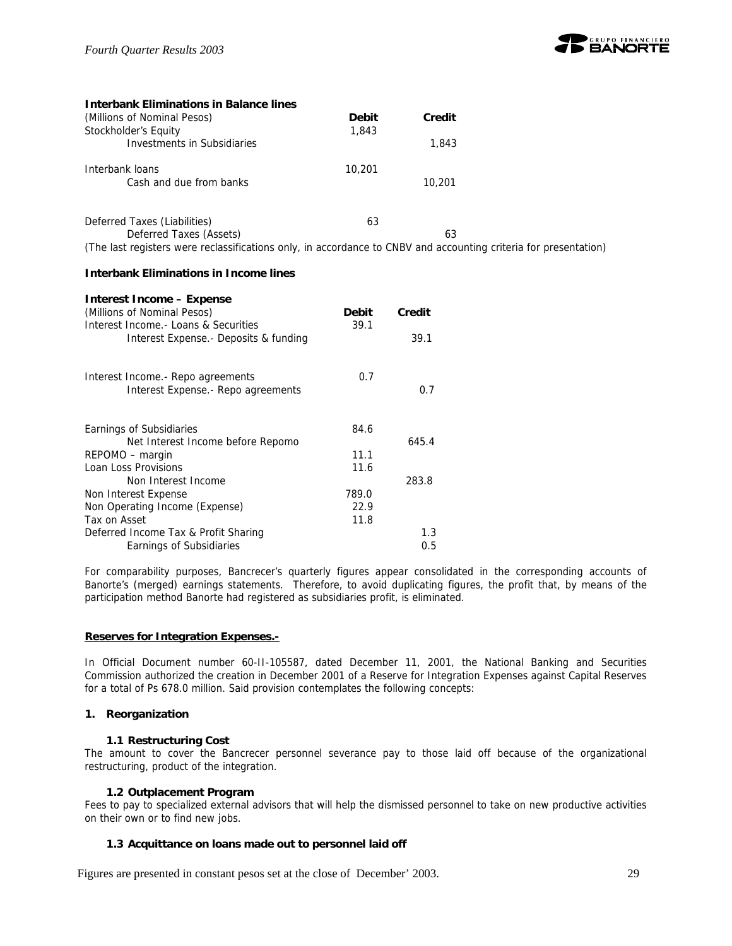

| <b>Interbank Eliminations in Balance lines</b>                                                                   |              |        |  |
|------------------------------------------------------------------------------------------------------------------|--------------|--------|--|
| (Millions of Nominal Pesos)                                                                                      | <b>Debit</b> | Credit |  |
| Stockholder's Equity                                                                                             | 1,843        |        |  |
| Investments in Subsidiaries                                                                                      |              | 1,843  |  |
| Interbank loans                                                                                                  | 10,201       |        |  |
| Cash and due from banks                                                                                          |              | 10,201 |  |
| Deferred Taxes (Liabilities)                                                                                     | 63           |        |  |
|                                                                                                                  |              |        |  |
| Deferred Taxes (Assets)                                                                                          |              | 63     |  |
| (The last registers were reclassifications only, in accordance to CNBV and accounting criteria for presentation) |              |        |  |

#### **Interbank Eliminations in Income lines**

| Interest Income – Expense              |              |        |
|----------------------------------------|--------------|--------|
| (Millions of Nominal Pesos)            | <b>Debit</b> | Credit |
| Interest Income. - Loans & Securities  | 39.1         |        |
| Interest Expense. - Deposits & funding |              | 39.1   |
| Interest Income.- Repo agreements      | 0.7          |        |
| Interest Expense. - Repo agreements    |              | 0.7    |
| Earnings of Subsidiaries               | 84.6         |        |
| Net Interest Income before Repomo      |              | 645.4  |
| REPOMO – margin                        | 11.1         |        |
| Loan Loss Provisions                   | 11.6         |        |
| Non Interest Income                    |              | 283.8  |
| Non Interest Expense                   | 789.0        |        |
| Non Operating Income (Expense)         | 22.9         |        |
| Tax on Asset                           | 11.8         |        |
| Deferred Income Tax & Profit Sharing   |              | 1.3    |
| Earnings of Subsidiaries               |              | 0.5    |

For comparability purposes, Bancrecer's quarterly figures appear consolidated in the corresponding accounts of Banorte's (merged) earnings statements. Therefore, to avoid duplicating figures, the profit that, by means of the participation method Banorte had registered as subsidiaries profit, is eliminated.

#### **Reserves for Integration Expenses.-**

In Official Document number 60-II-105587, dated December 11, 2001, the National Banking and Securities Commission authorized the creation in December 2001 of a Reserve for Integration Expenses against Capital Reserves for a total of Ps 678.0 million. Said provision contemplates the following concepts:

#### **1. Reorganization**

#### **1.1 Restructuring Cost**

The amount to cover the Bancrecer personnel severance pay to those laid off because of the organizational restructuring, product of the integration.

#### **1.2 Outplacement Program**

Fees to pay to specialized external advisors that will help the dismissed personnel to take on new productive activities on their own or to find new jobs.

#### **1.3 Acquittance on loans made out to personnel laid off**

Figures are presented in constant pesos set at the close of December' 2003. 29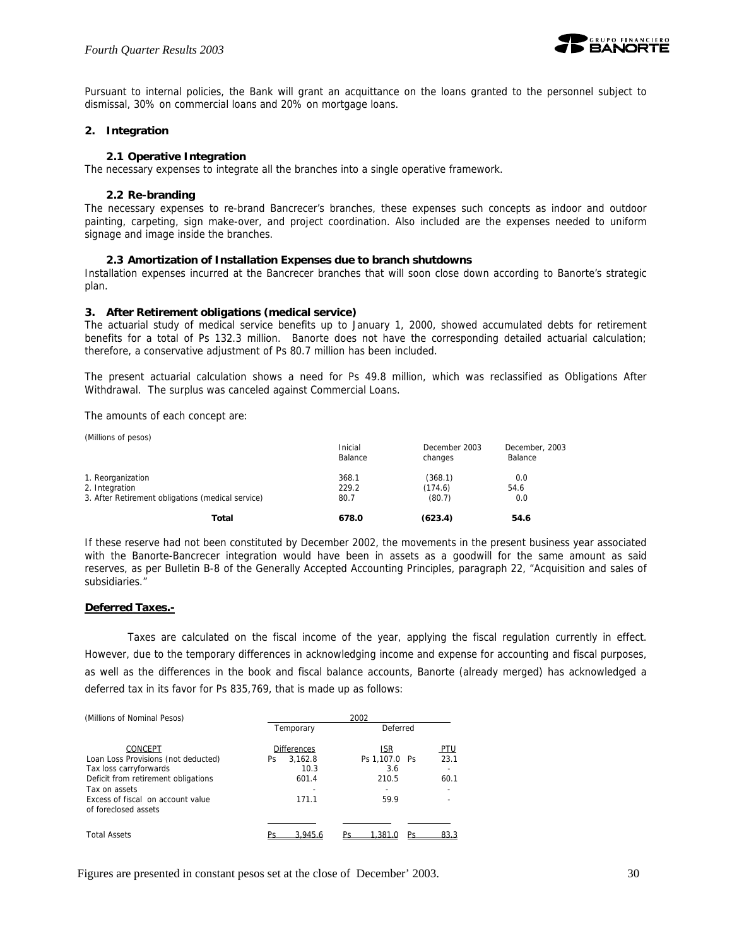

Pursuant to internal policies, the Bank will grant an acquittance on the loans granted to the personnel subject to dismissal, 30% on commercial loans and 20% on mortgage loans.

#### **2. Integration**

#### **2.1 Operative Integration**

The necessary expenses to integrate all the branches into a single operative framework.

#### **2.2 Re-branding**

The necessary expenses to re-brand Bancrecer's branches, these expenses such concepts as indoor and outdoor painting, carpeting, sign make-over, and project coordination. Also included are the expenses needed to uniform signage and image inside the branches.

#### **2.3 Amortization of Installation Expenses due to branch shutdowns**

Installation expenses incurred at the Bancrecer branches that will soon close down according to Banorte's strategic plan.

#### **3. After Retirement obligations (medical service)**

The actuarial study of medical service benefits up to January 1, 2000, showed accumulated debts for retirement benefits for a total of Ps 132.3 million. Banorte does not have the corresponding detailed actuarial calculation; therefore, a conservative adjustment of Ps 80.7 million has been included.

The present actuarial calculation shows a need for Ps 49.8 million, which was reclassified as Obligations After Withdrawal. The surplus was canceled against Commercial Loans.

The amounts of each concept are:

| (Millions of pesos)                               | Inicial<br>Balance | December 2003<br>changes | December, 2003<br>Balance |
|---------------------------------------------------|--------------------|--------------------------|---------------------------|
| 1. Reorganization                                 | 368.1              | (368.1)                  | 0.0                       |
| 2. Integration                                    | 229.2              | (174.6)                  | 54.6                      |
| 3. After Retirement obligations (medical service) | 80.7               | (80.7)                   | 0.0                       |
| Total                                             | 678.0              | (623.4)                  | 54.6                      |

If these reserve had not been constituted by December 2002, the movements in the present business year associated with the Banorte-Bancrecer integration would have been in assets as a goodwill for the same amount as said reserves, as per Bulletin B-8 of the Generally Accepted Accounting Principles, paragraph 22, "Acquisition and sales of subsidiaries."

#### **Deferred Taxes.-**

Taxes are calculated on the fiscal income of the year, applying the fiscal regulation currently in effect. However, due to the temporary differences in acknowledging income and expense for accounting and fiscal purposes, as well as the differences in the book and fiscal balance accounts, Banorte (already merged) has acknowledged a deferred tax in its favor for Ps 835,769, that is made up as follows:

| (Millions of Nominal Pesos)                               | 2002               |               |            |  |  |  |  |  |
|-----------------------------------------------------------|--------------------|---------------|------------|--|--|--|--|--|
|                                                           | Temporary          | Deferred      |            |  |  |  |  |  |
| CONCEPT                                                   | <b>Differences</b> | <b>ISR</b>    | <u>PTU</u> |  |  |  |  |  |
| Loan Loss Provisions (not deducted)                       | 3.162.8<br>Ps.     | Ps 1.107.0 Ps | 23.1       |  |  |  |  |  |
| Tax loss carryforwards                                    | 10.3               | 3.6           |            |  |  |  |  |  |
| Deficit from retirement obligations                       | 601.4              | 210.5         | 60.1       |  |  |  |  |  |
| Tax on assets                                             |                    |               |            |  |  |  |  |  |
| Excess of fiscal on account value<br>of foreclosed assets | 171.1              | 59.9          |            |  |  |  |  |  |
|                                                           |                    |               |            |  |  |  |  |  |
|                                                           |                    |               |            |  |  |  |  |  |
| <b>Total Assets</b>                                       | 3.945.6            | 1.381         | 83.3       |  |  |  |  |  |

Figures are presented in constant pesos set at the close of December' 2003. 30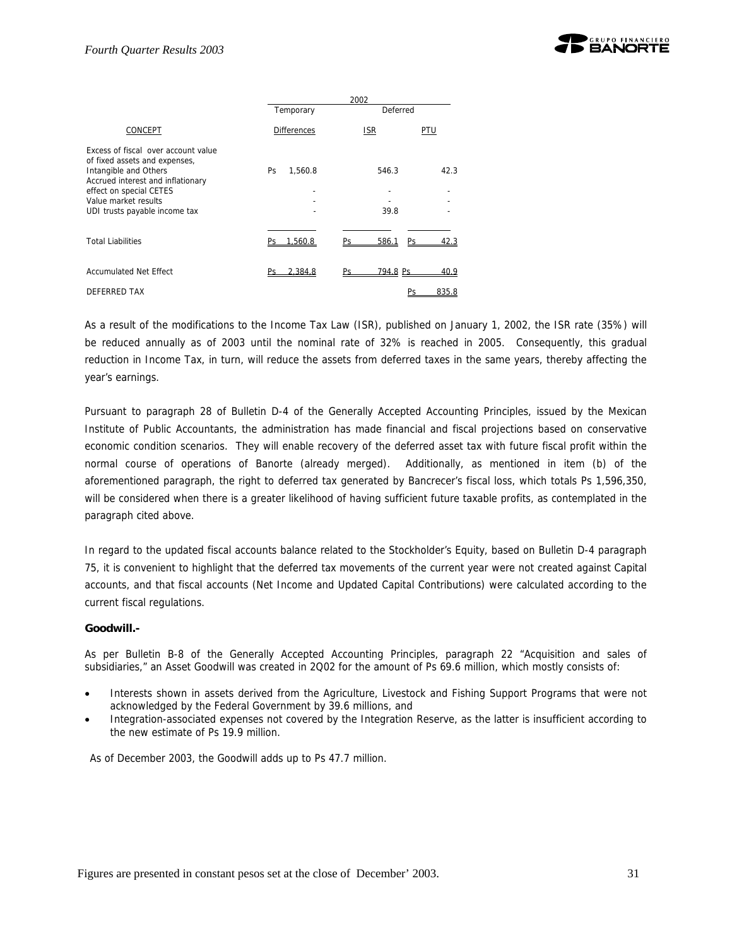

|                                                                                                                                                                                                                        | 2002                 |                   |       |  |  |  |  |  |
|------------------------------------------------------------------------------------------------------------------------------------------------------------------------------------------------------------------------|----------------------|-------------------|-------|--|--|--|--|--|
|                                                                                                                                                                                                                        | Temporary            | Deferred          |       |  |  |  |  |  |
| CONCEPT                                                                                                                                                                                                                | <b>Differences</b>   | <b>ISR</b>        | PTU   |  |  |  |  |  |
| Excess of fiscal over account value<br>of fixed assets and expenses,<br>Intangible and Others<br>Accrued interest and inflationary<br>effect on special CETES<br>Value market results<br>UDI trusts payable income tax | <b>Ps</b><br>1.560.8 | 546.3<br>39.8     | 42.3  |  |  |  |  |  |
| <b>Total Liabilities</b>                                                                                                                                                                                               | 1.560.8              | 586.1<br>Pς<br>Dс | 42.3  |  |  |  |  |  |
| <b>Accumulated Net Effect</b>                                                                                                                                                                                          | 2.384.8              | 794.8 Ps<br>Pс    | 40.9  |  |  |  |  |  |
| <b>DEFERRED TAX</b>                                                                                                                                                                                                    |                      |                   | 835.8 |  |  |  |  |  |

As a result of the modifications to the Income Tax Law (ISR), published on January 1, 2002, the ISR rate (35%) will be reduced annually as of 2003 until the nominal rate of 32% is reached in 2005. Consequently, this gradual reduction in Income Tax, in turn, will reduce the assets from deferred taxes in the same years, thereby affecting the year's earnings.

Pursuant to paragraph 28 of Bulletin D-4 of the Generally Accepted Accounting Principles, issued by the Mexican Institute of Public Accountants, the administration has made financial and fiscal projections based on conservative economic condition scenarios. They will enable recovery of the deferred asset tax with future fiscal profit within the normal course of operations of Banorte (already merged). Additionally, as mentioned in item (b) of the aforementioned paragraph, the right to deferred tax generated by Bancrecer's fiscal loss, which totals Ps 1,596,350, will be considered when there is a greater likelihood of having sufficient future taxable profits, as contemplated in the paragraph cited above.

In regard to the updated fiscal accounts balance related to the Stockholder's Equity, based on Bulletin D-4 paragraph 75, it is convenient to highlight that the deferred tax movements of the current year were not created against Capital accounts, and that fiscal accounts (Net Income and Updated Capital Contributions) were calculated according to the current fiscal regulations.

#### **Goodwill.-**

As per Bulletin B-8 of the Generally Accepted Accounting Principles, paragraph 22 "Acquisition and sales of subsidiaries," an Asset Goodwill was created in 2Q02 for the amount of Ps 69.6 million, which mostly consists of:

- Interests shown in assets derived from the Agriculture, Livestock and Fishing Support Programs that were not acknowledged by the Federal Government by 39.6 millions, and
- Integration-associated expenses not covered by the Integration Reserve, as the latter is insufficient according to the new estimate of Ps 19.9 million.

As of December 2003, the Goodwill adds up to Ps 47.7 million.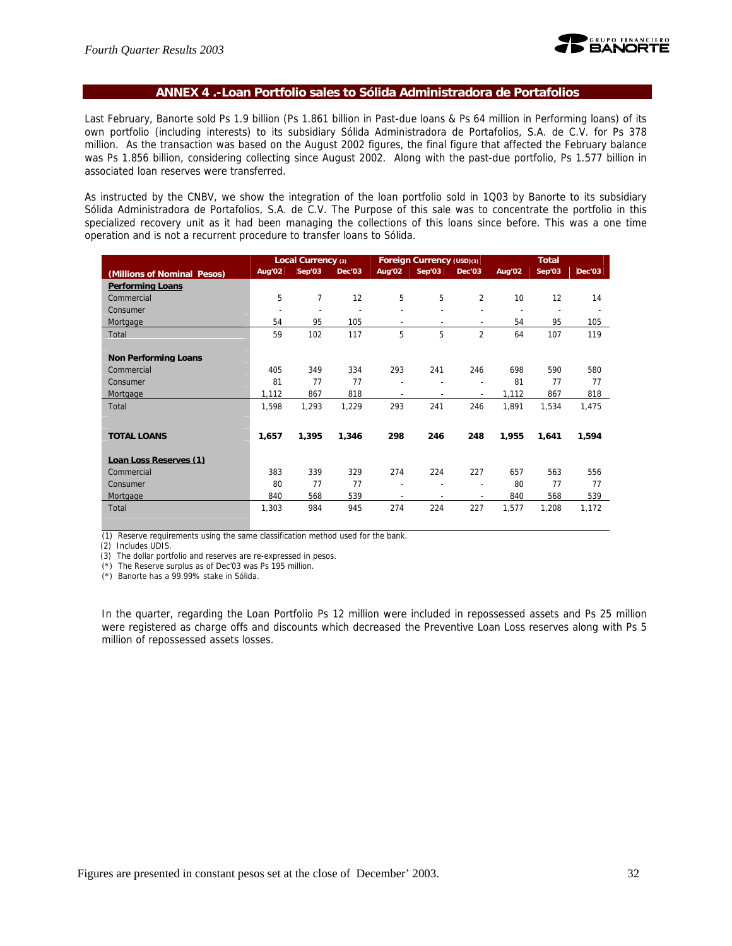

#### **ANNEX 4 .-Loan Portfolio sales to Sólida Administradora de Portafolios**

Last February, Banorte sold Ps 1.9 billion (Ps 1.861 billion in Past-due loans & Ps 64 million in Performing loans) of its own portfolio (including interests) to its subsidiary Sólida Administradora de Portafolios, S.A. de C.V. for Ps 378 million. As the transaction was based on the August 2002 figures, the final figure that affected the February balance was Ps 1.856 billion, considering collecting since August 2002. Along with the past-due portfolio, Ps 1.577 billion in associated loan reserves were transferred.

As instructed by the CNBV, we show the integration of the loan portfolio sold in 1Q03 by Banorte to its subsidiary Sólida Administradora de Portafolios, S.A. de C.V. The Purpose of this sale was to concentrate the portfolio in this specialized recovery unit as it had been managing the collections of this loans since before. This was a one time operation and is not a recurrent procedure to transfer loans to Sólida.

|                             |                          | Local Currency (2) |        |                          | Foreign Currency (USD)(3) |                          |        | <b>Total</b>             |                          |
|-----------------------------|--------------------------|--------------------|--------|--------------------------|---------------------------|--------------------------|--------|--------------------------|--------------------------|
| (Millions of Nominal Pesos) | Aug'02                   | Sep'03             | Dec'03 | Aug'02                   | Sep'03                    | Dec'03                   | Aug'02 | Sep'03                   | <b>Dec'03</b>            |
| <b>Performing Loans</b>     |                          |                    |        |                          |                           |                          |        |                          |                          |
| Commercial                  | 5                        | 7                  | 12     | 5                        | 5                         | 2                        | 10     | 12                       | 14                       |
| Consumer                    | $\overline{\phantom{a}}$ | $\overline{a}$     |        | ۰                        |                           |                          |        | $\overline{\phantom{a}}$ | $\overline{\phantom{a}}$ |
| Mortgage                    | 54                       | 95                 | 105    | $\overline{\phantom{a}}$ | $\overline{\phantom{a}}$  | $\overline{\phantom{0}}$ | 54     | 95                       | 105                      |
| Total                       | 59                       | 102                | 117    | 5                        | 5                         | $\overline{2}$           | 64     | 107                      | 119                      |
|                             |                          |                    |        |                          |                           |                          |        |                          |                          |
| <b>Non Performing Loans</b> |                          |                    |        |                          |                           |                          |        |                          |                          |
| Commercial                  | 405                      | 349                | 334    | 293                      | 241                       | 246                      | 698    | 590                      | 580                      |
| Consumer                    | 81                       | 77                 | 77     | $\overline{\phantom{a}}$ |                           | $\overline{\phantom{a}}$ | 81     | 77                       | 77                       |
| Mortgage                    | 1,112                    | 867                | 818    | $\overline{\phantom{a}}$ | $\overline{\phantom{a}}$  | ٠                        | 1,112  | 867                      | 818                      |
| Total                       | 1,598                    | 1,293              | 1,229  | 293                      | 241                       | 246                      | 1,891  | 1,534                    | 1,475                    |
|                             |                          |                    |        |                          |                           |                          |        |                          |                          |
| <b>TOTAL LOANS</b>          | 1,657                    | 1,395              | 1,346  | 298                      | 246                       | 248                      | 1,955  | 1,641                    | 1,594                    |
|                             |                          |                    |        |                          |                           |                          |        |                          |                          |
| Loan Loss Reserves (1)      |                          |                    |        |                          |                           |                          |        |                          |                          |
| Commercial                  | 383                      | 339                | 329    | 274                      | 224                       | 227                      | 657    | 563                      | 556                      |
| Consumer                    | 80                       | 77                 | 77     | $\overline{\phantom{a}}$ |                           | $\overline{a}$           | 80     | 77                       | 77                       |
| Mortgage                    | 840                      | 568                | 539    | $\overline{\phantom{a}}$ | $\overline{\phantom{a}}$  | $\overline{\phantom{a}}$ | 840    | 568                      | 539                      |
| Total                       | 1,303                    | 984                | 945    | 274                      | 224                       | 227                      | 1,577  | 1,208                    | 1,172                    |
|                             |                          |                    |        |                          |                           |                          |        |                          |                          |

(1) Reserve requirements using the same classification method used for the bank.

(2) Includes UDIS.

(3) The dollar portfolio and reserves are re-expressed in pesos.

(\*) The Reserve surplus as of Dec'03 was Ps 195 million.

(\*) Banorte has a 99.99% stake in Sólida.

In the quarter, regarding the Loan Portfolio Ps 12 million were included in repossessed assets and Ps 25 million were registered as charge offs and discounts which decreased the Preventive Loan Loss reserves along with Ps 5 million of repossessed assets losses.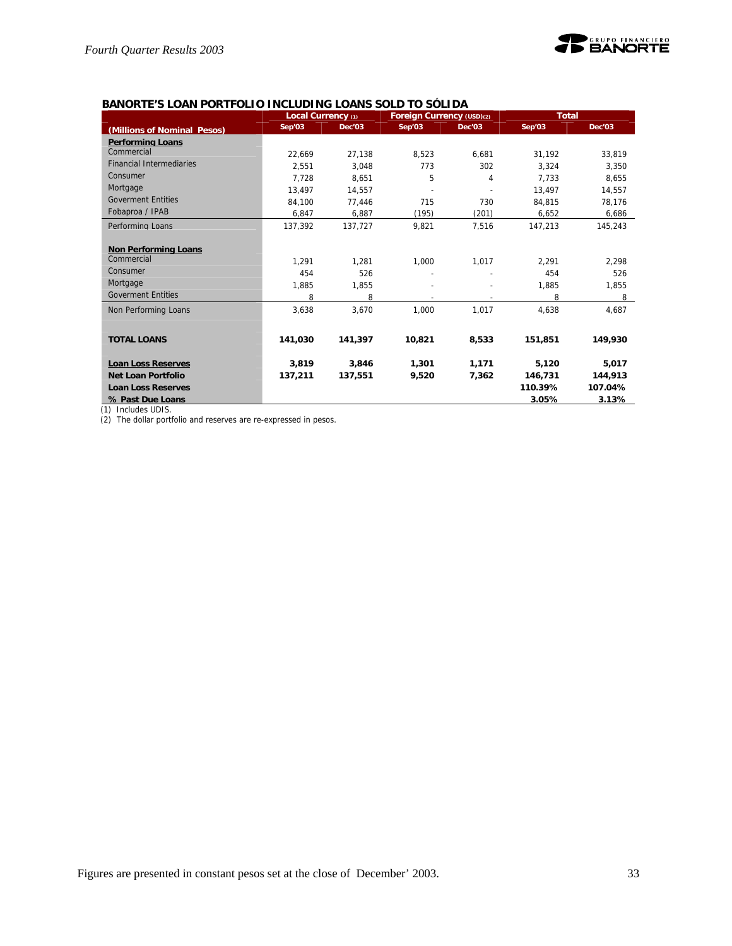

#### **BANORTE'S LOAN PORTFOLIO INCLUDING LOANS SOLD TO SÓLIDA**

|                                 | Local Currency (1) |         | Foreign Currency (USD)(2) |        | <b>Total</b> |         |
|---------------------------------|--------------------|---------|---------------------------|--------|--------------|---------|
| (Millions of Nominal Pesos)     | Sep'03             | Dec'03  | Sep'03                    | Dec'03 | Sep'03       | Dec'03  |
| <b>Performing Loans</b>         |                    |         |                           |        |              |         |
| Commercial                      | 22.669             | 27.138  | 8.523                     | 6.681  | 31.192       | 33.819  |
| <b>Financial Intermediaries</b> | 2.551              | 3.048   | 773                       | 302    | 3.324        | 3.350   |
| Consumer                        | 7.728              | 8.651   | 5                         | 4      | 7.733        | 8,655   |
| Mortgage                        | 13.497             | 14.557  |                           |        | 13.497       | 14,557  |
| <b>Goverment Entities</b>       | 84,100             | 77,446  | 715                       | 730    | 84,815       | 78,176  |
| Fobaproa / IPAB                 | 6,847              | 6,887   | (195)                     | (201)  | 6,652        | 6,686   |
| Performing Loans                | 137.392            | 137.727 | 9,821                     | 7.516  | 147.213      | 145.243 |
|                                 |                    |         |                           |        |              |         |
| <b>Non Performing Loans</b>     |                    |         |                           |        |              |         |
| Commercial                      | 1.291              | 1.281   | 1,000                     | 1.017  | 2.291        | 2,298   |
| Consumer                        | 454                | 526     |                           |        | 454          | 526     |
| Mortgage                        | 1,885              | 1,855   |                           |        | 1,885        | 1,855   |
| <b>Goverment Entities</b>       | 8                  | 8       |                           |        | 8            | 8       |
| Non Performing Loans            | 3,638              | 3,670   | 1,000                     | 1.017  | 4,638        | 4,687   |
|                                 |                    |         |                           |        |              |         |
| <b>TOTAL LOANS</b>              | 141,030            | 141,397 | 10,821                    | 8,533  | 151,851      | 149,930 |
|                                 |                    |         |                           |        |              |         |
| <b>Loan Loss Reserves</b>       | 3,819              | 3,846   | 1,301                     | 1,171  | 5,120        | 5,017   |
| <b>Net Loan Portfolio</b>       | 137,211            | 137,551 | 9,520                     | 7,362  | 146,731      | 144,913 |
| <b>Loan Loss Reserves</b>       |                    |         |                           |        | 110.39%      | 107.04% |
| % Past Due Loans                |                    |         |                           |        | 3.05%        | 3.13%   |

(1) Includes UDIS.

(2) The dollar portfolio and reserves are re-expressed in pesos.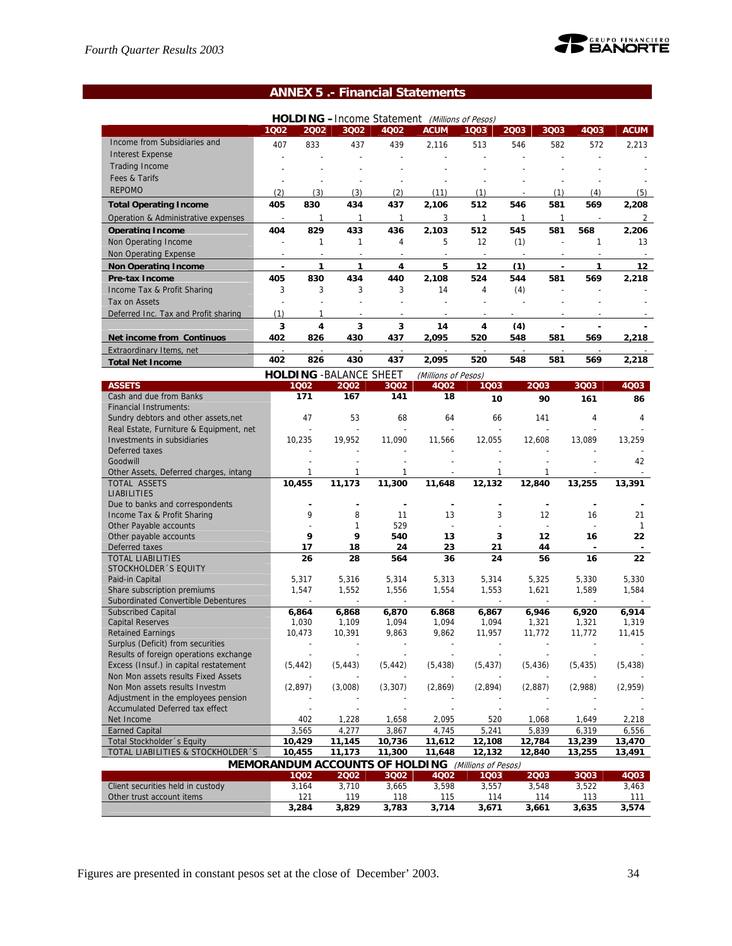

## **ANNEX 5 .- Financial Statements**

|                                                                |                          |                |                                |                | HOLDING -Income Statement (Millions of Pesos)             |                          |              |                |                |                    |
|----------------------------------------------------------------|--------------------------|----------------|--------------------------------|----------------|-----------------------------------------------------------|--------------------------|--------------|----------------|----------------|--------------------|
|                                                                | 1Q02                     | 2002           | 3Q02                           | 4Q02           | <b>ACUM</b>                                               | 1003                     | 2003         | 3Q03           | 4Q03           | <b>ACUM</b>        |
| Income from Subsidiaries and                                   | 407                      | 833            | 437                            | 439            | 2,116                                                     | 513                      | 546          | 582            | 572            | 2,213              |
| <b>Interest Expense</b>                                        |                          |                |                                |                |                                                           |                          |              |                |                |                    |
| <b>Trading Income</b>                                          |                          |                |                                |                |                                                           |                          |              |                |                |                    |
| Fees & Tarifs                                                  | L,                       |                | L,                             | L,             |                                                           |                          |              |                |                |                    |
| <b>REPOMO</b>                                                  | (2)                      | (3)            | (3)                            | (2)            | (11)                                                      | (1)                      |              | (1)            | (4)            | (5)                |
|                                                                | 405                      | 830            | 434                            |                |                                                           | 512                      | 546          | 581            | 569            |                    |
| <b>Total Operating Income</b>                                  |                          |                |                                | 437            | 2,106                                                     |                          |              |                |                | 2,208              |
| Operation & Administrative expenses                            | $\overline{\phantom{a}}$ | 1              | $\mathbf{1}$                   | $\mathbf{1}$   | 3                                                         | $\mathbf{1}$             | $\mathbf{1}$ | $\mathbf{1}$   |                | 2                  |
| <b>Operating Income</b>                                        | 404                      | 829            | 433                            | 436            | 2,103                                                     | 512                      | 545          | 581            | 568            | 2,206              |
| Non Operating Income                                           | L,                       | 1              | 1                              | 4              | 5                                                         | 12                       | (1)          |                | 1              | 13                 |
| Non Operating Expense                                          | $\overline{a}$           | $\frac{1}{2}$  | $\overline{a}$                 | $\frac{1}{2}$  |                                                           | $\overline{\phantom{a}}$ |              |                |                |                    |
| <b>Non Operating Income</b>                                    | $\blacksquare$           | 1              | 1                              | 4              | 5                                                         | 12                       | (1)          | $\blacksquare$ | 1              | 12 <sub>2</sub>    |
| Pre-tax Income                                                 | 405                      | 830            | 434                            | 440            | 2.108                                                     | 524                      | 544          | 581            | 569            | 2.218              |
| Income Tax & Profit Sharing                                    | 3                        | 3              | 3                              | 3              | 14                                                        | 4                        | (4)          | $\overline{a}$ |                |                    |
| Tax on Assets                                                  |                          |                | $\overline{a}$                 |                |                                                           | $\overline{a}$           |              |                |                |                    |
| Deferred Inc. Tax and Profit sharing                           | (1)                      | 1              |                                |                |                                                           |                          |              |                |                |                    |
|                                                                | 3                        | 4              | 3                              | 3              | 14                                                        | 4                        | (4)          |                |                |                    |
| <b>Net income from Continuos</b>                               | 402                      | 826            | 430                            | 437            | 2,095                                                     | 520                      | 548          | 581            | 569            | 2,218              |
| Extraordinary Items. net                                       |                          |                |                                |                |                                                           |                          |              |                |                |                    |
| <b>Total Net Income</b>                                        | 402                      | 826            | 430                            | 437            | 2,095                                                     | 520                      | 548          | 581            | 569            | 2,218              |
|                                                                |                          |                | <b>HOLDING - BALANCE SHEET</b> |                | (Millions of Pesos)                                       |                          |              |                |                |                    |
| <b>ASSETS</b>                                                  |                          | 1002           | 2002                           | 3Q02           | 4Q02                                                      | 1003                     |              | 2003           | 3Q03           | 4Q03               |
| Cash and due from Banks                                        |                          | 171            | 167                            | 141            | 18                                                        | 10                       |              | 90             | 161            | 86                 |
| <b>Financial Instruments:</b>                                  |                          |                |                                |                |                                                           |                          |              |                |                |                    |
| Sundry debtors and other assets, net                           |                          | 47             | 53                             | 68             | 64                                                        | 66                       |              | 141            | 4              | 4                  |
| Real Estate, Furniture & Equipment, net                        |                          | L,             |                                | L,             |                                                           |                          |              |                |                |                    |
| Investments in subsidiaries                                    |                          | 10,235         | 19,952                         | 11,090         | 11,566                                                    | 12,055                   |              | 12,608         | 13,089         | 13,259             |
| Deferred taxes                                                 |                          |                |                                |                |                                                           |                          |              |                |                |                    |
| Goodwill                                                       |                          |                |                                |                |                                                           |                          |              |                |                | 42                 |
| Other Assets, Deferred charges, intang                         |                          | 1              | 1                              | 1              |                                                           | 1                        |              | 1              |                |                    |
| TOTAL ASSETS                                                   |                          | 10,455         | 11,173                         | 11,300         | 11,648                                                    | 12,132                   |              | 12,840         | 13,255         | 13,391             |
| <b>LIABILITIES</b>                                             |                          |                |                                |                |                                                           |                          |              |                |                |                    |
| Due to banks and correspondents                                |                          |                | ä,                             |                | ٠                                                         | $\overline{\phantom{a}}$ |              | $\blacksquare$ | ÷,             |                    |
| Income Tax & Profit Sharing                                    |                          | 9              | 8<br>$\mathbf{1}$              | 11<br>529      | 13                                                        | 3                        |              | 12<br>J.       | 16             | 21                 |
| Other Payable accounts                                         |                          | 9              | 9                              | 540            | 13                                                        | 3                        |              | 12             | 16             | $\mathbf{1}$<br>22 |
| Other payable accounts<br>Deferred taxes                       |                          | 17             | 18                             | 24             | 23                                                        | 21                       |              | 44             |                |                    |
| <b>TOTAL LIABILITIES</b>                                       |                          | 26             | 28                             |                |                                                           |                          |              |                |                |                    |
| STOCKHOLDER 'S EQUITY                                          |                          |                |                                |                |                                                           |                          |              |                |                |                    |
| Paid-in Capital                                                |                          |                |                                | 564            | 36                                                        | 24                       |              | 56             | 16             | 22                 |
|                                                                |                          |                |                                |                |                                                           |                          |              |                |                |                    |
| Share subscription premiums                                    |                          | 5,317<br>1,547 | 5,316<br>1,552                 | 5,314<br>1,556 | 5,313<br>1,554                                            | 5,314<br>1,553           |              | 5,325<br>1,621 | 5,330<br>1,589 | 5,330<br>1,584     |
| Subordinated Convertible Debentures                            |                          | J.             |                                |                |                                                           |                          |              | J.             | $\overline{a}$ |                    |
| <b>Subscribed Capital</b>                                      |                          | 6,864          | 6,868                          | 6,870          | 6.868                                                     | 6,867                    |              | 6,946          | 6,920          | 6.914              |
| <b>Capital Reserves</b>                                        |                          | 1,030          | 1,109                          | 1,094          | 1,094                                                     | 1,094                    |              | 1,321          | 1,321          | 1,319              |
| <b>Retained Earnings</b>                                       |                          | 10,473         | 10,391                         | 9,863          | 9,862                                                     | 11,957                   |              | 11,772         | 11,772         | 11,415             |
| Surplus (Deficit) from securities                              |                          |                |                                | $\overline{a}$ |                                                           |                          |              |                | $\overline{a}$ |                    |
| Results of foreign operations exchange                         |                          |                |                                |                |                                                           |                          |              |                |                |                    |
| Excess (Insuf.) in capital restatement                         |                          | (5, 442)       | (5, 443)                       | (5, 442)       | (5, 438)                                                  | (5, 437)                 |              | (5, 436)       | (5, 435)       | (5, 438)           |
| Non Mon assets results Fixed Assets                            |                          |                |                                |                |                                                           |                          |              |                |                |                    |
| Non Mon assets results Investm                                 |                          | (2, 897)       | (3,008)                        | (3, 307)       | (2,869)                                                   | (2,894)                  |              | (2,887)        | (2,988)        | (2,959)            |
| Adjustment in the employees pension                            |                          |                |                                |                |                                                           |                          |              |                |                |                    |
| Accumulated Deferred tax effect                                |                          |                |                                |                |                                                           |                          |              |                |                |                    |
| Net Income                                                     |                          | 402            | 1,228                          | 1,658          | 2,095                                                     | 520                      |              | 1,068          | 1,649          | 2,218              |
| <b>Earned Capital</b>                                          |                          | 3,565          | 4,277                          | 3,867          | 4,745                                                     | 5,241                    |              | 5,839          | 6,319          | 6,556              |
| Total Stockholder 's Equity                                    |                          | 10,429         | 11,145                         | 10,736         | 11,612                                                    | 12,108                   | 12,784       |                | 13,239         | 13,470             |
| TOTAL LIABILITIES & STOCKHOLDER 'S                             |                          | 10,455         | 11,173                         | 11,300         | 11,648                                                    | 12,132                   |              | 12,840         | 13,255         | 13,491             |
|                                                                |                          |                |                                |                | <b>MEMORANDUM ACCOUNTS OF HOLDING</b> (Millions of Pesos) |                          |              |                |                |                    |
|                                                                |                          | 1002           | 2002                           | 3Q02           | 4Q02                                                      | 1003                     |              | 2003           | 3Q03           | 4Q03               |
| Client securities held in custody<br>Other trust account items |                          | 3,164<br>121   | 3,710<br>119                   | 3,665<br>118   | 3,598<br>115                                              | 3,557<br>114             |              | 3,548<br>114   | 3,522<br>113   | 3,463<br>111       |

Figures are presented in constant pesos set at the close of December' 2003. 34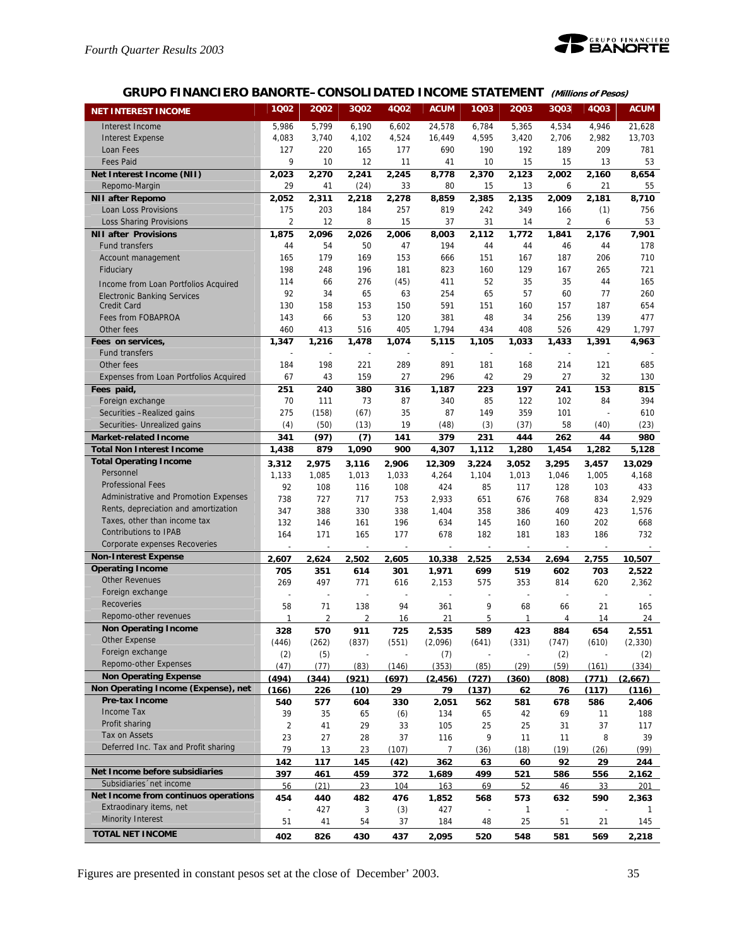

## **GRUPO FINANCIERO BANORTE–CONSOLIDATED INCOME STATEMENT (Millions of Pesos)**

| <b>NET INTEREST INCOME</b>                                    | 1Q02           | 2002                     | 3Q02           | 4Q02         | <b>ACUM</b>              | 1Q03                     | 2Q03                     | 3Q03                     | 4Q03        | <b>ACUM</b>  |
|---------------------------------------------------------------|----------------|--------------------------|----------------|--------------|--------------------------|--------------------------|--------------------------|--------------------------|-------------|--------------|
|                                                               |                |                          |                |              |                          |                          |                          |                          |             |              |
| Interest Income                                               | 5,986          | 5,799                    | 6,190          | 6,602        | 24,578                   | 6,784                    | 5,365                    | 4,534                    | 4,946       | 21,628       |
| <b>Interest Expense</b>                                       | 4,083          | 3,740                    | 4,102          | 4,524        | 16,449                   | 4,595                    | 3,420                    | 2,706                    | 2,982       | 13,703       |
| Loan Fees                                                     | 127<br>9       | 220                      | 165            | 177          | 690                      | 190                      | 192                      | 189                      | 209         | 781          |
| <b>Fees Paid</b>                                              |                | 10<br>2,270              | 12             | 11           | 41                       | 10                       | 15                       | 15                       | 13          | 53           |
| Net Interest Income (NII)<br>Repomo-Margin                    | 2,023<br>29    | 41                       | 2,241          | 2,245<br>33  | 8,778<br>80              | 2,370<br>15              | 2,123<br>13              | 2,002<br>6               | 2,160<br>21 | 8,654<br>55  |
|                                                               |                |                          | (24)           |              |                          |                          |                          |                          |             |              |
| <b>NII after Repomo</b><br>Loan Loss Provisions               | 2,052<br>175   | 2,311<br>203             | 2,218<br>184   | 2,278<br>257 | 8,859<br>819             | 2,385<br>242             | 2,135<br>349             | 2,009<br>166             | 2,181       | 8,710<br>756 |
|                                                               | 2              | 12                       | 8              | 15           | 37                       | 31                       | 14                       | $\overline{2}$           | (1)<br>6    | 53           |
| <b>Loss Sharing Provisions</b><br><b>NII after Provisions</b> | 1,875          | 2,096                    | 2,026          | 2.006        | 8,003                    | 2,112                    | 1,772                    | 1,841                    |             | 7,901        |
| <b>Fund transfers</b>                                         | 44             | 54                       | 50             | 47           | 194                      | 44                       | 44                       | 46                       | 2,176<br>44 | 178          |
| Account management                                            | 165            | 179                      | 169            | 153          | 666                      | 151                      | 167                      | 187                      | 206         | 710          |
| Fiduciary                                                     | 198            | 248                      | 196            | 181          | 823                      | 160                      | 129                      | 167                      | 265         | 721          |
|                                                               | 114            | 66                       | 276            | (45)         | 411                      | 52                       | 35                       | 35                       | 44          | 165          |
| Income from Loan Portfolios Acquired                          | 92             | 34                       | 65             | 63           | 254                      | 65                       | 57                       | 60                       | 77          | 260          |
| <b>Electronic Banking Services</b><br><b>Credit Card</b>      | 130            | 158                      | 153            | 150          | 591                      | 151                      | 160                      | 157                      | 187         | 654          |
| Fees from FOBAPROA                                            | 143            | 66                       | 53             | 120          | 381                      | 48                       | 34                       | 256                      | 139         | 477          |
| Other fees                                                    | 460            | 413                      | 516            | 405          | 1,794                    | 434                      | 408                      | 526                      | 429         | 1,797        |
| Fees on services,                                             | 1,347          | 1,216                    | 1,478          | 1,074        | 5,115                    | 1,105                    | 1,033                    | 1.433                    | 1,391       | 4,963        |
| <b>Fund transfers</b>                                         |                |                          |                |              |                          |                          |                          |                          |             |              |
| Other fees                                                    | 184            | 198                      | 221            | 289          | 891                      | 181                      | 168                      | 214                      | 121         | 685          |
| Expenses from Loan Portfolios Acquired                        | 67             | 43                       | 159            | 27           | 296                      | 42                       | 29                       | 27                       | 32          | 130          |
| Fees paid,                                                    | 251            | 240                      | 380            | 316          | 1,187                    | 223                      | 197                      | 241                      | 153         | 815          |
| Foreign exchange                                              | 70             | 111                      | 73             | 87           | 340                      | 85                       | 122                      | 102                      | 84          | 394          |
| Securities - Realized gains                                   | 275            | (158)                    | (67)           | 35           | 87                       | 149                      | 359                      | 101                      |             | 610          |
| Securities- Unrealized gains                                  | (4)            | (50)                     | (13)           | 19           | (48)                     | (3)                      | (37)                     | 58                       | (40)        | (23)         |
| <b>Market-related Income</b>                                  | 341            | (97)                     | (7)            | 141          | 379                      | 231                      | 444                      | 262                      | 44          | 980          |
| <b>Total Non Interest Income</b>                              | 1,438          | 879                      | 1,090          | 900          | 4,307                    | 1,112                    | 1,280                    | 1,454                    | 1,282       | 5,128        |
| <b>Total Operating Income</b>                                 | 3,312          | 2,975                    | 3,116          | 2,906        | 12,309                   | 3,224                    | 3,052                    | 3,295                    | 3,457       | 13,029       |
| Personnel                                                     | 1,133          | 1,085                    | 1,013          | 1,033        | 4,264                    | 1,104                    | 1,013                    | 1,046                    | 1,005       | 4,168        |
| <b>Professional Fees</b>                                      | 92             | 108                      | 116            | 108          | 424                      | 85                       | 117                      | 128                      | 103         | 433          |
| Administrative and Promotion Expenses                         | 738            | 727                      | 717            | 753          | 2,933                    | 651                      | 676                      | 768                      | 834         | 2,929        |
| Rents, depreciation and amortization                          | 347            | 388                      | 330            | 338          | 1,404                    | 358                      | 386                      | 409                      | 423         | 1,576        |
| Taxes, other than income tax                                  | 132            | 146                      | 161            | 196          | 634                      | 145                      | 160                      | 160                      | 202         | 668          |
| <b>Contributions to IPAB</b>                                  | 164            | 171                      | 165            | 177          | 678                      | 182                      | 181                      | 183                      | 186         | 732          |
| Corporate expenses Recoveries                                 |                |                          |                |              |                          |                          |                          |                          |             |              |
| <b>Non-Interest Expense</b>                                   | 2.607          | 2.624                    | 2,502          | 2,605        | 10,338                   | 2.525                    | 2,534                    | 2,694                    | 2,755       | 10,507       |
| <b>Operating Income</b>                                       | 705            | 351                      | 614            | 301          | 1,971                    | 699                      | 519                      | 602                      | 703         | 2,522        |
| <b>Other Revenues</b>                                         | 269            | 497                      | 771            | 616          | 2,153                    | 575                      | 353                      | 814                      | 620         | 2,362        |
| Foreign exchange                                              | ٠              | $\overline{\phantom{a}}$ | ÷.             | ÷.           | $\overline{\phantom{a}}$ | $\overline{\phantom{a}}$ | $\overline{\phantom{a}}$ | $\overline{\phantom{a}}$ | ÷.          |              |
| Recoveries                                                    | 58             | 71                       | 138            | 94           | 361                      | 9                        | 68                       | 66                       | 21          | 165          |
| Repomo-other revenues                                         | $\mathbf{1}$   | $\overline{2}$           | $\overline{2}$ | 16           | 21                       | 5                        | $\mathbf{1}$             | 4                        | 14          | 24           |
| <b>Non Operating Income</b>                                   | 328            | 570                      | 911            | 725          | 2.535                    | 589                      | 423                      | 884                      | 654         | 2.551        |
| Other Expense                                                 | (446)          | (262)                    | (837)          | (551)        | (2,096)                  | (641)                    | (331)                    | (747)                    | (610)       | (2, 330)     |
| Foreign exchange                                              | (2)            | (5)                      |                |              | (7)                      |                          |                          | (2)                      |             | (2)          |
| Repomo-other Expenses                                         | (47)           | (77)                     | (83)           | (146)        | (353)                    | (85)                     | (29)                     | (59)                     | (161)       | (334)        |
| <b>Non Operating Expense</b>                                  | (494)          | (344)                    | (921)          | (697)        | (2, 456)                 | (727)                    | (360)                    | (808)                    | (771)       | (2,667)      |
| Non Operating Income (Expense), net                           | (166)          | 226                      | (10)           | 29           | 79                       | (137)                    | 62                       | 76                       | (117)       | (116)        |
| Pre-tax Income                                                | 540            | 577                      | 604            | 330          | 2,051                    | 562                      | 581                      | 678                      | 586         | 2,406        |
| Income Tax                                                    | 39             | 35                       | 65             | (6)          | 134                      | 65                       | 42                       | 69                       | 11          | 188          |
| Profit sharing                                                | $\overline{2}$ | 41                       | 29             | 33           | 105                      | 25                       | 25                       | 31                       | 37          | 117          |
| Tax on Assets                                                 | 23             | 27                       | 28             | 37           | 116                      | 9                        | 11                       | 11                       | 8           | 39           |
| Deferred Inc. Tax and Profit sharing                          | 79             | 13                       | 23             | (107)        | $\overline{7}$           | (36)                     | (18)                     | (19)                     | (26)        | (99)         |
|                                                               | 142            | 117                      | 145            | (42)         | 362                      | 63                       | 60                       | 92                       | 29          | 244          |
| Net Income before subsidiaries                                | 397            | 461                      | 459            | 372          | 1,689                    | 499                      | 521                      | 586                      | 556         | 2,162        |
| Subsidiaries 'net income                                      | 56             | (21)                     | 23             | 104          | 163                      | 69                       | 52                       | 46                       | 33          | 201          |
| Net Income from continuos operations                          | 454            | 440                      | 482            | 476          | 1.852                    | 568                      | 573                      | 632                      | 590         | 2.363        |
| Extraodinary items, net                                       | $\overline{a}$ | 427                      | 3              | (3)          | 427                      | $\overline{a}$           | $\mathbf{1}$             |                          |             | 1            |
| <b>Minority Interest</b>                                      | 51             | 41                       | 54             | 37           | 184                      | 48                       | 25                       | 51                       | 21          | 145          |
| <b>TOTAL NET INCOME</b>                                       | 402            | 826                      | 430            | 437          | 2,095                    | 520                      | 548                      | 581                      | 569         | 2,218        |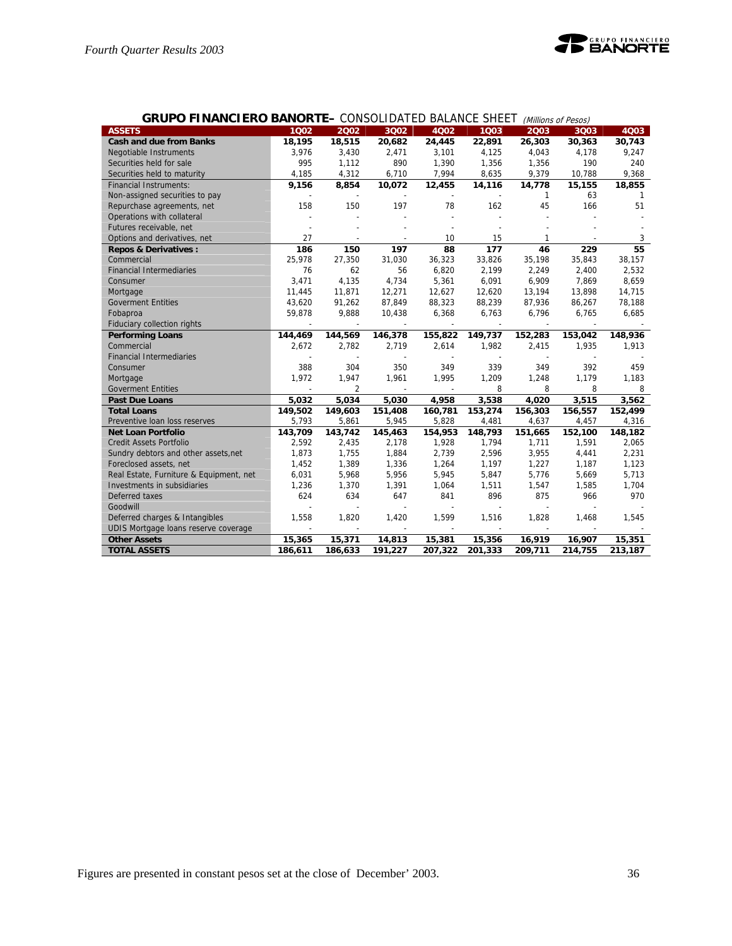

| <b>GRUPO FINANCIERO BANORTE- CONSOLIDATED BALANCE SHEET</b> |         |                          |                          |         |         |                | (Millions of Pesos) |         |
|-------------------------------------------------------------|---------|--------------------------|--------------------------|---------|---------|----------------|---------------------|---------|
| <b>ASSETS</b>                                               | 1002    | 2002                     | 3Q02                     | 4Q02    | 1003    | 2003           | 3Q03                | 4Q03    |
| <b>Cash and due from Banks</b>                              | 18,195  | 18,515                   | 20,682                   | 24,445  | 22,891  | 26,303         | 30,363              | 30,743  |
| <b>Negotiable Instruments</b>                               | 3,976   | 3,430                    | 2,471                    | 3,101   | 4,125   | 4,043          | 4,178               | 9,247   |
| Securities held for sale                                    | 995     | 1,112                    | 890                      | 1,390   | 1,356   | 1,356          | 190                 | 240     |
| Securities held to maturity                                 | 4,185   | 4,312                    | 6,710                    | 7,994   | 8,635   | 9,379          | 10,788              | 9,368   |
| <b>Financial Instruments:</b>                               | 9,156   | 8,854                    | 10,072                   | 12,455  | 14,116  | 14,778         | 15,155              | 18,855  |
| Non-assigned securities to pay                              |         | $\overline{\phantom{a}}$ | $\overline{\phantom{a}}$ | $\sim$  |         | 1              | 63                  | -1      |
| Repurchase agreements, net                                  | 158     | 150                      | 197                      | 78      | 162     | 45             | 166                 | 51      |
| Operations with collateral                                  |         |                          |                          |         |         |                |                     |         |
| Futures receivable, net                                     |         |                          |                          |         |         |                |                     |         |
| Options and derivatives, net                                | 27      |                          |                          | 10      | 15      | 1              |                     | 3       |
| <b>Repos &amp; Derivatives:</b>                             | 186     | 150                      | 197                      | 88      | 177     | 46             | 229                 | 55      |
| Commercial                                                  | 25,978  | 27,350                   | 31,030                   | 36,323  | 33,826  | 35,198         | 35,843              | 38,157  |
| <b>Financial Intermediaries</b>                             | 76      | 62                       | 56                       | 6,820   | 2,199   | 2,249          | 2,400               | 2,532   |
| Consumer                                                    | 3,471   | 4,135                    | 4,734                    | 5,361   | 6,091   | 6,909          | 7,869               | 8,659   |
| Mortgage                                                    | 11,445  | 11,871                   | 12,271                   | 12,627  | 12,620  | 13,194         | 13,898              | 14,715  |
| <b>Goverment Entities</b>                                   | 43,620  | 91,262                   | 87,849                   | 88,323  | 88,239  | 87,936         | 86,267              | 78,188  |
| Fobaproa                                                    | 59,878  | 9,888                    | 10,438                   | 6,368   | 6,763   | 6,796          | 6,765               | 6,685   |
| Fiduciary collection rights                                 |         |                          |                          |         |         |                |                     |         |
| <b>Performing Loans</b>                                     | 144,469 | 144,569                  | 146,378                  | 155,822 | 149,737 | 152,283        | 153,042             | 148,936 |
| Commercial                                                  | 2,672   | 2,782                    | 2,719                    | 2,614   | 1,982   | 2,415          | 1,935               | 1,913   |
| <b>Financial Intermediaries</b>                             |         |                          |                          |         |         |                |                     |         |
| Consumer                                                    | 388     | 304                      | 350                      | 349     | 339     | 349            | 392                 | 459     |
| Mortgage                                                    | 1,972   | 1,947                    | 1,961                    | 1,995   | 1,209   | 1,248          | 1,179               | 1,183   |
| <b>Goverment Entities</b>                                   |         | $\overline{2}$           | $\frac{1}{2}$            |         | 8       | 8              | 8                   | 8       |
| <b>Past Due Loans</b>                                       | 5,032   | 5,034                    | 5,030                    | 4,958   | 3,538   | 4,020          | 3,515               | 3,562   |
| <b>Total Loans</b>                                          | 149,502 | 149,603                  | 151,408                  | 160,781 | 153,274 | 156,303        | 156,557             | 152,499 |
| Preventive Ioan loss reserves                               | 5,793   | 5,861                    | 5,945                    | 5,828   | 4,481   | 4,637          | 4,457               | 4,316   |
| <b>Net Loan Portfolio</b>                                   | 143,709 | 143,742                  | 145,463                  | 154,953 | 148,793 | 151,665        | 152,100             | 148,182 |
| <b>Credit Assets Portfolio</b>                              | 2,592   | 2,435                    | 2,178                    | 1,928   | 1,794   | 1,711          | 1,591               | 2,065   |
| Sundry debtors and other assets, net                        | 1,873   | 1,755                    | 1,884                    | 2,739   | 2,596   | 3,955          | 4,441               | 2,231   |
| Foreclosed assets, net                                      | 1,452   | 1,389                    | 1,336                    | 1,264   | 1,197   | 1,227          | 1,187               | 1,123   |
| Real Estate, Furniture & Equipment, net                     | 6,031   | 5,968                    | 5,956                    | 5,945   | 5,847   | 5,776          | 5,669               | 5,713   |
| Investments in subsidiaries                                 | 1,236   | 1,370                    | 1,391                    | 1,064   | 1,511   | 1,547          | 1,585               | 1,704   |
| Deferred taxes                                              | 624     | 634                      | 647                      | 841     | 896     | 875            | 966                 | 970     |
| Goodwill                                                    |         | L,                       | L,                       |         |         | $\overline{a}$ |                     |         |
| Deferred charges & Intangibles                              | 1,558   | 1,820                    | 1,420                    | 1,599   | 1,516   | 1,828          | 1,468               | 1,545   |
| UDIS Mortgage loans reserve coverage                        |         |                          |                          |         |         |                |                     |         |
| <b>Other Assets</b>                                         | 15,365  | 15,371                   | 14,813                   | 15,381  | 15,356  | 16,919         | 16,907              | 15,351  |
| <b>TOTAL ASSETS</b>                                         | 186,611 | 186,633                  | 191,227                  | 207,322 | 201,333 | 209,711        | 214,755             | 213,187 |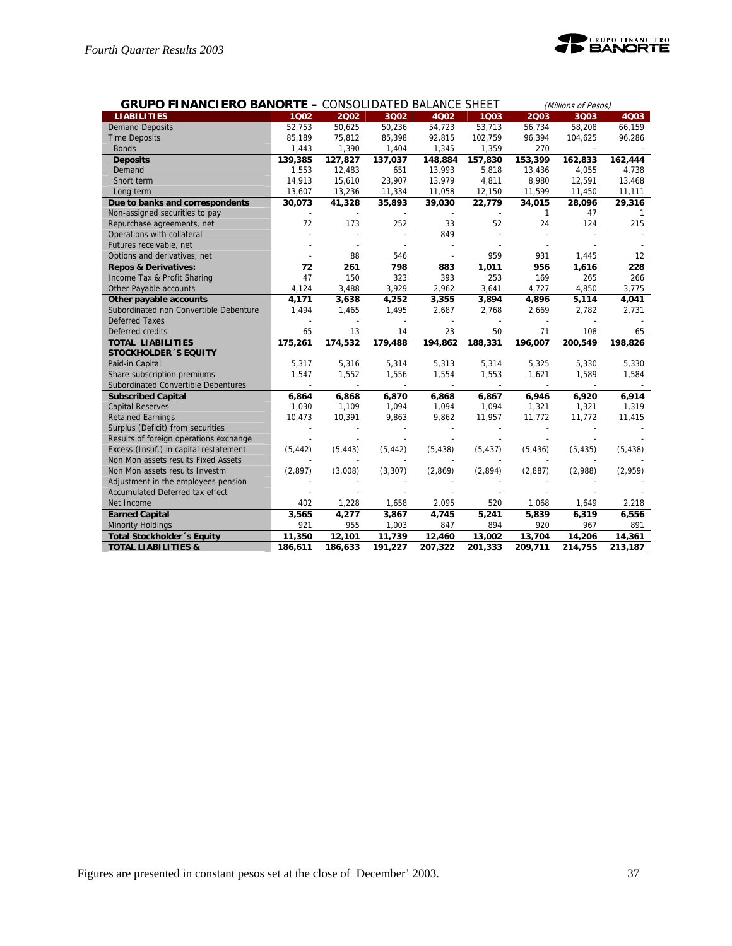

| <b>GRUPO FINANCIERO BANORTE - CONSOLIDATED BALANCE SHEET</b> |          |          |          |          |          |          | (Millions of Pesos) |          |  |
|--------------------------------------------------------------|----------|----------|----------|----------|----------|----------|---------------------|----------|--|
| <b>LIABILITIES</b>                                           | 1002     | 2002     | 3002     | 4Q02     | 1003     | 2003     | 3Q03                | 4Q03     |  |
| <b>Demand Deposits</b>                                       | 52,753   | 50,625   | 50,236   | 54,723   | 53,713   | 56,734   | 58,208              | 66,159   |  |
| <b>Time Deposits</b>                                         | 85,189   | 75,812   | 85,398   | 92,815   | 102,759  | 96,394   | 104,625             | 96,286   |  |
| <b>Bonds</b>                                                 | 1,443    | 1,390    | 1,404    | 1,345    | 1,359    | 270      |                     |          |  |
| <b>Deposits</b>                                              | 139,385  | 127,827  | 137,037  | 148,884  | 157,830  | 153,399  | 162,833             | 162,444  |  |
| Demand                                                       | 1,553    | 12,483   | 651      | 13,993   | 5,818    | 13,436   | 4,055               | 4,738    |  |
| Short term                                                   | 14,913   | 15,610   | 23,907   | 13,979   | 4,811    | 8,980    | 12,591              | 13,468   |  |
| Long term                                                    | 13,607   | 13,236   | 11,334   | 11,058   | 12,150   | 11,599   | 11,450              | 11,111   |  |
| Due to banks and correspondents                              | 30,073   | 41,328   | 35,893   | 39,030   | 22,779   | 34,015   | 28,096              | 29,316   |  |
| Non-assigned securities to pay                               |          |          |          |          |          | 1        | 47                  | 1        |  |
| Repurchase agreements, net                                   | 72       | 173      | 252      | 33       | 52       | 24       | 124                 | 215      |  |
| Operations with collateral                                   |          |          |          | 849      |          |          |                     |          |  |
| Futures receivable, net                                      |          |          |          |          |          |          |                     |          |  |
| Options and derivatives, net                                 |          | 88       | 546      |          | 959      | 931      | 1,445               | 12       |  |
| <b>Repos &amp; Derivatives:</b>                              | 72       | 261      | 798      | 883      | 1,011    | 956      | 1,616               | 228      |  |
| Income Tax & Profit Sharing                                  | 47       | 150      | 323      | 393      | 253      | 169      | 265                 | 266      |  |
| Other Payable accounts                                       | 4,124    | 3,488    | 3,929    | 2,962    | 3,641    | 4,727    | 4,850               | 3,775    |  |
| Other payable accounts                                       | 4,171    | 3,638    | 4,252    | 3,355    | 3,894    | 4,896    | 5,114               | 4,041    |  |
| Subordinated non Convertible Debenture                       | 1,494    | 1,465    | 1,495    | 2,687    | 2,768    | 2,669    | 2,782               | 2,731    |  |
| <b>Deferred Taxes</b>                                        |          |          |          |          |          |          |                     |          |  |
| Deferred credits                                             | 65       | 13       | 14       | 23       | 50       | 71       | 108                 | 65       |  |
| <b>TOTAL LIABILITIES</b>                                     | 175,261  | 174,532  | 179,488  | 194,862  | 188,331  | 196,007  | 200,549             | 198,826  |  |
| <b>STOCKHOLDER 'S EQUITY</b>                                 |          |          |          |          |          |          |                     |          |  |
| Paid-in Capital                                              | 5,317    | 5,316    | 5,314    | 5,313    | 5,314    | 5,325    | 5,330               | 5,330    |  |
| Share subscription premiums                                  | 1,547    | 1,552    | 1,556    | 1,554    | 1,553    | 1,621    | 1,589               | 1,584    |  |
| Subordinated Convertible Debentures                          |          |          |          |          |          |          |                     |          |  |
| <b>Subscribed Capital</b>                                    | 6,864    | 6,868    | 6,870    | 6,868    | 6,867    | 6,946    | 6,920               | 6,914    |  |
| <b>Capital Reserves</b>                                      | 1,030    | 1,109    | 1,094    | 1,094    | 1,094    | 1,321    | 1,321               | 1,319    |  |
| <b>Retained Earnings</b>                                     | 10,473   | 10,391   | 9,863    | 9,862    | 11,957   | 11,772   | 11,772              | 11,415   |  |
| Surplus (Deficit) from securities                            |          |          |          |          |          |          |                     |          |  |
| Results of foreign operations exchange                       |          |          |          |          |          |          |                     |          |  |
| Excess (Insuf.) in capital restatement                       | (5, 442) | (5, 443) | (5, 442) | (5, 438) | (5, 437) | (5, 436) | (5, 435)            | (5, 438) |  |
| Non Mon assets results Fixed Assets                          |          |          |          |          |          |          |                     |          |  |
| Non Mon assets results Investm                               | (2,897)  | (3,008)  | (3, 307) | (2,869)  | (2,894)  | (2,887)  | (2,988)             | (2,959)  |  |
| Adjustment in the employees pension                          |          |          |          |          |          |          |                     |          |  |
| Accumulated Deferred tax effect                              |          |          |          |          |          |          |                     |          |  |
| Net Income                                                   | 402      | 1,228    | 1,658    | 2,095    | 520      | 1,068    | 1,649               | 2,218    |  |
| <b>Earned Capital</b>                                        | 3,565    | 4,277    | 3,867    | 4,745    | 5,241    | 5,839    | 6,319               | 6,556    |  |
| <b>Minority Holdings</b>                                     | 921      | 955      | 1,003    | 847      | 894      | 920      | 967                 | 891      |  |
| <b>Total Stockholder</b> 's Equity                           | 11,350   | 12,101   | 11,739   | 12,460   | 13,002   | 13,704   | 14,206              | 14,361   |  |
| <b>TOTAL LIABILITIES &amp;</b>                               | 186,611  | 186,633  | 191,227  | 207,322  | 201,333  | 209,711  | 214,755             | 213,187  |  |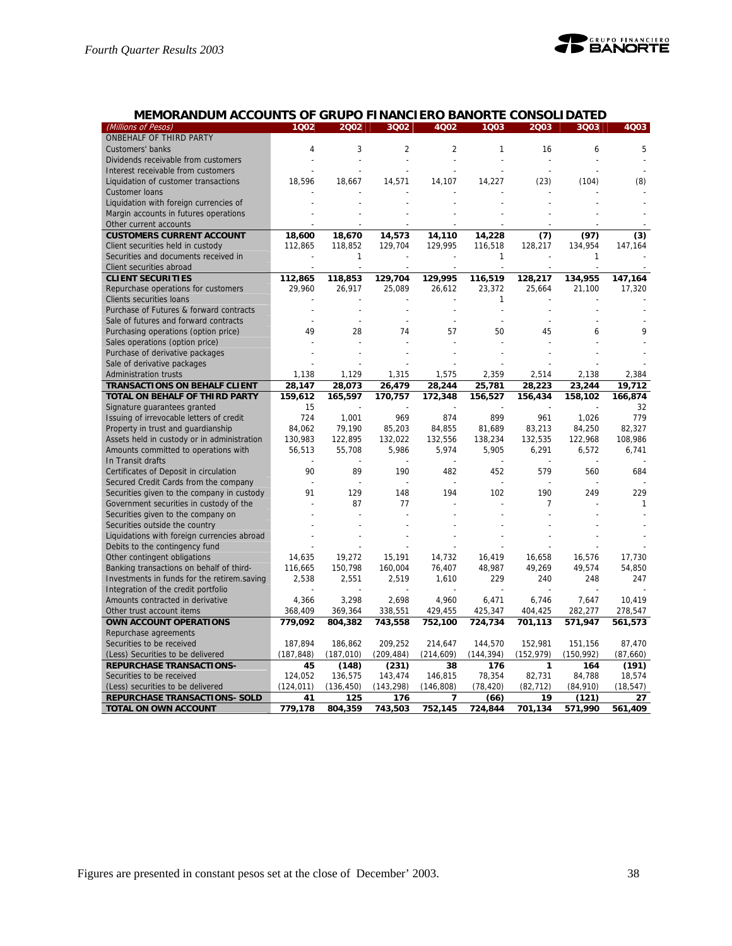

## **MEMORANDUM ACCOUNTS OF GRUPO FINANCIERO BANORTE CONSOLIDATED**

| (Millions of Pesos)                         | 1Q02       | 2002       | 3Q02           | 4Q02           | 1Q03       | 2003           | 3Q03       | 4Q03      |
|---------------------------------------------|------------|------------|----------------|----------------|------------|----------------|------------|-----------|
| ONBEHALF OF THIRD PARTY                     |            |            |                |                |            |                |            |           |
| Customers' banks                            | 4          | 3          | $\overline{2}$ | $\overline{2}$ | 1          | 16             | 6          | 5         |
| Dividends receivable from customers         |            |            |                |                |            |                |            |           |
| Interest receivable from customers          |            |            |                |                |            |                |            |           |
| Liquidation of customer transactions        | 18,596     | 18,667     | 14,571         | 14,107         | 14,227     | (23)           | (104)      | (8)       |
| Customer loans                              |            |            |                |                |            |                |            |           |
| Liquidation with foreign currencies of      |            |            |                |                |            |                |            |           |
| Margin accounts in futures operations       |            |            |                |                |            |                |            |           |
| Other current accounts                      |            |            |                |                |            |                |            |           |
| <b>CUSTOMERS CURRENT ACCOUNT</b>            | 18,600     | 18,670     | 14,573         | 14,110         | 14,228     | (7)            | (97)       | (3)       |
| Client securities held in custody           | 112,865    | 118,852    | 129,704        | 129,995        | 116,518    | 128,217        | 134,954    | 147,164   |
| Securities and documents received in        |            | 1          |                |                | 1          |                | 1          |           |
| Client securities abroad                    |            |            |                |                |            | $\overline{a}$ |            |           |
| <b>CLIENT SECURITIES</b>                    | 112,865    | 118,853    | 129,704        | 129,995        | 116,519    | 128,217        | 134,955    | 147,164   |
| Repurchase operations for customers         | 29,960     | 26,917     | 25,089         | 26,612         | 23,372     | 25,664         | 21,100     | 17,320    |
| Clients securities loans                    |            |            |                |                | 1          |                |            |           |
| Purchase of Futures & forward contracts     |            |            |                |                |            |                |            |           |
| Sale of futures and forward contracts       |            | L,         |                |                |            | L,             |            |           |
| Purchasing operations (option price)        | 49         | 28         | 74             | 57             | 50         | 45             | 6          | 9         |
| Sales operations (option price)             |            |            |                |                |            |                |            |           |
|                                             |            |            |                |                |            |                |            |           |
| Purchase of derivative packages             |            |            |                |                |            |                |            |           |
| Sale of derivative packages                 |            |            |                |                |            |                |            |           |
| <b>Administration trusts</b>                | 1,138      | 1,129      | 1,315          | 1,575          | 2,359      | 2,514          | 2,138      | 2,384     |
| <b>TRANSACTIONS ON BEHALF CLIENT</b>        | 28,147     | 28,073     | 26,479         | 28,244         | 25,781     | 28,223         | 23,244     | 19.712    |
| TOTAL ON BEHALF OF THIRD PARTY              | 159,612    | 165,597    | 170,757        | 172,348        | 156,527    | 156,434        | 158,102    | 166,874   |
| Signature guarantees granted                | 15         |            |                |                |            |                |            | 32        |
| Issuing of irrevocable letters of credit    | 724        | 1,001      | 969            | 874            | 899        | 961            | 1,026      | 779       |
| Property in trust and guardianship          | 84,062     | 79,190     | 85,203         | 84,855         | 81,689     | 83,213         | 84,250     | 82,327    |
| Assets held in custody or in administration | 130,983    | 122,895    | 132,022        | 132,556        | 138,234    | 132,535        | 122,968    | 108,986   |
| Amounts committed to operations with        | 56,513     | 55,708     | 5,986          | 5,974          | 5,905      | 6,291          | 6,572      | 6,741     |
| In Transit drafts                           |            |            |                |                |            |                |            |           |
| Certificates of Deposit in circulation      | 90         | 89         | 190            | 482            | 452        | 579            | 560        | 684       |
| Secured Credit Cards from the company       |            |            |                |                |            |                |            |           |
| Securities given to the company in custody  | 91         | 129        | 148            | 194            | 102        | 190            | 249        | 229       |
| Government securities in custody of the     |            | 87         | 77             |                |            | 7              |            | 1         |
| Securities given to the company on          |            |            |                |                |            |                |            |           |
| Securities outside the country              |            |            |                |                |            |                |            |           |
| Liquidations with foreign currencies abroad |            |            |                |                |            |                |            |           |
| Debits to the contingency fund              |            |            |                |                |            |                |            |           |
| Other contingent obligations                | 14,635     | 19,272     | 15,191         | 14,732         | 16,419     | 16,658         | 16,576     | 17,730    |
| Banking transactions on behalf of third-    | 116,665    | 150,798    | 160,004        | 76,407         | 48,987     | 49,269         | 49,574     | 54,850    |
| Investments in funds for the retirem.saving | 2,538      | 2,551      | 2,519          | 1,610          | 229        | 240            | 248        | 247       |
| Integration of the credit portfolio         |            |            |                |                |            |                |            |           |
| Amounts contracted in derivative            | 4,366      | 3,298      | 2,698          | 4,960          | 6,471      | 6,746          | 7,647      | 10,419    |
| Other trust account items                   | 368,409    | 369,364    | 338,551        | 429,455        | 425,347    | 404,425        | 282,277    | 278,547   |
| OWN ACCOUNT OPERATIONS                      | 779,092    | 804,382    | 743,558        | 752,100        | 724,734    | 701,113        | 571,947    | 561,573   |
| Repurchase agreements                       |            |            |                |                |            |                |            |           |
| Securities to be received                   | 187,894    | 186,862    | 209,252        | 214,647        | 144,570    | 152,981        | 151,156    | 87,470    |
| (Less) Securities to be delivered           | (187, 848) | (187, 010) | (209, 484)     | (214, 609)     | (144, 394) | (152, 979)     | (150, 992) | (87,660)  |
| <b>REPURCHASE TRANSACTIONS-</b>             | 45         | (148)      | (231)          | 38             | 176        | 1              | 164        | (191)     |
| Securities to be received                   | 124,052    | 136,575    | 143,474        | 146,815        | 78,354     | 82,731         | 84,788     | 18,574    |
| (Less) securities to be delivered           | (124, 011) | (136, 450) | (143, 298)     | (146, 808)     | (78, 420)  | (82, 712)      | (84, 910)  | (18, 547) |
| <b>REPURCHASE TRANSACTIONS- SOLD</b>        | 41         | 125        | 176            | $\overline{7}$ | (66)       | 19             | (121)      | 27        |
| <b>TOTAL ON OWN ACCOUNT</b>                 | 779,178    | 804,359    | 743,503        | 752,145        | 724,844    | 701,134        | 571,990    | 561,409   |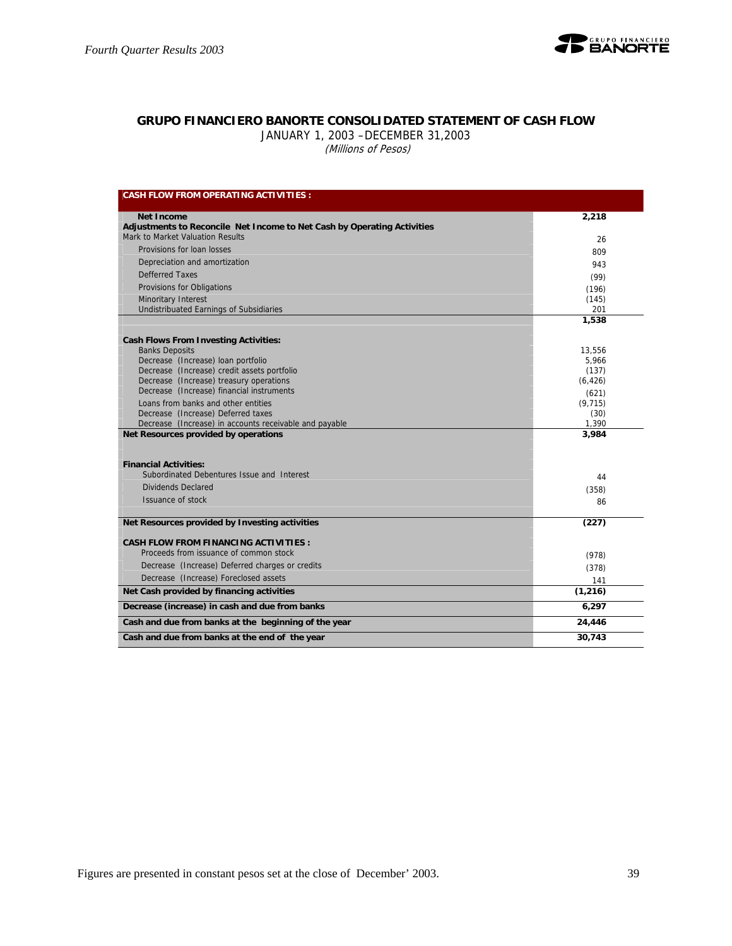

## **GRUPO FINANCIERO BANORTE CONSOLIDATED STATEMENT OF CASH FLOW**

JANUARY 1, 2003 –DECEMBER 31,2003

(Millions of Pesos)

| <b>CASH FLOW FROM OPERATING ACTIVITIES:</b>                                                  |               |
|----------------------------------------------------------------------------------------------|---------------|
| <b>Net Income</b>                                                                            | 2,218         |
| Adjustments to Reconcile Net Income to Net Cash by Operating Activities                      |               |
| Mark to Market Valuation Results                                                             | 26            |
| Provisions for loan losses                                                                   | 809           |
| Depreciation and amortization                                                                | 943           |
| <b>Defferred Taxes</b>                                                                       | (99)          |
| Provisions for Obligations                                                                   | (196)         |
| Minoritary Interest                                                                          | (145)         |
| Undistribuated Earnings of Subsidiaries                                                      | 201           |
|                                                                                              | 1,538         |
| <b>Cash Flows From Investing Activities:</b>                                                 |               |
| <b>Banks Deposits</b>                                                                        | 13,556        |
| Decrease (Increase) loan portfolio                                                           | 5,966         |
| Decrease (Increase) credit assets portfolio                                                  | (137)         |
| Decrease (Increase) treasury operations                                                      | (6, 426)      |
| Decrease (Increase) financial instruments                                                    | (621)         |
| Loans from banks and other entities                                                          | (9, 715)      |
| Decrease (Increase) Deferred taxes<br>Decrease (Increase) in accounts receivable and payable | (30)<br>1,390 |
| Net Resources provided by operations                                                         | 3,984         |
|                                                                                              |               |
| <b>Financial Activities:</b>                                                                 |               |
| Subordinated Debentures Issue and Interest                                                   | 44            |
| Dividends Declared                                                                           | (358)         |
| Issuance of stock                                                                            | 86            |
|                                                                                              |               |
| Net Resources provided by Investing activities                                               | (227)         |
| <b>CASH FLOW FROM FINANCING ACTIVITIES:</b>                                                  |               |
| Proceeds from issuance of common stock                                                       | (978)         |
| Decrease (Increase) Deferred charges or credits                                              | (378)         |
| Decrease (Increase) Foreclosed assets                                                        | 141           |
| Net Cash provided by financing activities                                                    | (1, 216)      |
| Decrease (increase) in cash and due from banks                                               | 6,297         |
| Cash and due from banks at the beginning of the year                                         | 24,446        |
| Cash and due from banks at the end of the year                                               | 30,743        |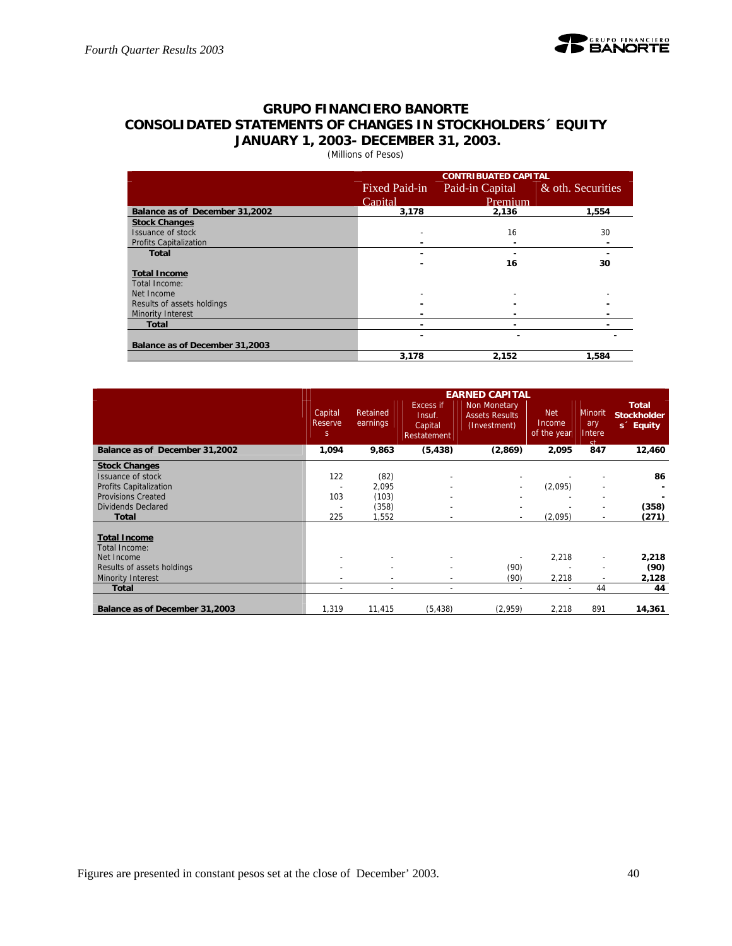

## **GRUPO FINANCIERO BANORTE CONSOLIDATED STATEMENTS OF CHANGES IN STOCKHOLDERS´ EQUITY JANUARY 1, 2003- DECEMBER 31, 2003.**

(Millions of Pesos)

|                                | <b>CONTRIBUATED CAPITAL</b> |                 |                   |  |  |  |  |  |  |  |
|--------------------------------|-----------------------------|-----------------|-------------------|--|--|--|--|--|--|--|
|                                | Fixed Paid-in               | Paid-in Capital | & oth. Securities |  |  |  |  |  |  |  |
|                                | Capital                     | Premium         |                   |  |  |  |  |  |  |  |
| Balance as of December 31,2002 | 3,178                       | 2.136           | 1,554             |  |  |  |  |  |  |  |
| <b>Stock Changes</b>           |                             |                 |                   |  |  |  |  |  |  |  |
| Issuance of stock              |                             | 16              | 30                |  |  |  |  |  |  |  |
| <b>Profits Capitalization</b>  |                             |                 |                   |  |  |  |  |  |  |  |
| <b>Total</b>                   | ۰                           |                 |                   |  |  |  |  |  |  |  |
|                                |                             | 16              | 30                |  |  |  |  |  |  |  |
| <b>Total Income</b>            |                             |                 |                   |  |  |  |  |  |  |  |
| Total Income:                  |                             |                 |                   |  |  |  |  |  |  |  |
| Net Income                     |                             |                 |                   |  |  |  |  |  |  |  |
| Results of assets holdings     |                             |                 |                   |  |  |  |  |  |  |  |
| Minority Interest              |                             |                 |                   |  |  |  |  |  |  |  |
| <b>Total</b>                   | -                           |                 |                   |  |  |  |  |  |  |  |
|                                |                             |                 |                   |  |  |  |  |  |  |  |
| Balance as of December 31,2003 |                             |                 |                   |  |  |  |  |  |  |  |
|                                | 3,178                       | 2,152           | 1,584             |  |  |  |  |  |  |  |

|                                      | <b>EARNED CAPITAL</b>             |                          |                                               |                                                       |                                     |                                           |                                                             |  |  |  |
|--------------------------------------|-----------------------------------|--------------------------|-----------------------------------------------|-------------------------------------------------------|-------------------------------------|-------------------------------------------|-------------------------------------------------------------|--|--|--|
|                                      | Capital<br>Reserve<br>$\mathsf S$ | Retained<br>earnings     | Excess if<br>Insuf.<br>Capital<br>Restatement | Non Monetary<br><b>Assets Results</b><br>(Investment) | <b>Net</b><br>Income<br>of the year | Minorit<br>ary<br>Intere<br><sub>ct</sub> | <b>Total</b><br><b>Stockholder</b><br>s <sup>c</sup> Equity |  |  |  |
| Balance as of December 31,2002       | 1,094                             | 9,863                    | (5, 438)                                      | (2,869)                                               | 2,095                               | 847                                       | 12,460                                                      |  |  |  |
| <b>Stock Changes</b>                 |                                   |                          |                                               |                                                       |                                     |                                           |                                                             |  |  |  |
| Issuance of stock                    | 122                               | (82)                     |                                               |                                                       |                                     | $\overline{\phantom{a}}$                  | 86                                                          |  |  |  |
| <b>Profits Capitalization</b>        |                                   | 2.095                    |                                               |                                                       | (2,095)                             |                                           |                                                             |  |  |  |
| <b>Provisions Created</b>            | 103                               | (103)                    |                                               |                                                       |                                     | $\overline{\phantom{a}}$                  |                                                             |  |  |  |
| <b>Dividends Declared</b>            | $\overline{\phantom{a}}$          | (358)                    |                                               |                                                       |                                     | $\blacksquare$                            | (358)                                                       |  |  |  |
| <b>Total</b>                         | 225                               | 1,552                    |                                               |                                                       | (2,095)                             | $\overline{\phantom{a}}$                  | (271)                                                       |  |  |  |
|                                      |                                   |                          |                                               |                                                       |                                     |                                           |                                                             |  |  |  |
| <b>Total Income</b><br>Total Income: |                                   |                          |                                               |                                                       |                                     |                                           |                                                             |  |  |  |
| Net Income                           |                                   |                          |                                               |                                                       | 2,218                               | $\blacksquare$                            | 2,218                                                       |  |  |  |
| Results of assets holdings           |                                   | $\overline{\phantom{0}}$ |                                               | (90)                                                  |                                     | $\overline{\phantom{a}}$                  | (90)                                                        |  |  |  |
| Minority Interest                    |                                   |                          |                                               | (90)                                                  | 2,218                               | $\overline{\phantom{a}}$                  | 2,128                                                       |  |  |  |
| <b>Total</b>                         | $\overline{\phantom{a}}$          | ۰                        | $\overline{\phantom{a}}$                      |                                                       | $\overline{\phantom{a}}$            | 44                                        | 44                                                          |  |  |  |
|                                      |                                   |                          |                                               |                                                       |                                     |                                           |                                                             |  |  |  |
| Balance as of December 31,2003       | 1,319                             | 11,415                   | (5, 438)                                      | (2,959)                                               | 2,218                               | 891                                       | 14,361                                                      |  |  |  |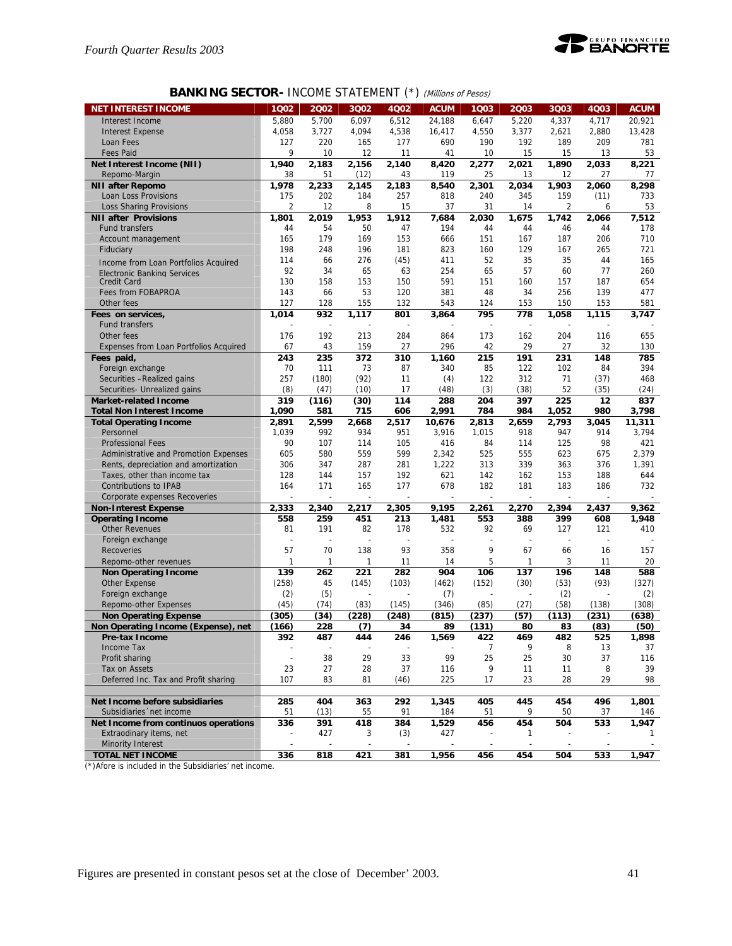

## **BANKING SECTOR- INCOME STATEMENT (\*)** (Millions of Pesos)

| <b>NET INTEREST INCOME</b>             | 1002                     | 2002           | 3Q02           | 4Q02                     | <b>ACUM</b> | 1Q03           | 2Q03  | 3Q03  | 4Q03  | <b>ACUM</b> |
|----------------------------------------|--------------------------|----------------|----------------|--------------------------|-------------|----------------|-------|-------|-------|-------------|
|                                        |                          |                |                | 6.512                    | 24.188      |                |       |       |       |             |
| Interest Income                        | 5,880                    | 5,700          | 6,097          |                          |             | 6,647          | 5,220 | 4,337 | 4,717 | 20,921      |
| <b>Interest Expense</b>                | 4,058                    | 3,727          | 4,094          | 4,538                    | 16,417      | 4,550          | 3,377 | 2,621 | 2,880 | 13,428      |
| Loan Fees                              | 127                      | 220            | 165            | 177                      | 690         | 190            | 192   | 189   | 209   | 781         |
| <b>Fees Paid</b>                       | 9                        | 10             | 12             | 11                       | 41          | 10             | 15    | 15    | 13    | 53          |
| Net Interest Income (NII)              | 1,940                    | 2,183          | 2,156          | 2,140                    | 8,420       | 2,277          | 2,021 | 1,890 | 2,033 | 8,221       |
| Repomo-Margin                          | 38                       | 51             | (12)           | 43                       | 119         | 25             | 13    | 12    | 27    | 77          |
| <b>NII after Repomo</b>                | 1,978                    | 2,233          | 2,145          | 2,183                    | 8,540       | 2,301          | 2,034 | 1,903 | 2,060 | 8,298       |
| Loan Loss Provisions                   | 175                      | 202            | 184            | 257                      | 818         | 240            | 345   | 159   | (11)  | 733         |
| <b>Loss Sharing Provisions</b>         | 2                        | 12             | 8              | 15                       | 37          | 31             | 14    | 2     | 6     | 53          |
| <b>NII after Provisions</b>            | 1,801                    | 2.019          | 1,953          | 1,912                    | 7,684       | 2,030          | 1,675 | 1,742 | 2,066 | 7,512       |
| <b>Fund transfers</b>                  | 44                       | 54             | 50             | 47                       | 194         | 44             | 44    | 46    | 44    | 178         |
| Account management                     | 165                      | 179            | 169            | 153                      | 666         | 151            | 167   | 187   | 206   | 710         |
| Fiduciary                              | 198                      | 248            | 196            | 181                      | 823         | 160            | 129   | 167   | 265   | 721         |
| Income from Loan Portfolios Acquired   | 114                      | 66             | 276            | (45)                     | 411         | 52             | 35    | 35    | 44    | 165         |
| Electronic Banking Services            | 92                       | 34             | 65             | 63                       | 254         | 65             | 57    | 60    | 77    | 260         |
| <b>Credit Card</b>                     | 130                      | 158            | 153            | 150                      | 591         | 151            | 160   | 157   | 187   | 654         |
| Fees from FOBAPROA                     | 143                      | 66             | 53             | 120                      | 381         | 48             | 34    | 256   | 139   | 477         |
| Other fees                             | 127                      | 128            | 155            | 132                      | 543         | 124            | 153   | 150   | 153   | 581         |
| Fees on services,                      | 1,014                    | 932            | 1,117          | 801                      | 3,864       | 795            | 778   | 1,058 | 1,115 | 3,747       |
| <b>Fund transfers</b>                  |                          |                |                |                          |             |                |       |       |       |             |
| Other fees                             | 176                      | 192            | 213            | 284                      | 864         | 173            | 162   | 204   | 116   | 655         |
| Expenses from Loan Portfolios Acquired | 67                       | 43             | 159            | 27                       | 296         | 42             | 29    | 27    | 32    | 130         |
| Fees paid,                             | 243                      | 235            | 372            | 310                      | 1,160       | 215            | 191   | 231   | 148   | 785         |
| Foreign exchange                       | 70                       | 111            | 73             | 87                       | 340         | 85             | 122   | 102   | 84    | 394         |
| Securities - Realized gains            | 257                      | (180)          | (92)           | 11                       | (4)         | 122            | 312   | 71    | (37)  | 468         |
| Securities- Unrealized gains           | (8)                      | (47)           | (10)           | 17                       | (48)        | (3)            | (38)  | 52    | (35)  | (24)        |
| <b>Market-related Income</b>           | 319                      | (116)          | (30)           | 114                      | 288         | 204            | 397   | 225   | 12    | 837         |
| <b>Total Non Interest Income</b>       | 1,090                    | 581            | 715            | 606                      | 2,991       | 784            | 984   | 1,052 | 980   | 3.798       |
| <b>Total Operating Income</b>          | 2,891                    | 2,599          | 2,668          | 2,517                    | 10,676      | 2,813          | 2,659 | 2.793 | 3,045 | 11,311      |
| Personnel                              | 1,039                    | 992            | 934            | 951                      | 3,916       | 1,015          | 918   | 947   | 914   | 3,794       |
| <b>Professional Fees</b>               | 90                       | 107            | 114            | 105                      | 416         | 84             | 114   | 125   | 98    | 421         |
| Administrative and Promotion Expenses  | 605                      | 580            | 559            | 599                      | 2,342       | 525            | 555   | 623   | 675   | 2,379       |
| Rents, depreciation and amortization   | 306                      | 347            | 287            | 281                      | 1,222       | 313            | 339   | 363   | 376   | 1,391       |
| Taxes, other than income tax           | 128                      | 144            | 157            | 192                      | 621         | 142            | 162   | 153   | 188   | 644         |
| Contributions to IPAB                  | 164                      | 171            | 165            | 177                      | 678         | 182            | 181   | 183   | 186   | 732         |
| Corporate expenses Recoveries          |                          | L,             | $\overline{a}$ | $\overline{\phantom{a}}$ |             |                |       | L,    |       |             |
| <b>Non-Interest Expense</b>            | 2,333                    | 2,340          | 2,217          | 2,305                    | 9,195       | 2,261          | 2,270 | 2,394 | 2,437 | 9,362       |
| <b>Operating Income</b>                | 558                      | 259            | 451            | 213                      | 1,481       | 553            | 388   | 399   | 608   | 1,948       |
| <b>Other Revenues</b>                  | 81                       | 191            | 82             | 178                      | 532         | 92             | 69    | 127   | 121   | 410         |
| Foreign exchange                       | Ĭ.                       | $\overline{a}$ | $\overline{a}$ | $\overline{a}$           |             | $\overline{a}$ |       | L,    |       |             |
| Recoveries                             | 57                       | 70             | 138            | 93                       | 358         | 9              | 67    | 66    | 16    | 157         |
| Repomo-other revenues                  | 1                        | $\mathbf{1}$   | 1              | 11                       | 14          | 5              | 1     | 3     | 11    | 20          |
| <b>Non Operating Income</b>            | 139                      | 262            | 221            | 282                      | 904         | 106            | 137   | 196   | 148   | 588         |
| <b>Other Expense</b>                   | (258)                    | 45             | (145)          | (103)                    | (462)       | (152)          | (30)  | (53)  | (93)  | (327)       |
| Foreign exchange                       | (2)                      | (5)            |                |                          | (7)         |                |       | (2)   |       | (2)         |
| Repomo-other Expenses                  | (45)                     | (74)           | (83)           | (145)                    | (346)       | (85)           | (27)  | (58)  | (138) | (308)       |
| <b>Non Operating Expense</b>           | (305)                    | (34)           | (228)          | (248)                    | (815)       | (237)          | (57)  | (113) | (231) | (638)       |
| Non Operating Income (Expense), net    | (166)                    | 228            | (7)            | 34                       | 89          | (131)          | 80    | 83    | (83)  | (50)        |
| Pre-tax Income                         | 392                      | 487            | 444            | 246                      | 1,569       | 422            | 469   | 482   | 525   | 1,898       |
| Income Tax                             |                          |                |                |                          |             | 7              | 9     | 8     | 13    | 37          |
| Profit sharing                         | $\overline{\phantom{a}}$ | 38             | 29             | 33                       | 99          | 25             | 25    | 30    | 37    | 116         |
| Tax on Assets                          | 23                       | 27             | 28             | 37                       | 116         | 9              | 11    | 11    | 8     | 39          |
| Deferred Inc. Tax and Profit sharing   | 107                      | 83             | 81             | (46)                     | 225         | 17             | 23    | 28    | 29    | 98          |
|                                        |                          |                |                |                          |             |                |       |       |       |             |
| Net Income before subsidiaries         | 285                      | 404            | 363            | 292                      | 1,345       | 405            | 445   | 454   | 496   | 1,801       |
| Subsidiaries 'net income               | 51                       | (13)           | 55             | 91                       | 184         | 51             | 9     | 50    | 37    | 146         |
| Net Income from continuos operations   | 336                      | 391            | 418            | 384                      | 1,529       | 456            | 454   | 504   | 533   | 1,947       |
| Extraodinary items, net                | $\overline{\phantom{a}}$ | 427            | 3              | (3)                      | 427         |                | 1     |       |       | 1           |
| Minority Interest                      | $\overline{\phantom{a}}$ |                |                |                          |             |                |       |       |       |             |
| <b>TOTAL NET INCOME</b>                | 336                      | 818            | 421            | 381                      | 1,956       | 456            | 454   | 504   | 533   | 1,947       |

(\*)Afore is included in the Subsidiaries' net income.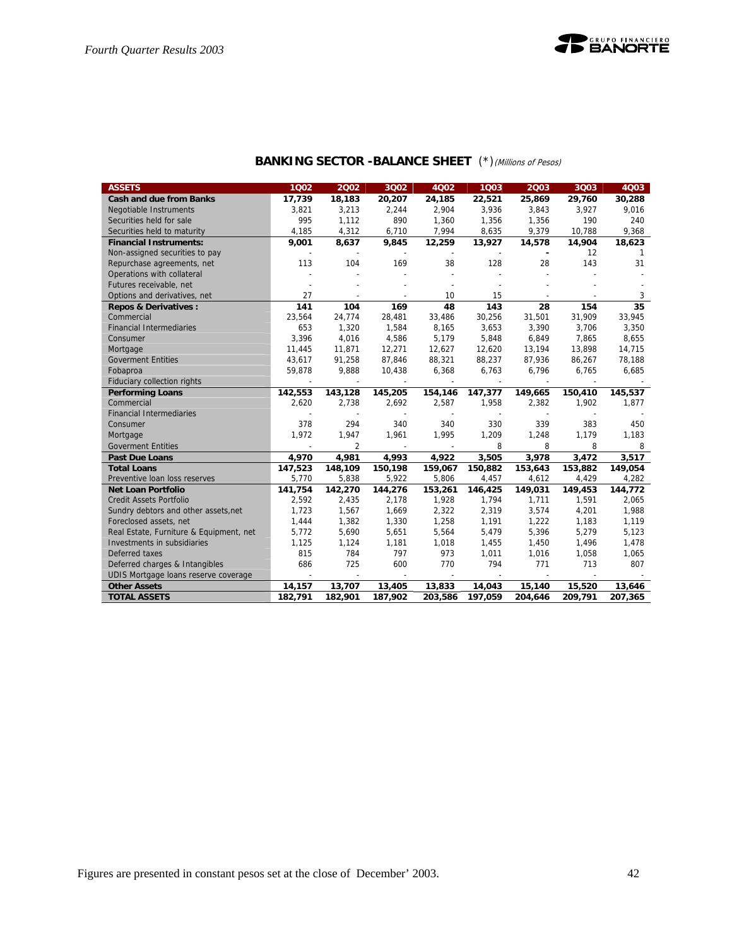

## **BANKING SECTOR -BALANCE SHEET** (\*)(Millions of Pesos)

| <b>ASSETS</b>                           | 1002           | 2002                     | 3002           | 4Q02    | 1003    | 2003    | 3Q03                     | 4003            |
|-----------------------------------------|----------------|--------------------------|----------------|---------|---------|---------|--------------------------|-----------------|
| <b>Cash and due from Banks</b>          | 17,739         | 18,183                   | 20,207         | 24,185  | 22,521  | 25,869  | 29,760                   | 30,288          |
| Negotiable Instruments                  | 3.821          | 3.213                    | 2,244          | 2.904   | 3.936   | 3,843   | 3,927                    | 9.016           |
| Securities held for sale                | 995            | 1,112                    | 890            | 1,360   | 1,356   | 1,356   | 190                      | 240             |
| Securities held to maturity             | 4,185          | 4,312                    | 6,710          | 7,994   | 8,635   | 9,379   | 10,788                   | 9,368           |
| <b>Financial Instruments:</b>           | 9,001          | 8,637                    | 9,845          | 12,259  | 13,927  | 14,578  | 14,904                   | 18,623          |
| Non-assigned securities to pay          |                |                          |                |         |         |         | 12                       | 1               |
| Repurchase agreements, net              | 113            | 104                      | 169            | 38      | 128     | 28      | 143                      | 31              |
| Operations with collateral              |                |                          |                |         |         |         |                          |                 |
| Futures receivable, net                 |                |                          |                |         |         |         |                          |                 |
| Options and derivatives, net            | 27             | $\overline{\phantom{a}}$ | $\overline{a}$ | 10      | 15      |         | $\overline{\phantom{a}}$ | 3               |
| <b>Repos &amp; Derivatives:</b>         | 141            | 104                      | 169            | 48      | 143     | 28      | 154                      | $\overline{35}$ |
| Commercial                              | 23,564         | 24,774                   | 28,481         | 33,486  | 30,256  | 31,501  | 31,909                   | 33,945          |
| <b>Financial Intermediaries</b>         | 653            | 1,320                    | 1,584          | 8,165   | 3,653   | 3,390   | 3,706                    | 3,350           |
| Consumer                                | 3,396          | 4,016                    | 4,586          | 5,179   | 5,848   | 6,849   | 7,865                    | 8,655           |
| Mortgage                                | 11,445         | 11,871                   | 12,271         | 12,627  | 12,620  | 13,194  | 13,898                   | 14,715          |
| <b>Goverment Entities</b>               | 43,617         | 91,258                   | 87,846         | 88,321  | 88,237  | 87,936  | 86,267                   | 78,188          |
| Fobaproa                                | 59,878         | 9,888                    | 10,438         | 6,368   | 6,763   | 6,796   | 6,765                    | 6,685           |
| Fiduciary collection rights             |                |                          |                |         |         |         |                          |                 |
| <b>Performing Loans</b>                 | 142,553        | 143,128                  | 145,205        | 154,146 | 147,377 | 149,665 | 150,410                  | 145,537         |
| Commercial                              | 2,620          | 2,738                    | 2,692          | 2,587   | 1,958   | 2,382   | 1,902                    | 1,877           |
| <b>Financial Intermediaries</b>         |                |                          |                |         |         |         |                          |                 |
| Consumer                                | 378            | 294                      | 340            | 340     | 330     | 339     | 383                      | 450             |
| Mortgage                                | 1,972          | 1,947                    | 1,961          | 1,995   | 1,209   | 1,248   | 1,179                    | 1,183           |
| <b>Goverment Entities</b>               |                | $\overline{2}$           |                |         | 8       | 8       | 8                        | 8               |
| <b>Past Due Loans</b>                   | 4,970          | 4,981                    | 4,993          | 4,922   | 3,505   | 3,978   | 3,472                    | 3,517           |
| <b>Total Loans</b>                      | 147,523        | 148,109                  | 150,198        | 159,067 | 150,882 | 153,643 | 153,882                  | 149,054         |
| Preventive Ioan loss reserves           | 5,770          | 5,838                    | 5,922          | 5,806   | 4,457   | 4,612   | 4,429                    | 4,282           |
| <b>Net Loan Portfolio</b>               | 141,754        | 142,270                  | 144,276        | 153,261 | 146,425 | 149,031 | 149,453                  | 144,772         |
| <b>Credit Assets Portfolio</b>          | 2,592          | 2,435                    | 2,178          | 1,928   | 1,794   | 1,711   | 1,591                    | 2,065           |
| Sundry debtors and other assets, net    | 1,723          | 1,567                    | 1,669          | 2,322   | 2,319   | 3,574   | 4,201                    | 1,988           |
| Foreclosed assets, net                  | 1,444          | 1,382                    | 1,330          | 1,258   | 1,191   | 1,222   | 1,183                    | 1,119           |
| Real Estate, Furniture & Equipment, net | 5,772          | 5,690                    | 5,651          | 5,564   | 5,479   | 5,396   | 5,279                    | 5,123           |
| Investments in subsidiaries             | 1,125          | 1,124                    | 1,181          | 1,018   | 1,455   | 1,450   | 1,496                    | 1,478           |
| Deferred taxes                          | 815            | 784                      | 797            | 973     | 1,011   | 1,016   | 1,058                    | 1,065           |
| Deferred charges & Intangibles          | 686            | 725                      | 600            | 770     | 794     | 771     | 713                      | 807             |
| UDIS Mortgage loans reserve coverage    | $\overline{a}$ | $\overline{\phantom{a}}$ |                |         |         |         |                          |                 |
| <b>Other Assets</b>                     | 14,157         | 13,707                   | 13,405         | 13,833  | 14,043  | 15,140  | 15,520                   | 13,646          |
| <b>TOTAL ASSETS</b>                     | 182,791        | 182,901                  | 187,902        | 203,586 | 197,059 | 204,646 | 209,791                  | 207,365         |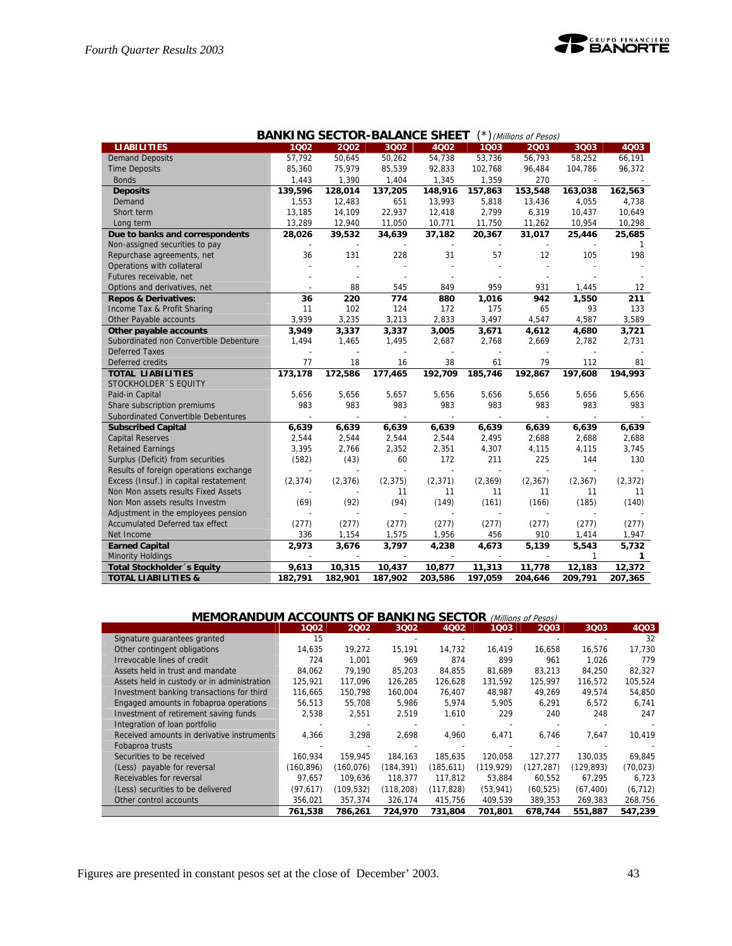|                                        |          |          |                          | <b>BANKING SECTOR-BALANCE SHEET</b> |                | $(*)$ (Millions of Pesos) |                          |          |
|----------------------------------------|----------|----------|--------------------------|-------------------------------------|----------------|---------------------------|--------------------------|----------|
| <b>LIABILITIES</b>                     | 1002     | 2002     | 3002                     | 4002                                | 1003           | 2003                      | 3003                     | 4Q03     |
| <b>Demand Deposits</b>                 | 57,792   | 50,645   | 50,262                   | 54,738                              | 53,736         | 56,793                    | 58,252                   | 66,191   |
| <b>Time Deposits</b>                   | 85,360   | 75,979   | 85,539                   | 92,833                              | 102,768        | 96,484                    | 104,786                  | 96,372   |
| <b>Bonds</b>                           | 1,443    | 1,390    | 1,404                    | 1,345                               | 1,359          | 270                       | $\overline{a}$           |          |
| <b>Deposits</b>                        | 139,596  | 128,014  | 137.205                  | 148.916                             | 157.863        | 153,548                   | 163.038                  | 162.563  |
| Demand                                 | 1,553    | 12,483   | 651                      | 13,993                              | 5,818          | 13,436                    | 4,055                    | 4,738    |
| Short term                             | 13,185   | 14,109   | 22,937                   | 12,418                              | 2,799          | 6,319                     | 10,437                   | 10,649   |
| Long term                              | 13,289   | 12,940   | 11,050                   | 10,771                              | 11,750         | 11,262                    | 10,954                   | 10,298   |
| Due to banks and correspondents        | 28,026   | 39,532   | 34,639                   | 37,182                              | 20,367         | 31,017                    | 25,446                   | 25,685   |
| Non-assigned securities to pay         |          |          |                          |                                     |                |                           |                          | 1        |
| Repurchase agreements, net             | 36       | 131      | 228                      | 31                                  | 57             | 12                        | 105                      | 198      |
| Operations with collateral             |          |          |                          |                                     |                |                           |                          |          |
| Futures receivable, net                |          |          |                          |                                     |                |                           |                          |          |
| Options and derivatives, net           |          | 88       | 545                      | 849                                 | 959            | 931                       | 1,445                    | 12       |
| <b>Repos &amp; Derivatives:</b>        | 36       | 220      | 774                      | 880                                 | 1,016          | 942                       | 1,550                    | 211      |
| Income Tax & Profit Sharing            | 11       | 102      | 124                      | 172                                 | 175            | 65                        | 93                       | 133      |
| Other Payable accounts                 | 3,939    | 3,235    | 3,213                    | 2,833                               | 3,497          | 4,547                     | 4,587                    | 3,589    |
| Other payable accounts                 | 3,949    | 3,337    | 3,337                    | 3,005                               | 3,671          | 4,612                     | 4,680                    | 3,721    |
| Subordinated non Convertible Debenture | 1,494    | 1,465    | 1,495                    | 2,687                               | 2,768          | 2,669                     | 2,782                    | 2,731    |
| <b>Deferred Taxes</b>                  |          |          |                          |                                     |                |                           |                          |          |
| Deferred credits                       | 77       | 18       | 16                       | 38                                  | 61             | 79                        | 112                      | 81       |
| <b>TOTAL LIABILITIES</b>               | 173,178  | 172,586  | 177,465                  | 192,709                             | 185,746        | 192,867                   | 197,608                  | 194,993  |
| STOCKHOLDER 'S EQUITY                  |          |          |                          |                                     |                |                           |                          |          |
| Paid-in Capital                        | 5,656    | 5,656    | 5,657                    | 5,656                               | 5,656          | 5,656                     | 5,656                    | 5,656    |
| Share subscription premiums            | 983      | 983      | 983                      | 983                                 | 983            | 983                       | 983                      | 983      |
| Subordinated Convertible Debentures    |          |          |                          |                                     |                |                           |                          |          |
| <b>Subscribed Capital</b>              | 6,639    | 6,639    | 6,639                    | 6,639                               | 6,639          | 6,639                     | 6,639                    | 6,639    |
| <b>Capital Reserves</b>                | 2,544    | 2,544    | 2,544                    | 2,544                               | 2,495          | 2,688                     | 2,688                    | 2,688    |
| <b>Retained Earnings</b>               | 3,395    | 2,766    | 2,352                    | 2,351                               | 4,307          | 4,115                     | 4,115                    | 3,745    |
| Surplus (Deficit) from securities      | (582)    | (43)     | 60                       | 172                                 | 211            | 225                       | 144                      | 130      |
| Results of foreign operations exchange | L,       |          | $\overline{\phantom{a}}$ | $\overline{\phantom{a}}$            | $\overline{a}$ | $\overline{\phantom{a}}$  | $\overline{\phantom{a}}$ |          |
| Excess (Insuf.) in capital restatement | (2, 374) | (2, 376) | (2, 375)                 | (2, 371)                            | (2,369)        | (2, 367)                  | (2, 367)                 | (2, 372) |
| Non Mon assets results Fixed Assets    |          |          | 11                       | 11                                  | 11             | 11                        | 11                       | 11       |
| Non Mon assets results Investm         | (69)     | (92)     | (94)                     | (149)                               | (161)          | (166)                     | (185)                    | (140)    |
| Adjustment in the employees pension    |          |          |                          |                                     |                |                           |                          |          |
| Accumulated Deferred tax effect        | (277)    | (277)    | (277)                    | (277)                               | (277)          | (277)                     | (277)                    | (277)    |
| Net Income                             | 336      | 1,154    | 1,575                    | 1,956                               | 456            | 910                       | 1,414                    | 1,947    |
| <b>Earned Capital</b>                  | 2,973    | 3,676    | 3,797                    | 4,238                               | 4,673          | 5,139                     | 5,543                    | 5,732    |
| <b>Minority Holdings</b>               |          |          |                          |                                     |                |                           | 1                        | 1        |
| Total Stockholder 's Equity            | 9,613    | 10,315   | 10,437                   | 10,877                              | 11,313         | 11,778                    | 12,183                   | 12,372   |
| <b>TOTAL LIABILITIES &amp;</b>         | 182,791  | 182,901  | 187,902                  | 203,586                             | 197,059        | 204,646                   | 209,791                  | 207,365  |

| <b>ACCOUNTS OF</b><br><b>BANKING SECTOR</b><br><b>MEMORANDUM</b><br>(Millions of Pesos) |           |            |            |            |            |           |            |           |  |  |  |
|-----------------------------------------------------------------------------------------|-----------|------------|------------|------------|------------|-----------|------------|-----------|--|--|--|
|                                                                                         | 1002      | 2002       | 3Q02       | 4Q02       | 1003       | 2003      | 3Q03       | 4Q03      |  |  |  |
| Signature guarantees granted                                                            | 15        |            |            |            |            |           |            | 32        |  |  |  |
| Other contingent obligations                                                            | 14,635    | 19.272     | 15,191     | 14,732     | 16,419     | 16,658    | 16,576     | 17,730    |  |  |  |
| Irrevocable lines of credit                                                             | 724       | 1.001      | 969        | 874        | 899        | 961       | 1.026      | 779       |  |  |  |
| Assets held in trust and mandate                                                        | 84.062    | 79.190     | 85,203     | 84.855     | 81.689     | 83.213    | 84,250     | 82,327    |  |  |  |
| Assets held in custody or in administration                                             | 125.921   | 117,096    | 126,285    | 126,628    | 131,592    | 125,997   | 116,572    | 105,524   |  |  |  |
| Investment banking transactions for third                                               | 116,665   | 150,798    | 160,004    | 76,407     | 48,987     | 49,269    | 49,574     | 54,850    |  |  |  |
| Engaged amounts in fobaproa operations                                                  | 56,513    | 55,708     | 5,986      | 5,974      | 5,905      | 6,291     | 6,572      | 6,741     |  |  |  |
| Investment of retirement saving funds                                                   | 2,538     | 2,551      | 2,519      | 1,610      | 229        | 240       | 248        | 247       |  |  |  |
| Integration of loan portfolio                                                           |           |            |            |            |            |           |            |           |  |  |  |
| Received amounts in derivative instruments                                              | 4,366     | 3,298      | 2,698      | 4,960      | 6,471      | 6.746     | 7.647      | 10,419    |  |  |  |
| Fobaproa trusts                                                                         |           |            |            |            |            |           |            |           |  |  |  |
| Securities to be received                                                               | 160,934   | 159.945    | 184,163    | 185,635    | 120,058    | 127,277   | 130,035    | 69,845    |  |  |  |
| (Less) payable for reversal                                                             | (160,896) | (160, 076) | (184, 391) | (185, 611) | (119, 929) | (127,287) | (129, 893) | (70, 023) |  |  |  |
| Receivables for reversal                                                                | 97,657    | 109,636    | 118,377    | 117,812    | 53,884     | 60,552    | 67,295     | 6,723     |  |  |  |
| (Less) securities to be delivered                                                       | (97, 617) | (109, 532) | (118, 208) | (117, 828) | (53, 941)  | (60, 525) | (67, 400)  | (6, 712)  |  |  |  |
| Other control accounts                                                                  | 356,021   | 357,374    | 326,174    | 415,756    | 409,539    | 389,353   | 269,383    | 268,756   |  |  |  |
|                                                                                         | 761.538   | 786.261    | 724.970    | 731.804    | 701.801    | 678.744   | 551.887    | 547.239   |  |  |  |

Figures are presented in constant pesos set at the close of December' 2003. 43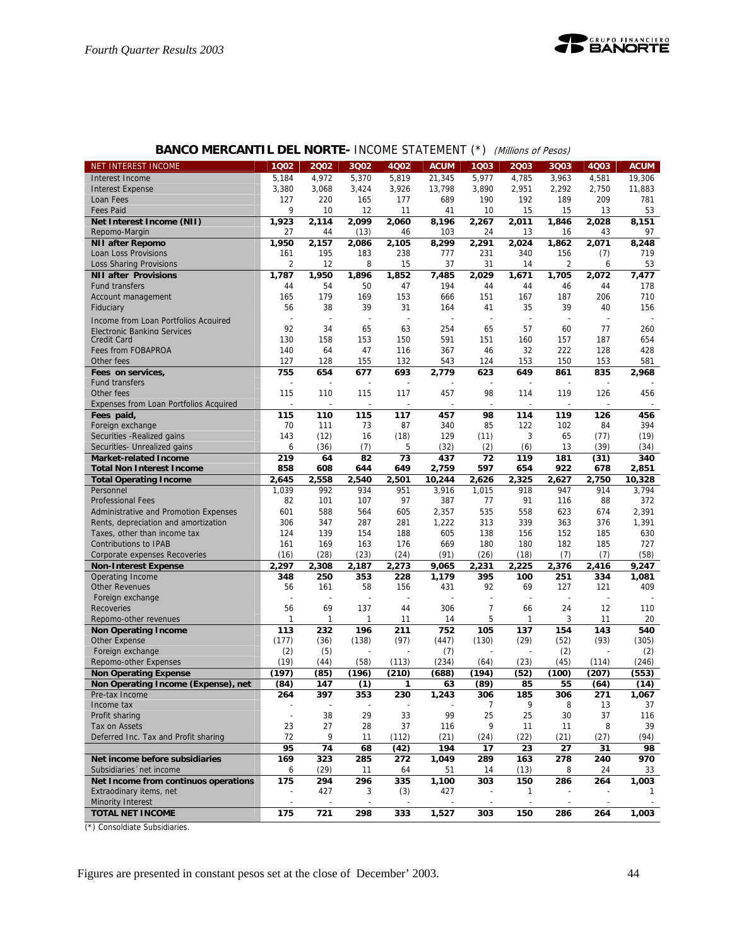

| NET INTEREST INCOME                                               | 1Q02           | 2002                     | 3Q02           | 4Q02                     | <b>ACUM</b>  | 1Q03                     | 2Q03      | 3Q03                    | 4Q03        | <b>ACUM</b>    |
|-------------------------------------------------------------------|----------------|--------------------------|----------------|--------------------------|--------------|--------------------------|-----------|-------------------------|-------------|----------------|
| Interest Income                                                   | 5,184          | 4,972                    | 5,370          | 5,819                    | 21,345       | 5,977                    | 4,785     | 3,963                   | 4,581       | 19,306         |
| <b>Interest Expense</b>                                           | 3,380          | 3.068                    | 3,424          | 3,926                    | 13,798       | 3,890                    | 2,951     | 2,292                   | 2,750       | 11,883         |
| Loan Fees                                                         | 127            | 220                      | 165            | 177                      | 689          | 190                      | 192       | 189                     | 209         | 781            |
| <b>Fees Paid</b>                                                  | 9              | 10                       | 12             | 11                       | 41           | 10                       | 15        | 15                      | 13          | 53             |
| Net Interest Income (NII)                                         | 1,923          | 2,114                    | 2.099          | 2,060                    | 8,196        | 2,267                    | 2,011     | 1,846                   | 2.028       | 8,151          |
| Repomo-Margin                                                     | 27             | 44                       | (13)           | 46                       | 103          | 24                       | 13        | 16                      | 43          | 97             |
| <b>NII after Repomo</b>                                           | 1,950          | 2,157                    | 2,086          | 2,105                    | 8,299        | 2,291                    | 2,024     | 1,862                   | 2,071       | 8,248          |
| Loan Loss Provisions                                              | 161            | 195                      | 183            | 238                      | 777          | 231                      | 340       | 156                     | (7)         | 719            |
| <b>Loss Sharing Provisions</b>                                    | $\overline{2}$ | 12                       | 8              | 15                       | 37           | 31                       | 14        | $\overline{\mathbf{c}}$ | 6           | 53             |
| <b>NII after Provisions</b>                                       | 1,787          | 1,950                    | 1,896          | 1,852                    | 7,485        | 2,029                    | 1,671     | 1,705                   | 2,072       | 7,477          |
| <b>Fund transfers</b>                                             | 44             | 54                       | 50             | 47                       | 194          | 44                       | 44        | 46                      | 44          | 178            |
| Account management                                                | 165            | 179                      | 169            | 153                      | 666          | 151                      | 167       | 187                     | 206         | 710            |
| Fiduciary                                                         | 56             | 38                       | 39             | 31                       | 164          | 41                       | 35        | 39                      | 40          | 156            |
| Income from Loan Portfolios Acquired                              |                | ÷                        | ÷,             |                          |              | ÷,                       | L,        | L,                      |             |                |
| <b>Electronic Banking Services</b>                                | 92             | 34                       | 65             | 63                       | 254          | 65                       | 57        | 60                      | 77          | 260            |
| <b>Credit Card</b>                                                | 130            | 158                      | 153            | 150                      | 591          | 151                      | 160       | 157                     | 187         | 654            |
| Fees from FOBAPROA                                                | 140            | 64                       | 47             | 116                      | 367          | 46                       | 32        | 222                     | 128         | 428            |
| Other fees                                                        | 127            | 128                      | 155            | 132                      | 543          | 124                      | 153       | 150                     | 153         | 581            |
| Fees on services,                                                 | 755            | 654                      | 677            | 693                      | 2,779        | 623                      | 649       | 861                     | 835         | 2,968          |
| <b>Fund transfers</b>                                             |                |                          | L,             |                          |              |                          |           | L,                      |             |                |
| Other fees                                                        | 115            | 110                      | 115            | 117                      | 457          | 98                       | 114       | 119                     | 126         | 456            |
| Expenses from Loan Portfolios Acquired                            |                | $\overline{\phantom{a}}$ | $\overline{a}$ | $\overline{\phantom{a}}$ |              | $\overline{\phantom{a}}$ |           | $\overline{a}$          |             |                |
| Fees paid,                                                        | 115            | 110                      | 115            | 117                      | 457          | 98                       | 114       | 119                     | 126         | 456            |
| Foreign exchange                                                  | 70             | 111                      | 73             | 87                       | 340          | 85                       | 122       | 102                     | 84          | 394            |
| Securities - Realized gains                                       | 143            | (12)                     | 16             | (18)                     | 129          | (11)                     | 3         | 65                      | (77)        | (19)           |
| Securities- Unrealized gains                                      | 6              | (36)                     | (7)            | 5                        | (32)         |                          | (6)       | 13                      | (39)        | (34)           |
|                                                                   | 219            | 64                       | 82             | 73                       | 437          | (2)<br>72                | 119       | 181                     |             | 340            |
| <b>Market-related Income</b>                                      | 858            | 608                      | 644            | 649                      | 2,759        | 597                      | 654       | 922                     | (31)<br>678 | 2,851          |
| <b>Total Non Interest Income</b><br><b>Total Operating Income</b> | 2,645          | 2.558                    | 2,540          | 2,501                    | 10,244       | 2,626                    | 2,325     | 2,627                   | 2,750       | 10,328         |
| Personnel                                                         | 1,039          | 992                      | 934            | 951                      | 3,916        | 1,015                    | 918       | 947                     | 914         | 3,794          |
| <b>Professional Fees</b>                                          | 82             | 101                      | 107            | 97                       | 387          | 77                       | 91        | 116                     | 88          | 372            |
| Administrative and Promotion Expenses                             | 601            | 588                      | 564            | 605                      | 2,357        | 535                      | 558       | 623                     | 674         | 2,391          |
| Rents, depreciation and amortization                              | 306            | 347                      | 287            | 281                      | 1,222        | 313                      | 339       | 363                     | 376         | 1,391          |
| Taxes, other than income tax                                      | 124            | 139                      | 154            | 188                      | 605          | 138                      | 156       | 152                     | 185         | 630            |
| <b>Contributions to IPAB</b>                                      | 161            | 169                      | 163            | 176                      | 669          | 180                      | 180       | 182                     | 185         | 727            |
|                                                                   |                | (28)                     | (23)           |                          | (91)         |                          |           |                         |             | (58)           |
| Corporate expenses Recoveries                                     | (16)           |                          |                | (24)                     |              | (26)                     | (18)      | (7)                     | (7)         |                |
| <b>Non-Interest Expense</b>                                       | 2,297          | 2,308                    | 2,187          | 2,273                    | 9,065        | 2,231                    | 2,225     | 2,376                   | 2,416       | 9,247          |
| Operating Income                                                  | 348            | 250                      | 353            | 228                      | 1,179<br>431 | 395                      | 100<br>69 | 251                     | 334         | 1,081          |
| <b>Other Revenues</b>                                             | 56<br>L,       | 161                      | 58<br>L,       | 156                      |              | 92<br>L,                 |           | 127<br>L,               | 121<br>÷,   | 409            |
| Foreign exchange                                                  | 56             | 69                       |                |                          |              | $\overline{7}$           |           |                         | 12          |                |
| <b>Recoveries</b>                                                 | 1              |                          | 137            | 44                       | 306          | 5                        | 66<br>1   | 24<br>3                 |             | 110<br>20      |
| Repomo-other revenues                                             |                | 1                        | 1              | 11                       | 14           |                          |           |                         | 11          |                |
| <b>Non Operating Income</b>                                       | 113            | 232                      | 196            | 211                      | 752          | 105                      | 137       | 154                     | 143         | 540            |
| <b>Other Expense</b>                                              | (177)          | (36)                     | (138)          | (97)                     | (447)        | (130)                    | (29)      | (52)                    | (93)        | (305)          |
| Foreign exchange                                                  | (2)            | (5)                      |                |                          | (7)          |                          |           | (2)                     |             | (2)            |
| Repomo-other Expenses                                             | (19)           | (44)                     | (58)           | (113)                    | (234)        | (64)                     | (23)      | (45)                    | (114)       | (246)          |
| <b>Non Operating Expense</b>                                      | (197)          | (85)                     | (196)          | (210)                    | (688)        | (194)                    | (52)      | (100)                   | (207)       | (553)          |
| Non Operating Income (Expense), net                               | (84)           | 147                      | (1)            | 1                        | 63           | (89)                     | 85        | 55                      | (64)        | (14)           |
| Pre-tax Income                                                    | 264            | 397                      | 353            | 230                      | 1,243        | 306                      | 185       | 306                     | 271         | 1,067          |
| Income tax                                                        |                |                          |                |                          |              | 7                        | 9         | 8                       | 13          | 37             |
| Profit sharing                                                    | ÷,             | 38                       | 29             | 33                       | 99           | 25                       | 25        | 30                      | 37          | 116            |
| Tax on Assets                                                     | 23             | 27                       | 28             | 37                       | 116          | 9                        | 11        | 11                      | 8           | 39             |
| Deferred Inc. Tax and Profit sharing                              | 72             | 9                        | 11             | (112)                    | (21)         | (24)                     | (22)      | (21)                    | (27)        | (94)           |
|                                                                   | 95             | 74                       | 68             | $\overline{(42)}$        | 194          | 17                       | 23        | 27                      | 31          | 98             |
| Net income before subsidiaries                                    | 169            | 323                      | 285            | 272                      | 1,049        | 289                      | 163       | 278                     | 240         | 970            |
| Subsidiaries 'net income                                          | 6              | (29)                     | 11             | 64                       | 51           | 14                       | (13)      | 8                       | 24          | 33             |
| Net Income from continuos operations                              | 175            | 294                      | 296            | 335                      | 1,100        | 303                      | 150       | 286                     | 264         | 1,003          |
| Extraodinary items, net                                           |                | 427                      | 3              | (3)                      | 427          |                          | 1         |                         |             | 1              |
| Minority Interest                                                 |                |                          |                |                          |              |                          |           |                         |             | $\blacksquare$ |
| <b>TOTAL NET INCOME</b>                                           | 175            | 721                      | 298            | 333                      | 1,527        | 303                      | 150       | 286                     | 264         | 1,003          |

## **BANCO MERCANTIL DEL NORTE- INCOME STATEMENT (\*)** (Millions of Pesos)

(\*) Consoldiate Subsidiaries.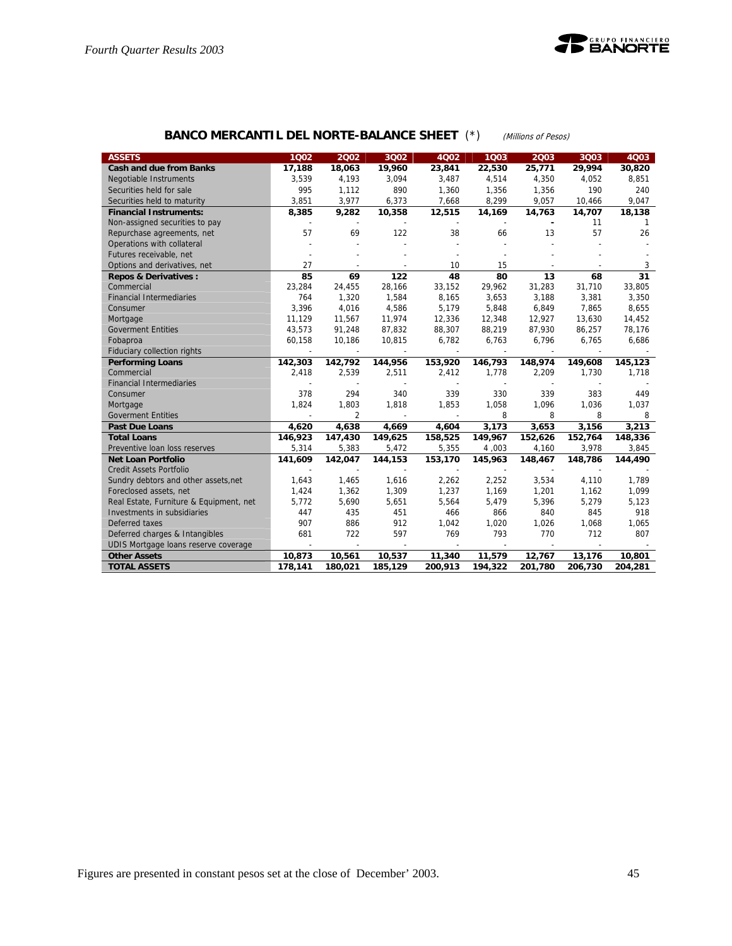

## **BANCO MERCANTIL DEL NORTE-BALANCE SHEET** (\*) (Millions of Pesos)

| <b>ASSETS</b>                           | 1002                     | 2002           | 3Q02    | 4Q02    | 1003    | 2003                     | 3Q03    | 4Q03    |
|-----------------------------------------|--------------------------|----------------|---------|---------|---------|--------------------------|---------|---------|
| <b>Cash and due from Banks</b>          | 17,188                   | 18,063         | 19,960  | 23,841  | 22,530  | 25,771                   | 29,994  | 30,820  |
| <b>Negotiable Instruments</b>           | 3,539                    | 4,193          | 3,094   | 3,487   | 4,514   | 4,350                    | 4,052   | 8,851   |
| Securities held for sale                | 995                      | 1,112          | 890     | 1,360   | 1,356   | 1,356                    | 190     | 240     |
| Securities held to maturity             | 3,851                    | 3,977          | 6,373   | 7,668   | 8,299   | 9,057                    | 10,466  | 9,047   |
| <b>Financial Instruments:</b>           | 8,385                    | 9,282          | 10,358  | 12,515  | 14,169  | 14,763                   | 14,707  | 18,138  |
| Non-assigned securities to pay          | $\overline{\phantom{a}}$ |                |         |         |         | $\overline{\phantom{a}}$ | 11      | -1      |
| Repurchase agreements, net              | 57                       | 69             | 122     | 38      | 66      | 13                       | 57      | 26      |
| Operations with collateral              |                          |                |         |         |         |                          |         |         |
| Futures receivable, net                 |                          |                |         |         |         |                          |         |         |
| Options and derivatives, net            | 27                       |                |         | 10      | 15      |                          |         | 3       |
| <b>Repos &amp; Derivatives:</b>         | 85                       | 69             | 122     | 48      | 80      | 13                       | 68      | 31      |
| Commercial                              | 23,284                   | 24,455         | 28,166  | 33,152  | 29,962  | 31,283                   | 31,710  | 33,805  |
| <b>Financial Intermediaries</b>         | 764                      | 1,320          | 1,584   | 8,165   | 3,653   | 3,188                    | 3,381   | 3,350   |
| Consumer                                | 3,396                    | 4,016          | 4,586   | 5,179   | 5,848   | 6,849                    | 7,865   | 8,655   |
| Mortgage                                | 11,129                   | 11,567         | 11,974  | 12,336  | 12,348  | 12,927                   | 13,630  | 14,452  |
| <b>Goverment Entities</b>               | 43,573                   | 91,248         | 87,832  | 88,307  | 88,219  | 87,930                   | 86,257  | 78,176  |
| Fobaproa                                | 60,158                   | 10,186         | 10,815  | 6,782   | 6,763   | 6,796                    | 6,765   | 6,686   |
| Fiduciary collection rights             | $\overline{\phantom{a}}$ |                | $\sim$  |         |         | $\sim$                   |         |         |
| <b>Performing Loans</b>                 | 142,303                  | 142,792        | 144,956 | 153,920 | 146,793 | 148,974                  | 149,608 | 145,123 |
| Commercial                              | 2,418                    | 2,539          | 2,511   | 2,412   | 1,778   | 2,209                    | 1,730   | 1,718   |
| <b>Financial Intermediaries</b>         |                          |                |         |         |         |                          |         |         |
| Consumer                                | 378                      | 294            | 340     | 339     | 330     | 339                      | 383     | 449     |
| Mortgage                                | 1,824                    | 1,803          | 1,818   | 1,853   | 1,058   | 1,096                    | 1,036   | 1,037   |
| <b>Goverment Entities</b>               |                          | $\overline{2}$ |         |         | 8       | 8                        | 8       | 8       |
| <b>Past Due Loans</b>                   | 4,620                    | 4,638          | 4,669   | 4,604   | 3,173   | 3,653                    | 3,156   | 3,213   |
| <b>Total Loans</b>                      | 146,923                  | 147,430        | 149,625 | 158,525 | 149,967 | 152,626                  | 152,764 | 148,336 |
| Preventive Ioan loss reserves           | 5,314                    | 5,383          | 5,472   | 5,355   | 4,003   | 4,160                    | 3,978   | 3,845   |
| <b>Net Loan Portfolio</b>               | 141,609                  | 142,047        | 144,153 | 153,170 | 145,963 | 148,467                  | 148,786 | 144,490 |
| <b>Credit Assets Portfolio</b>          |                          |                |         |         |         |                          |         |         |
| Sundry debtors and other assets, net    | 1.643                    | 1,465          | 1,616   | 2,262   | 2,252   | 3,534                    | 4,110   | 1,789   |
| Foreclosed assets, net                  | 1,424                    | 1,362          | 1,309   | 1,237   | 1,169   | 1,201                    | 1,162   | 1,099   |
| Real Estate, Furniture & Equipment, net | 5,772                    | 5,690          | 5,651   | 5,564   | 5,479   | 5,396                    | 5,279   | 5,123   |
| Investments in subsidiaries             | 447                      | 435            | 451     | 466     | 866     | 840                      | 845     | 918     |
| Deferred taxes                          | 907                      | 886            | 912     | 1,042   | 1,020   | 1,026                    | 1,068   | 1,065   |
| Deferred charges & Intangibles          | 681                      | 722            | 597     | 769     | 793     | 770                      | 712     | 807     |
| UDIS Mortgage loans reserve coverage    | $\overline{a}$           |                |         |         |         |                          |         |         |
| <b>Other Assets</b>                     | 10,873                   | 10,561         | 10,537  | 11,340  | 11,579  | 12,767                   | 13,176  | 10,801  |
| <b>TOTAL ASSETS</b>                     | 178,141                  | 180,021        | 185,129 | 200,913 | 194,322 | 201,780                  | 206,730 | 204,281 |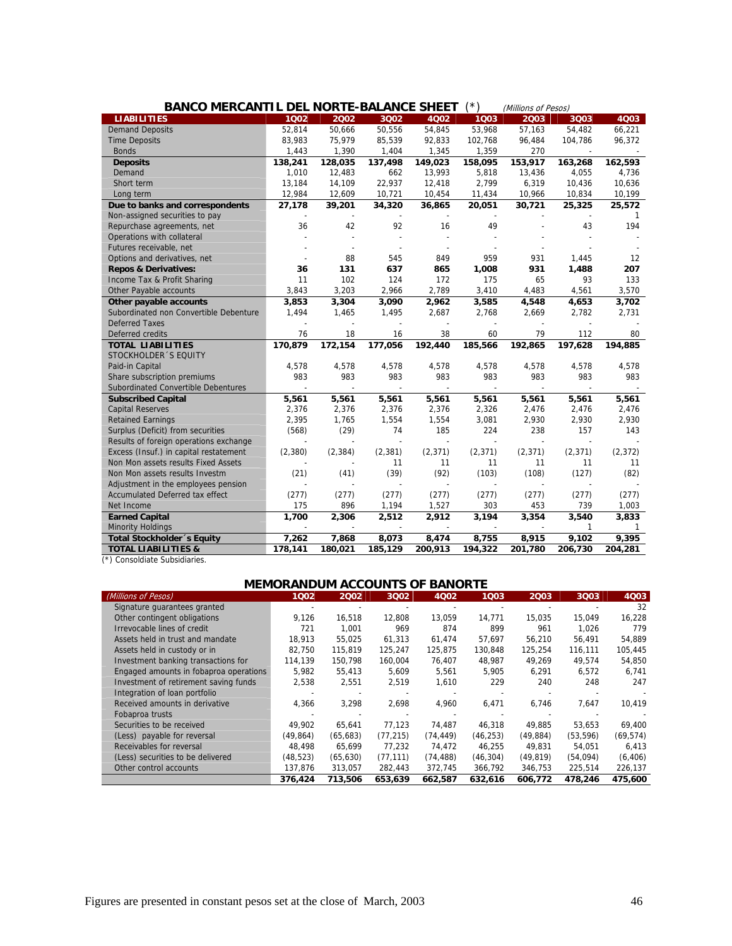| ′*)<br><b>BANCO MERCANTIL DEL NORTE-BALANCE SHEET</b><br>(Millions of Pesos) |         |          |          |          |          |          |          |              |  |
|------------------------------------------------------------------------------|---------|----------|----------|----------|----------|----------|----------|--------------|--|
| <b>LIABILITIES</b>                                                           | 1002    | 2002     | 3002     | 4002     | 1003     | 2003     | 3Q03     | 4Q03         |  |
| <b>Demand Deposits</b>                                                       | 52,814  | 50,666   | 50,556   | 54,845   | 53,968   | 57,163   | 54,482   | 66,221       |  |
| <b>Time Deposits</b>                                                         | 83,983  | 75,979   | 85,539   | 92,833   | 102,768  | 96,484   | 104,786  | 96,372       |  |
| <b>Bonds</b>                                                                 | 1,443   | 1,390    | 1,404    | 1,345    | 1,359    | 270      |          |              |  |
| <b>Deposits</b>                                                              | 138,241 | 128,035  | 137,498  | 149,023  | 158,095  | 153,917  | 163,268  | 162,593      |  |
| Demand                                                                       | 1,010   | 12,483   | 662      | 13,993   | 5,818    | 13,436   | 4,055    | 4,736        |  |
| Short term                                                                   | 13,184  | 14,109   | 22,937   | 12,418   | 2,799    | 6,319    | 10,436   | 10,636       |  |
| Long term                                                                    | 12,984  | 12,609   | 10,721   | 10,454   | 11,434   | 10,966   | 10,834   | 10,199       |  |
| Due to banks and correspondents                                              | 27,178  | 39,201   | 34,320   | 36,865   | 20,051   | 30,721   | 25,325   | 25,572       |  |
| Non-assigned securities to pay                                               |         |          |          |          |          |          |          | $\mathbf{1}$ |  |
| Repurchase agreements, net                                                   | 36      | 42       | 92       | 16       | 49       |          | 43       | 194          |  |
| Operations with collateral                                                   |         |          |          |          |          |          |          |              |  |
| Futures receivable, net                                                      |         |          |          |          |          |          |          |              |  |
| Options and derivatives, net                                                 |         | 88       | 545      | 849      | 959      | 931      | 1.445    | 12           |  |
| <b>Repos &amp; Derivatives:</b>                                              | 36      | 131      | 637      | 865      | 1,008    | 931      | 1,488    | 207          |  |
| Income Tax & Profit Sharing                                                  | 11      | 102      | 124      | 172      | 175      | 65       | 93       | 133          |  |
| Other Payable accounts                                                       | 3,843   | 3,203    | 2,966    | 2,789    | 3,410    | 4,483    | 4,561    | 3,570        |  |
| Other payable accounts                                                       | 3,853   | 3,304    | 3,090    | 2,962    | 3,585    | 4,548    | 4,653    | 3,702        |  |
| Subordinated non Convertible Debenture                                       | 1,494   | 1,465    | 1,495    | 2,687    | 2,768    | 2,669    | 2,782    | 2,731        |  |
| Deferred Taxes                                                               |         |          |          |          |          |          |          |              |  |
| Deferred credits                                                             | 76      | 18       | 16       | 38       | 60       | 79       | 112      | 80           |  |
| <b>TOTAL LIABILITIES</b>                                                     | 170,879 | 172,154  | 177,056  | 192,440  | 185,566  | 192,865  | 197,628  | 194,885      |  |
| STOCKHOLDER 'S EQUITY                                                        |         |          |          |          |          |          |          |              |  |
| Paid-in Capital                                                              | 4,578   | 4,578    | 4,578    | 4,578    | 4,578    | 4,578    | 4,578    | 4,578        |  |
| Share subscription premiums                                                  | 983     | 983      | 983      | 983      | 983      | 983      | 983      | 983          |  |
| Subordinated Convertible Debentures                                          |         |          |          |          |          |          |          |              |  |
| <b>Subscribed Capital</b>                                                    | 5,561   | 5,561    | 5,561    | 5,561    | 5,561    | 5,561    | 5,561    | 5,561        |  |
| <b>Capital Reserves</b>                                                      | 2,376   | 2,376    | 2,376    | 2,376    | 2,326    | 2,476    | 2,476    | 2,476        |  |
| <b>Retained Earnings</b>                                                     | 2,395   | 1,765    | 1,554    | 1,554    | 3,081    | 2,930    | 2,930    | 2,930        |  |
| Surplus (Deficit) from securities                                            | (568)   | (29)     | 74       | 185      | 224      | 238      | 157      | 143          |  |
| Results of foreign operations exchange                                       |         |          |          |          |          |          |          |              |  |
| Excess (Insuf.) in capital restatement                                       | (2,380) | (2, 384) | (2, 381) | (2, 371) | (2, 371) | (2, 371) | (2, 371) | (2, 372)     |  |
| Non Mon assets results Fixed Assets                                          |         |          | 11       | 11       | 11       | 11       | 11       | 11           |  |
| Non Mon assets results Investm                                               | (21)    | (41)     | (39)     | (92)     | (103)    | (108)    | (127)    | (82)         |  |
| Adjustment in the employees pension                                          |         |          |          |          |          |          |          |              |  |
| Accumulated Deferred tax effect                                              | (277)   | (277)    | (277)    | (277)    | (277)    | (277)    | (277)    | (277)        |  |
| Net Income                                                                   | 175     | 896      | 1,194    | 1,527    | 303      | 453      | 739      | 1,003        |  |
| <b>Earned Capital</b>                                                        | 1,700   | 2,306    | 2,512    | 2,912    | 3,194    | 3,354    | 3,540    | 3,833        |  |
| <b>Minority Holdings</b>                                                     |         |          |          |          |          |          | 1        | 1            |  |
| Total Stockholder 's Equity                                                  | 7,262   | 7,868    | 8,073    | 8,474    | 8,755    | 8,915    | 9,102    | 9.395        |  |
| <b>TOTAL LIABILITIES &amp;</b>                                               | 178,141 | 180,021  | 185,129  | 200,913  | 194,322  | 201,780  | 206,730  | 204,281      |  |

(\*) Consoldiate Subsidiaries.

## **MEMORANDUM ACCOUNTS OF BANORTE**

| (Millions of Pesos)                    | 1002      | 2002      | 3Q02      | 4Q02      | 1Q03      | 2003      | 3Q03      | 4Q03      |
|----------------------------------------|-----------|-----------|-----------|-----------|-----------|-----------|-----------|-----------|
| Signature quarantees granted           |           |           |           |           |           |           |           | 32        |
| Other contingent obligations           | 9,126     | 16,518    | 12,808    | 13,059    | 14,771    | 15,035    | 15,049    | 16,228    |
| Irrevocable lines of credit            | 721       | 1.001     | 969       | 874       | 899       | 961       | 1.026     | 779       |
| Assets held in trust and mandate       | 18.913    | 55.025    | 61.313    | 61.474    | 57.697    | 56,210    | 56,491    | 54.889    |
| Assets held in custody or in           | 82.750    | 115,819   | 125.247   | 125,875   | 130.848   | 125,254   | 116,111   | 105,445   |
| Investment banking transactions for    | 114,139   | 150.798   | 160.004   | 76,407    | 48,987    | 49.269    | 49,574    | 54,850    |
| Engaged amounts in fobaproa operations | 5,982     | 55,413    | 5,609     | 5,561     | 5,905     | 6,291     | 6,572     | 6,741     |
| Investment of retirement saving funds  | 2,538     | 2,551     | 2,519     | 1,610     | 229       | 240       | 248       | 247       |
| Integration of loan portfolio          |           |           |           |           |           |           |           |           |
| Received amounts in derivative         | 4,366     | 3,298     | 2,698     | 4,960     | 6,471     | 6.746     | 7.647     | 10,419    |
| Fobaproa trusts                        |           |           |           |           |           |           |           |           |
| Securities to be received              | 49.902    | 65.641    | 77.123    | 74.487    | 46.318    | 49.885    | 53.653    | 69,400    |
| (Less) payable for reversal            | (49, 864) | (65, 683) | (77, 215) | (74, 449) | (46, 253) | (49, 884) | (53, 596) | (69, 574) |
| Receivables for reversal               | 48.498    | 65.699    | 77.232    | 74,472    | 46,255    | 49.831    | 54,051    | 6,413     |
| (Less) securities to be delivered      | (48, 523) | (65, 630) | (77.111)  | (74, 488) | (46, 304) | (49, 819) | (54, 094) | (6, 406)  |
| Other control accounts                 | 137,876   | 313,057   | 282,443   | 372,745   | 366,792   | 346,753   | 225,514   | 226,137   |
|                                        | 376,424   | 713.506   | 653.639   | 662.587   | 632.616   | 606.772   | 478.246   | 475,600   |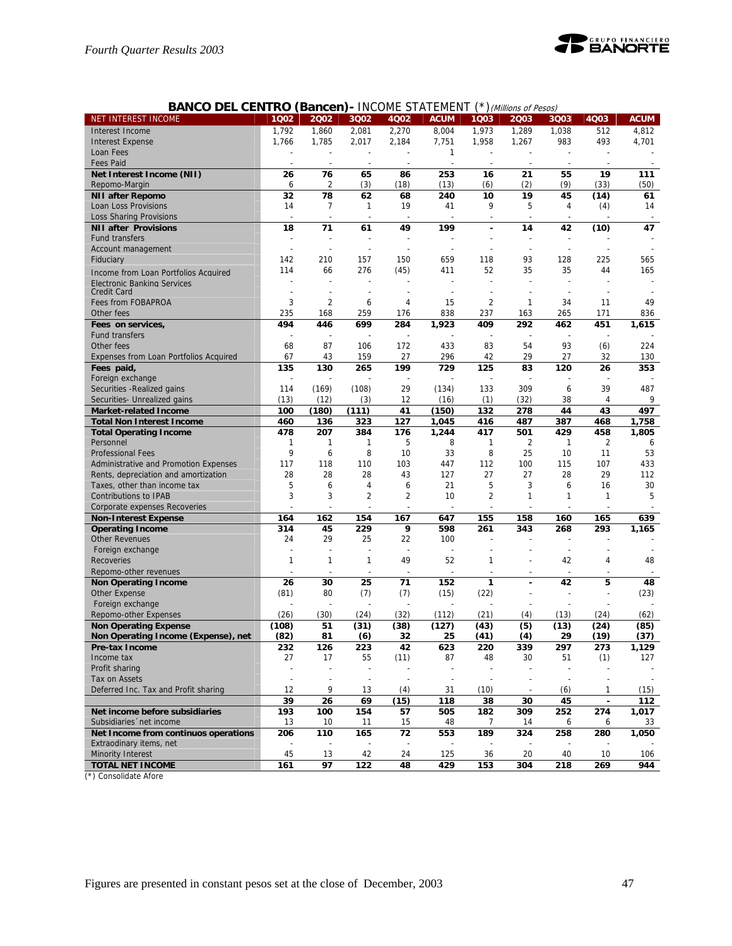

|  | <b>BANCO DEL CENTRO (Bancen) - INCOME STATEMENT (*) (Millions of Pesos)</b> |
|--|-----------------------------------------------------------------------------|
|--|-----------------------------------------------------------------------------|

| NET INTEREST INCOME                                             | 1002                     | 2002           | 3Q02                     | 4Q02              | <b>ACUM</b>  | 1Q03           | 2Q03      | 3Q03           | 4Q03           | <b>ACUM</b> |
|-----------------------------------------------------------------|--------------------------|----------------|--------------------------|-------------------|--------------|----------------|-----------|----------------|----------------|-------------|
| Interest Income                                                 | 1,792                    | 1,860          | 2,081                    | 2,270             | 8,004        | 1,973          | 1,289     | 1,038          | 512            | 4,812       |
| <b>Interest Expense</b>                                         | 1,766                    | 1,785          | 2,017                    | 2,184             | 7,751        | 1,958          | 1,267     | 983            | 493            | 4,701       |
| Loan Fees                                                       |                          |                |                          |                   | $\mathbf{1}$ |                |           |                |                |             |
| <b>Fees Paid</b>                                                |                          |                |                          |                   |              |                |           |                |                |             |
| Net Interest Income (NII)                                       | 26                       | 76             | 65                       | 86                | 253          | 16             | 21        | 55             | 19             | 111         |
| Repomo-Margin                                                   | 6                        | 2              | (3)                      | (18)              | (13)         | (6)            | (2)       | (9)            | (33)           | (50)        |
| <b>NII after Repomo</b>                                         | 32                       | 78             | 62                       | 68                | 240          | 10             | 19        | 45             | (14)           | 61          |
| Loan Loss Provisions                                            | 14                       | 7              | $\mathbf{1}$             | 19                | 41           | 9              | 5         | 4              | (4)            | 14          |
| Loss Sharing Provisions                                         | ÷                        |                | $\overline{a}$           | ÷,                |              |                |           |                |                |             |
| <b>NII after Provisions</b>                                     | 18                       | 71             | 61                       | 49                | 199          |                | 14        | 42             | (10)           | 47          |
| <b>Fund transfers</b>                                           |                          |                |                          |                   |              |                |           | $\overline{a}$ |                |             |
| Account management                                              | ÷                        |                |                          |                   |              |                |           | ÷              |                |             |
| Fiduciary                                                       | 142                      | 210            | 157                      | 150               | 659          | 118            | 93        | 128            | 225            | 565         |
| Income from Loan Portfolios Acquired                            | 114                      | 66             | 276                      | (45)              | 411          | 52             | 35        | 35             | 44             | 165         |
| <b>Electronic Banking Services</b>                              |                          |                |                          |                   |              |                |           |                |                |             |
| Credit Card                                                     | ÷                        |                |                          |                   |              |                |           |                |                |             |
| Fees from FOBAPROA                                              | 3                        | $\overline{2}$ | 6                        | 4                 | 15           | $\overline{2}$ | 1         | 34             | 11             | 49          |
| Other fees                                                      | 235                      | 168            | 259                      | 176               | 838          | 237            | 163       | 265            | 171            | 836         |
| Fees on services,                                               | 494                      | 446            | 699                      | 284               | 1,923        | 409            | 292       | 462            | 451            | 1,615       |
| <b>Fund transfers</b>                                           |                          |                |                          |                   |              |                |           | $\overline{a}$ |                |             |
| Other fees                                                      | 68                       | 87             | 106                      | 172               | 433          | 83             | 54        | 93             | (6)            | 224         |
| <b>Expenses from Loan Portfolios Acquired</b>                   | 67                       | 43             | 159                      | 27                | 296          | 42             | 29        | 27             | 32             | 130         |
| Fees paid,                                                      | 135                      | 130            | 265                      | 199               | 729          | 125            | 83        | 120            | 26             | 353         |
| Foreign exchange                                                |                          |                |                          |                   |              |                |           |                |                |             |
| Securities - Realized gains                                     | 114                      | (169)          | (108)                    | 29                | (134)        | 133            | 309       | 6              | 39             | 487         |
| Securities- Unrealized gains                                    | (13)                     | (12)           | (3)                      | 12                | (16)         | (1)            | (32)      | 38             | 4              | 9           |
| <b>Market-related Income</b>                                    | 100                      | (180)          | (111)                    | 41                | (150)        | 132            | 278       | 44             | 43             | 497         |
| <b>Total Non Interest Income</b>                                | 460                      | 136            | 323                      | 127               | 1,045        | 416            | 487       | 387            | 468            | 1,758       |
| <b>Total Operating Income</b>                                   | 478                      | 207            | 384                      | 176               | 1,244        | 417            | 501       | 429            | 458            | 1,805       |
| Personnel                                                       | 1                        | 1              | 1                        | 5                 | 8            | 1              | 2         | 1              | $\overline{2}$ | 6           |
| <b>Professional Fees</b>                                        | 9                        | 6              | 8                        | 10                | 33           | 8              | 25        | 10             | 11             | 53          |
| Administrative and Promotion Expenses                           | 117                      | 118            | 110                      | 103               | 447          | 112            | 100       | 115            | 107            | 433         |
| Rents, depreciation and amortization                            | 28                       | 28             | 28                       | 43                | 127          | 27             | 27        | 28             | 29             | 112         |
| Taxes, other than income tax                                    | 5                        | 6              | 4                        | 6                 | 21           | 5              | 3         | 6              | 16             | 30          |
| <b>Contributions to IPAB</b>                                    | 3                        | 3              | $\overline{2}$           | $\overline{2}$    | 10           | $\overline{2}$ | 1         | $\mathbf{1}$   | $\mathbf{1}$   | 5           |
| Corporate expenses Recoveries                                   |                          |                |                          |                   |              |                |           |                |                |             |
|                                                                 | 164                      | 162            | 154                      | 167               | 647          | 155            | 158       | 160            | 165            | 639         |
| <b>Non-Interest Expense</b><br><b>Operating Income</b>          | 314                      | 45             | 229                      | 9                 | 598          | 261            | 343       | 268            | 293            | 1,165       |
| <b>Other Revenues</b>                                           | 24                       | 29             | 25                       | 22                | 100          |                |           |                |                |             |
| Foreign exchange                                                |                          |                |                          |                   |              |                |           | $\overline{a}$ |                |             |
| <b>Recoveries</b>                                               | 1                        | $\mathbf{1}$   | $\mathbf{1}$             | 49                | 52           | 1              |           | 42             | 4              | 48          |
| Repomo-other revenues                                           |                          |                | $\overline{\phantom{a}}$ | ÷                 |              |                |           |                |                |             |
| <b>Non Operating Income</b>                                     | 26                       | 30             | 25                       | 71                | 152          | 1              |           | 42             | 5              | 48          |
| <b>Other Expense</b>                                            | (81)                     | 80             | (7)                      | (7)               | (15)         | (22)           |           |                |                | (23)        |
| Foreign exchange                                                |                          |                |                          |                   |              |                |           |                |                |             |
| Repomo-other Expenses                                           | (26)                     | (30)           | (24)                     | (32)              | (112)        | (21)           | (4)       | (13)           | (24)           | (62)        |
| <b>Non Operating Expense</b>                                    | (108)                    | 51             | (31)                     | (38)              | (127)        | (43)           | (5)       | (13)           | (24)           | (85)        |
| Non Operating Income (Expense), net                             | (82)                     | 81             | (6)                      | 32                | 25           | (41)           | (4)       | 29             | (19)           | (37)        |
| Pre-tax Income                                                  | 232                      | 126            | 223                      | 42                | 623          | 220            | 339       | 297            | 273            | 1,129       |
| Income tax                                                      | 27                       | 17             | 55                       | (11)              | 87           | 48             | 30        | 51             | (1)            | 127         |
| Profit sharing                                                  | ÷                        |                | $\overline{a}$           |                   |              |                |           |                |                |             |
| Tax on Assets                                                   | $\overline{\phantom{a}}$ |                | $\overline{\phantom{a}}$ |                   |              |                |           |                |                |             |
| Deferred Inc. Tax and Profit sharing                            | 12                       | 9              | 13                       | (4)               | 31           | (10)           |           | (6)            | 1              | (15)        |
|                                                                 |                          |                |                          | $\overline{(15)}$ |              |                |           |                |                |             |
|                                                                 | 39                       | 26<br>100      | 69<br>154                |                   | 118<br>505   | 38<br>182      | 30<br>309 | 45             | 274            | 112         |
| Net income before subsidiaries<br>Subsidiaries 'net income      | 193<br>13                | 10             | 11                       | 57<br>15          | 48           | 7              | 14        | 252<br>6       | 6              | 1,017       |
|                                                                 |                          | 110            | 165                      | 72                |              | 189            | 324       |                |                | 33          |
| Net Income from continuos operations<br>Extraodinary items, net | 206                      |                |                          |                   | 553          |                |           | 258            | 280            | 1,050       |
| <b>Minority Interest</b>                                        | 45                       | 13             | 42                       | 24                | 125          | 36             | 20        | 40             | 10             | 106         |
| <b>TOTAL NET INCOME</b>                                         |                          | 97             |                          | 48                | 429          |                | 304       |                |                | 944         |
|                                                                 | 161                      |                | 122                      |                   |              | 153            |           | 218            | 269            |             |

(\*) Consolidate Afore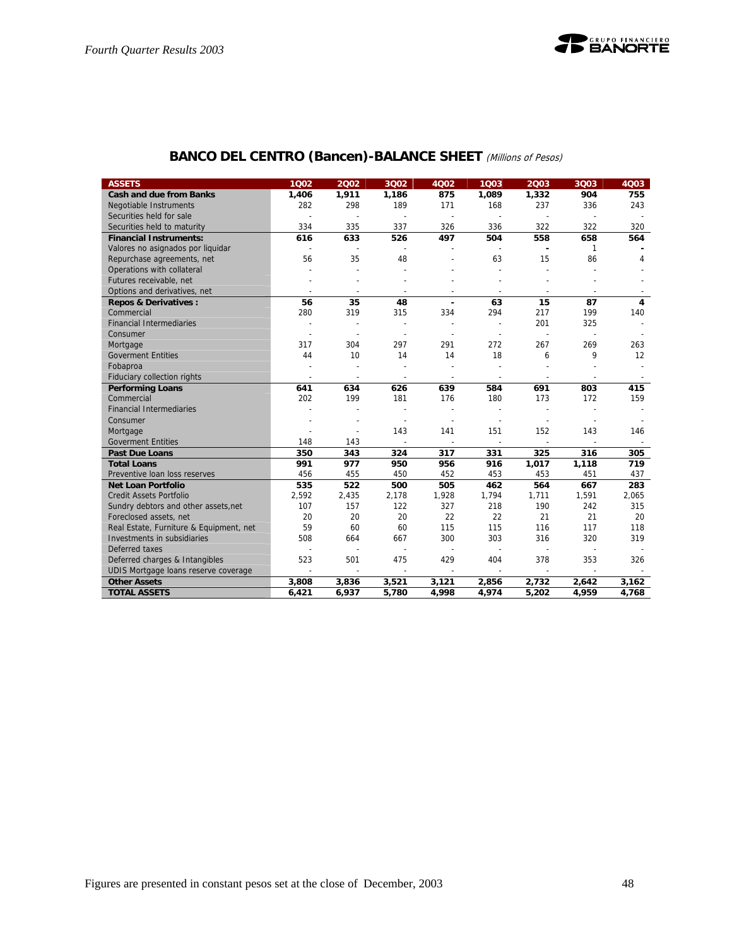## **BANCO DEL CENTRO (Bancen)-BALANCE SHEET** (Millions of Pesos)

| <b>ASSETS</b>                           | 1002                     | 2002                     | 3002                     | 4002                     | 1003           | 2003                     | 3003                     | 4Q03                     |
|-----------------------------------------|--------------------------|--------------------------|--------------------------|--------------------------|----------------|--------------------------|--------------------------|--------------------------|
| <b>Cash and due from Banks</b>          | 1,406                    | 1,911                    | 1,186                    | 875                      | 1,089          | 1,332                    | 904                      | 755                      |
| Negotiable Instruments                  | 282                      | 298                      | 189                      | 171                      | 168            | 237                      | 336                      | 243                      |
| Securities held for sale                |                          |                          | $\overline{a}$           | $\overline{\phantom{a}}$ |                |                          | $\overline{\phantom{a}}$ |                          |
| Securities held to maturity             | 334                      | 335                      | 337                      | 326                      | 336            | 322                      | 322                      | 320                      |
| <b>Financial Instruments:</b>           | 616                      | 633                      | 526                      | 497                      | 504            | 558                      | 658                      | 564                      |
| Valores no asignados por liquidar       | $\overline{\phantom{a}}$ |                          |                          |                          |                | $\blacksquare$           | $\mathbf{1}$             |                          |
| Repurchase agreements, net              | 56                       | 35                       | 48                       |                          | 63             | 15                       | 86                       | 4                        |
| Operations with collateral              |                          | $\overline{a}$           |                          |                          |                |                          |                          |                          |
| Futures receivable, net                 |                          |                          |                          |                          |                |                          |                          |                          |
| Options and derivatives, net            |                          |                          | $\overline{a}$           |                          |                |                          | $\overline{\phantom{a}}$ |                          |
| <b>Repos &amp; Derivatives:</b>         | 56                       | 35                       | 48                       | ٠                        | 63             | 15                       | 87                       | 4                        |
| Commercial                              | 280                      | 319                      | 315                      | 334                      | 294            | 217                      | 199                      | 140                      |
| <b>Financial Intermediaries</b>         | ٠                        | $\overline{a}$           | $\overline{a}$           |                          | $\overline{a}$ | 201                      | 325                      |                          |
| Consumer                                |                          |                          |                          |                          |                | $\overline{a}$           | $\overline{\phantom{a}}$ |                          |
| Mortgage                                | 317                      | 304                      | 297                      | 291                      | 272            | 267                      | 269                      | 263                      |
| <b>Goverment Entities</b>               | 44                       | 10                       | 14                       | 14                       | 18             | 6                        | 9                        | 12                       |
| Fobaproa                                |                          |                          | Ĭ.                       |                          |                |                          |                          |                          |
| Fiduciary collection rights             | $\overline{a}$           | $\overline{\phantom{a}}$ | $\overline{\phantom{a}}$ | $\overline{\phantom{a}}$ | $\overline{a}$ | $\overline{\phantom{a}}$ | $\overline{\phantom{a}}$ | $\overline{\phantom{a}}$ |
| <b>Performing Loans</b>                 | 641                      | 634                      | 626                      | 639                      | 584            | 691                      | 803                      | 415                      |
| Commercial                              | 202                      | 199                      | 181                      | 176                      | 180            | 173                      | 172                      | 159                      |
| <b>Financial Intermediaries</b>         |                          |                          | $\overline{a}$           |                          |                |                          |                          |                          |
| Consumer                                |                          |                          | $\overline{a}$           | $\overline{\phantom{a}}$ |                | $\overline{a}$           | $\overline{\phantom{a}}$ |                          |
| Mortgage                                |                          |                          | 143                      | 141                      | 151            | 152                      | 143                      | 146                      |
| <b>Goverment Entities</b>               | 148                      | 143                      |                          |                          |                |                          |                          |                          |
| <b>Past Due Loans</b>                   | 350                      | 343                      | 324                      | 317                      | 331            | 325                      | 316                      | 305                      |
| <b>Total Loans</b>                      | 991                      | 977                      | 950                      | 956                      | 916            | 1,017                    | 1,118                    | 719                      |
| Preventive Ioan loss reserves           | 456                      | 455                      | 450                      | 452                      | 453            | 453                      | 451                      | 437                      |
| <b>Net Loan Portfolio</b>               | 535                      | 522                      | 500                      | 505                      | 462            | 564                      | 667                      | 283                      |
| <b>Credit Assets Portfolio</b>          | 2,592                    | 2,435                    | 2,178                    | 1,928                    | 1,794          | 1,711                    | 1,591                    | 2,065                    |
| Sundry debtors and other assets, net    | 107                      | 157                      | 122                      | 327                      | 218            | 190                      | 242                      | 315                      |
| Foreclosed assets, net                  | 20                       | 20                       | 20                       | 22                       | 22             | 21                       | 21                       | 20                       |
| Real Estate, Furniture & Equipment, net | 59                       | 60                       | 60                       | 115                      | 115            | 116                      | 117                      | 118                      |
| Investments in subsidiaries             | 508                      | 664                      | 667                      | 300                      | 303            | 316                      | 320                      | 319                      |
| Deferred taxes                          |                          |                          | $\overline{a}$           |                          | $\overline{a}$ | $\overline{\phantom{a}}$ | $\overline{\phantom{a}}$ |                          |
| Deferred charges & Intangibles          | 523                      | 501                      | 475                      | 429                      | 404            | 378                      | 353                      | 326                      |
| UDIS Mortgage loans reserve coverage    | L,                       | $\sim$                   | L,                       |                          |                | $\overline{\phantom{a}}$ | $\overline{\phantom{a}}$ |                          |
| <b>Other Assets</b>                     | 3,808                    | 3,836                    | 3,521                    | 3,121                    | 2,856          | 2,732                    | 2,642                    | 3,162                    |
| <b>TOTAL ASSETS</b>                     | 6,421                    | 6,937                    | 5,780                    | 4,998                    | 4,974          | 5,202                    | 4,959                    | 4,768                    |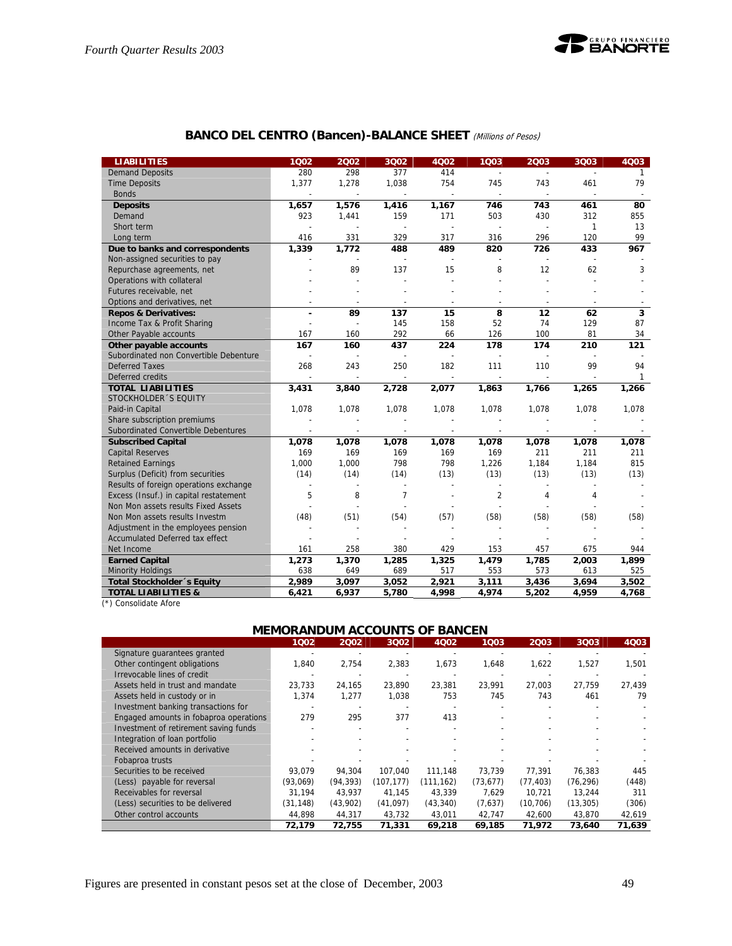

## **BANCO DEL CENTRO (Bancen)-BALANCE SHEET** (Millions of Pesos)

| <b>LIABILITIES</b>                     | 1002                     | 2002                     | 3002           | <b>4Q02</b> | 1003           | 2003           | 3Q03                     | 4Q03         |
|----------------------------------------|--------------------------|--------------------------|----------------|-------------|----------------|----------------|--------------------------|--------------|
| <b>Demand Deposits</b>                 | 280                      | 298                      | 377            | 414         |                |                |                          | $\mathbf{1}$ |
| <b>Time Deposits</b>                   | 1,377                    | 1,278                    | 1,038          | 754         | 745            | 743            | 461                      | 79           |
| <b>Bonds</b>                           |                          |                          |                |             | $\overline{a}$ |                |                          |              |
| <b>Deposits</b>                        | 1,657                    | 1,576                    | 1,416          | 1,167       | 746            | 743            | 461                      | 80           |
| Demand                                 | 923                      | 1,441                    | 159            | 171         | 503            | 430            | 312                      | 855          |
| Short term                             |                          |                          | L,             |             |                | ÷              | 1                        | 13           |
| Long term                              | 416                      | 331                      | 329            | 317         | 316            | 296            | 120                      | 99           |
| Due to banks and correspondents        | 1,339                    | 1,772                    | 488            | 489         | 820            | 726            | 433                      | 967          |
| Non-assigned securities to pay         |                          |                          |                |             |                |                | $\overline{\phantom{a}}$ |              |
| Repurchase agreements, net             |                          | 89                       | 137            | 15          | 8              | 12             | 62                       | 3            |
| Operations with collateral             |                          |                          |                |             |                |                |                          |              |
| Futures receivable, net                |                          |                          |                |             |                |                |                          |              |
| Options and derivatives, net           |                          |                          |                |             |                |                |                          |              |
| <b>Repos &amp; Derivatives:</b>        |                          | 89                       | 137            | 15          | 8              | 12             | 62                       | 3            |
| Income Tax & Profit Sharing            |                          |                          | 145            | 158         | 52             | 74             | 129                      | 87           |
| Other Payable accounts                 | 167                      | 160                      | 292            | 66          | 126            | 100            | 81                       | 34           |
| Other payable accounts                 | 167                      | 160                      | 437            | 224         | 178            | 174            | 210                      | 121          |
| Subordinated non Convertible Debenture |                          | $\overline{\phantom{a}}$ | $\overline{a}$ |             |                |                |                          |              |
| <b>Deferred Taxes</b>                  | 268                      | 243                      | 250            | 182         | 111            | 110            | 99                       | 94           |
| Deferred credits                       |                          |                          |                |             |                |                |                          | 1            |
| <b>TOTAL LIABILITIES</b>               | 3,431                    | 3,840                    | 2,728          | 2,077       | 1,863          | 1,766          | 1,265                    | 1,266        |
| STOCKHOLDER 'S EQUITY                  |                          |                          |                |             |                |                |                          |              |
| Paid-in Capital                        | 1,078                    | 1,078                    | 1,078          | 1,078       | 1,078          | 1,078          | 1,078                    | 1,078        |
| Share subscription premiums            |                          |                          |                |             |                |                |                          |              |
| Subordinated Convertible Debentures    |                          |                          |                |             |                |                |                          |              |
| <b>Subscribed Capital</b>              | 1,078                    | 1,078                    | 1,078          | 1,078       | 1,078          | 1,078          | 1,078                    | 1,078        |
| <b>Capital Reserves</b>                | 169                      | 169                      | 169            | 169         | 169            | 211            | 211                      | 211          |
| <b>Retained Earnings</b>               | 1,000                    | 1,000                    | 798            | 798         | 1,226          | 1,184          | 1,184                    | 815          |
| Surplus (Deficit) from securities      | (14)                     | (14)                     | (14)           | (13)        | (13)           | (13)           | (13)                     | (13)         |
| Results of foreign operations exchange | $\overline{\phantom{a}}$ |                          |                |             |                |                |                          |              |
| Excess (Insuf.) in capital restatement | 5                        | 8                        | $\overline{7}$ |             | $\overline{2}$ | $\overline{4}$ | $\overline{4}$           |              |
| Non Mon assets results Fixed Assets    |                          |                          |                |             |                |                |                          |              |
| Non Mon assets results Investm         | (48)                     | (51)                     | (54)           | (57)        | (58)           | (58)           | (58)                     | (58)         |
| Adjustment in the employees pension    |                          |                          |                |             |                |                |                          |              |
| <b>Accumulated Deferred tax effect</b> |                          |                          |                |             |                |                |                          |              |
| Net Income                             | 161                      | 258                      | 380            | 429         | 153            | 457            | 675                      | 944          |
| <b>Earned Capital</b>                  | 1,273                    | 1,370                    | 1,285          | 1,325       | 1,479          | 1,785          | 2,003                    | 1,899        |
| <b>Minority Holdings</b>               | 638                      | 649                      | 689            | 517         | 553            | 573            | 613                      | 525          |
| Total Stockholder 's Equity            | 2,989                    | 3,097                    | 3,052          | 2,921       | 3,111          | 3,436          | 3,694                    | 3,502        |
| <b>TOTAL LIABILITIES &amp;</b>         | 6,421                    | 6,937                    | 5,780          | 4.998       | 4,974          | 5,202          | 4,959                    | 4,768        |

(\*) Consolidate Afore

## **MEMORANDUM ACCOUNTS OF BANCEN**

|                                        | 1002     | 2002      | 3002       | 4Q02       | 1003      | 2003      | 3Q03      | 4Q03   |
|----------------------------------------|----------|-----------|------------|------------|-----------|-----------|-----------|--------|
| Signature quarantees granted           |          |           |            |            |           |           |           |        |
| Other contingent obligations           | 1,840    | 2,754     | 2,383      | 1,673      | 1,648     | 1,622     | 1,527     | 1,501  |
| Irrevocable lines of credit            |          |           |            |            |           |           |           |        |
| Assets held in trust and mandate       | 23,733   | 24,165    | 23,890     | 23,381     | 23,991    | 27,003    | 27,759    | 27,439 |
| Assets held in custody or in           | 1,374    | 1.277     | 1,038      | 753        | 745       | 743       | 461       | 79     |
| Investment banking transactions for    |          |           |            |            |           |           |           |        |
| Engaged amounts in fobaproa operations | 279      | 295       | 377        | 413        |           |           |           |        |
| Investment of retirement saving funds  |          |           |            |            |           |           |           |        |
| Integration of loan portfolio          |          |           |            |            |           |           |           |        |
| Received amounts in derivative         |          |           |            |            |           |           |           |        |
| Fobaproa trusts                        |          |           |            |            |           |           |           |        |
| Securities to be received              | 93,079   | 94.304    | 107.040    | 111.148    | 73,739    | 77.391    | 76.383    | 445    |
| (Less) payable for reversal            | (93,069) | (94, 393) | (107, 177) | (111, 162) | (73, 677) | (77, 403) | (76, 296) | (448)  |
| Receivables for reversal               | 31,194   | 43.937    | 41,145     | 43,339     | 7,629     | 10,721    | 13,244    | 311    |
| (Less) securities to be delivered      | (31.148) | (43,902)  | (41,097)   | (43, 340)  | (7,637)   | (10, 706) | (13, 305) | (306)  |
| Other control accounts                 | 44,898   | 44,317    | 43,732     | 43,011     | 42,747    | 42,600    | 43,870    | 42,619 |
|                                        | 72.179   | 72.755    | 71,331     | 69,218     | 69.185    | 71.972    | 73.640    | 71,639 |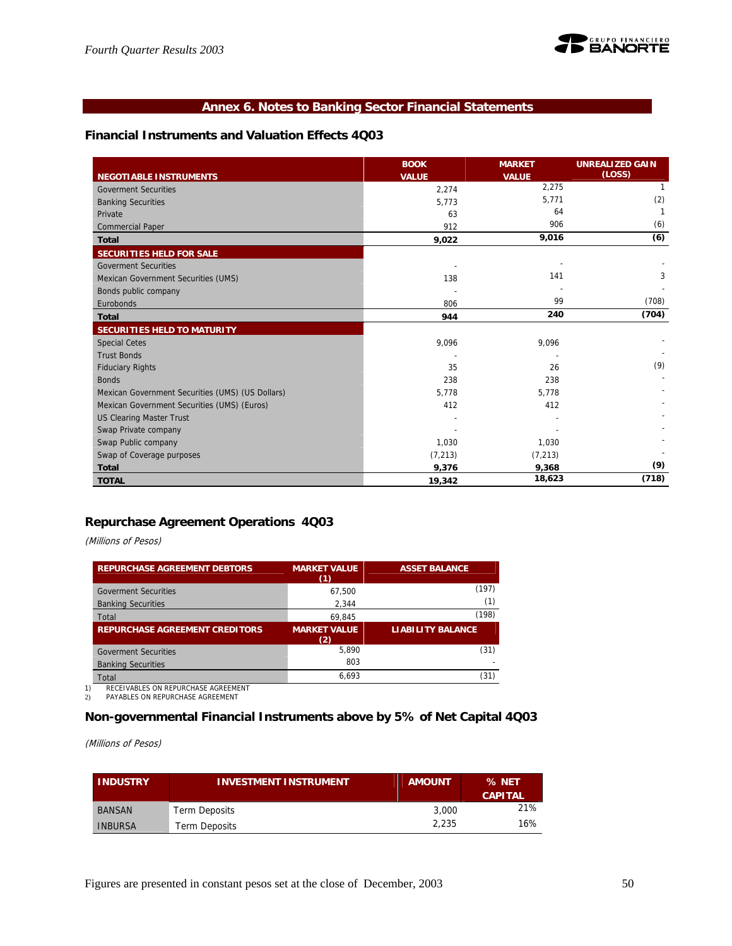

## **Annex 6. Notes to Banking Sector Financial Statements**

## **Financial Instruments and Valuation Effects 4Q03**

|                                                  | <b>BOOK</b>  | <b>MARKET</b> | <b>UNREALIZED GAIN</b> |
|--------------------------------------------------|--------------|---------------|------------------------|
| <b>NEGOTIABLE INSTRUMENTS</b>                    | <b>VALUE</b> | <b>VALUE</b>  | (LOSS)                 |
| <b>Goverment Securities</b>                      | 2,274        | 2,275         | 1                      |
| <b>Banking Securities</b>                        | 5,773        | 5,771         | (2)                    |
| Private                                          | 63           | 64            |                        |
| <b>Commercial Paper</b>                          | 912          | 906           | (6)                    |
| <b>Total</b>                                     | 9,022        | 9,016         | (6)                    |
| <b>SECURITIES HELD FOR SALE</b>                  |              |               |                        |
| <b>Goverment Securities</b>                      |              |               |                        |
| Mexican Government Securities (UMS)              | 138          | 141           | 3                      |
| Bonds public company                             |              |               |                        |
| Eurobonds                                        | 806          | 99            | (708)                  |
| <b>Total</b>                                     | 944          | 240           | (704)                  |
| <b>SECURITIES HELD TO MATURITY</b>               |              |               |                        |
| <b>Special Cetes</b>                             | 9,096        | 9,096         |                        |
| <b>Trust Bonds</b>                               |              |               |                        |
| <b>Fiduciary Rights</b>                          | 35           | 26            | (9)                    |
| <b>Bonds</b>                                     | 238          | 238           |                        |
| Mexican Government Securities (UMS) (US Dollars) | 5,778        | 5,778         |                        |
| Mexican Government Securities (UMS) (Euros)      | 412          | 412           |                        |
| <b>US Clearing Master Trust</b>                  |              |               |                        |
| Swap Private company                             |              |               |                        |
| Swap Public company                              | 1,030        | 1,030         |                        |
| Swap of Coverage purposes                        | (7, 213)     | (7, 213)      |                        |
| <b>Total</b>                                     | 9,376        | 9,368         | (9)                    |
| <b>TOTAL</b>                                     | 19,342       | 18,623        | (718)                  |

## **Repurchase Agreement Operations 4Q03**

(Millions of Pesos)

| <b>REPURCHASE AGREEMENT DEBTORS</b>   | <b>MARKET VALUE</b> | <b>ASSET BALANCE</b>     |
|---------------------------------------|---------------------|--------------------------|
|                                       | (1)                 |                          |
| <b>Goverment Securities</b>           | 67.500              | (197)                    |
| <b>Banking Securities</b>             | 2.344               | (1)                      |
| Total                                 | 69.845              | (198)                    |
| <b>REPURCHASE AGREEMENT CREDITORS</b> | <b>MARKET VALUE</b> | <b>LIABILITY BALANCE</b> |
|                                       | (2)                 |                          |
| <b>Goverment Securities</b>           | 5.890               | (31)                     |
|                                       |                     |                          |
| <b>Banking Securities</b>             | 803                 |                          |

1) RECEIVABLES ON REPURCHASE AGREEMENT<br>2) PAYABLES ON REPURCHASE AGREEMENT

PAYABLES ON REPURCHASE AGREEMENT

## **Non-governmental Financial Instruments above by 5% of Net Capital 4Q03**

(Millions of Pesos)

| <b>INDUSTRY</b> | <b>INVESTMENT INSTRUMENT</b> | <b>AMOUNT</b> | % NET<br><b>CAPITAL</b> |
|-----------------|------------------------------|---------------|-------------------------|
| BANSAN          | <b>Term Deposits</b>         | 3,000         | 21%                     |
| <b>INBURSA</b>  | Term Deposits                | 2.235         | 16%                     |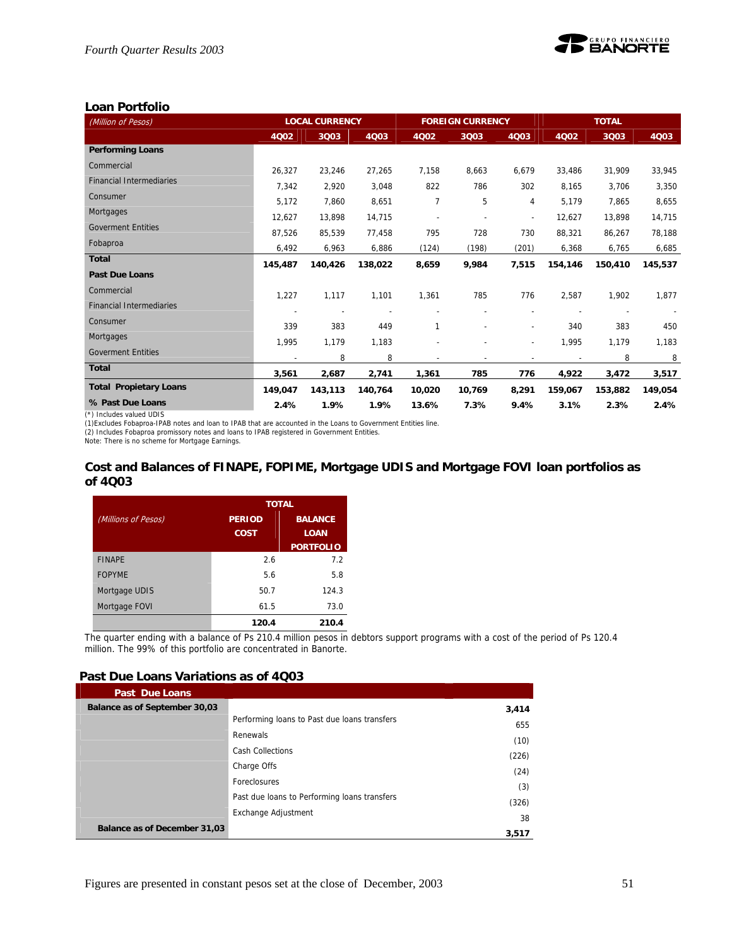

## **Loan Portfolio**

| (Million of Pesos)                                                                                                                                                                                                                        | <b>LOCAL CURRENCY</b> |         |             | <b>FOREIGN CURRENCY</b> |        | <b>TOTAL</b>             |         |         |         |
|-------------------------------------------------------------------------------------------------------------------------------------------------------------------------------------------------------------------------------------------|-----------------------|---------|-------------|-------------------------|--------|--------------------------|---------|---------|---------|
|                                                                                                                                                                                                                                           | 4Q02                  | 3Q03    | <b>4Q03</b> | 4Q02                    | 3Q03   | 4003                     | 4Q02    | 3Q03    | 4003    |
| <b>Performing Loans</b>                                                                                                                                                                                                                   |                       |         |             |                         |        |                          |         |         |         |
| Commercial                                                                                                                                                                                                                                | 26.327                | 23,246  | 27.265      | 7.158                   | 8,663  | 6.679                    | 33,486  | 31,909  | 33,945  |
| <b>Financial Intermediaries</b>                                                                                                                                                                                                           | 7,342                 | 2,920   | 3,048       | 822                     | 786    | 302                      | 8.165   | 3,706   | 3,350   |
| Consumer                                                                                                                                                                                                                                  | 5,172                 | 7,860   | 8,651       | 7                       | 5      | 4                        | 5,179   | 7,865   | 8,655   |
| Mortgages                                                                                                                                                                                                                                 | 12,627                | 13,898  | 14,715      |                         |        | $\overline{a}$           | 12,627  | 13,898  | 14,715  |
| <b>Goverment Entities</b>                                                                                                                                                                                                                 | 87,526                | 85,539  | 77,458      | 795                     | 728    | 730                      | 88,321  | 86,267  | 78,188  |
| Fobaproa                                                                                                                                                                                                                                  | 6,492                 | 6,963   | 6,886       | (124)                   | (198)  | (201)                    | 6,368   | 6,765   | 6,685   |
| <b>Total</b>                                                                                                                                                                                                                              | 145,487               | 140,426 | 138,022     | 8,659                   | 9,984  | 7,515                    | 154,146 | 150,410 | 145,537 |
| <b>Past Due Loans</b>                                                                                                                                                                                                                     |                       |         |             |                         |        |                          |         |         |         |
| Commercial                                                                                                                                                                                                                                | 1.227                 | 1.117   | 1,101       | 1,361                   | 785    | 776                      | 2.587   | 1,902   | 1.877   |
| <b>Financial Intermediaries</b>                                                                                                                                                                                                           |                       |         |             |                         |        |                          |         |         |         |
| Consumer                                                                                                                                                                                                                                  | 339                   | 383     | 449         | 1                       |        | $\overline{\phantom{0}}$ | 340     | 383     | 450     |
| Mortgages                                                                                                                                                                                                                                 | 1,995                 | 1,179   | 1,183       |                         |        | $\overline{a}$           | 1,995   | 1,179   | 1,183   |
| <b>Goverment Entities</b>                                                                                                                                                                                                                 |                       | 8       | 8           |                         |        |                          |         | 8       | 8       |
| <b>Total</b>                                                                                                                                                                                                                              | 3,561                 | 2,687   | 2,741       | 1,361                   | 785    | 776                      | 4,922   | 3,472   | 3,517   |
| <b>Total Propietary Loans</b>                                                                                                                                                                                                             | 149.047               | 143,113 | 140,764     | 10,020                  | 10,769 | 8,291                    | 159,067 | 153,882 | 149,054 |
| % Past Due Loans                                                                                                                                                                                                                          | 2.4%                  | 1.9%    | 1.9%        | 13.6%                   | 7.3%   | 9.4%                     | 3.1%    | 2.3%    | 2.4%    |
| (*) Includes valued UDIS<br>(1) Excludes Fobaproa-IPAB notes and loan to IPAB that are accounted in the Loans to Government Entities line.<br>(2) Includes Fobaproa promissory notes and loans to IPAB registered in Government Entities. |                       |         |             |                         |        |                          |         |         |         |

Note: There is no scheme for Mortgage Earnings.

#### **Cost and Balances of FINAPE, FOPIME, Mortgage UDIS and Mortgage FOVI loan portfolios as of 4Q03**

|                     |               | <b>TOTAL</b>     |
|---------------------|---------------|------------------|
| (Millions of Pesos) | <b>PERIOD</b> | <b>BALANCE</b>   |
|                     | <b>COST</b>   | <b>LOAN</b>      |
|                     |               | <b>PORTFOLIO</b> |
| <b>FINAPE</b>       | 2.6           | 7.2              |
| <b>FOPYME</b>       | 5.6           | 5.8              |
| Mortgage UDIS       | 50.7          | 124.3            |
| Mortgage FOVI       | 61.5          | 73.0             |
|                     | 120.4         | 210.4            |

The quarter ending with a balance of Ps 210.4 million pesos in debtors support programs with a cost of the period of Ps 120.4 million. The 99% of this portfolio are concentrated in Banorte.

## **Past Due Loans Variations as of 4Q03**

| <b>Past Due Loans</b>               |                                              |       |
|-------------------------------------|----------------------------------------------|-------|
| Balance as of September 30,03       |                                              | 3,414 |
|                                     | Performing loans to Past due loans transfers | 655   |
|                                     | Renewals                                     | (10)  |
|                                     | Cash Collections                             | (226) |
|                                     | Charge Offs                                  |       |
|                                     | Foreclosures                                 | (24)  |
|                                     | Past due loans to Performing loans transfers | (3)   |
|                                     | Exchange Adjustment                          | (326) |
|                                     |                                              | 38    |
| <b>Balance as of December 31,03</b> |                                              | 3.517 |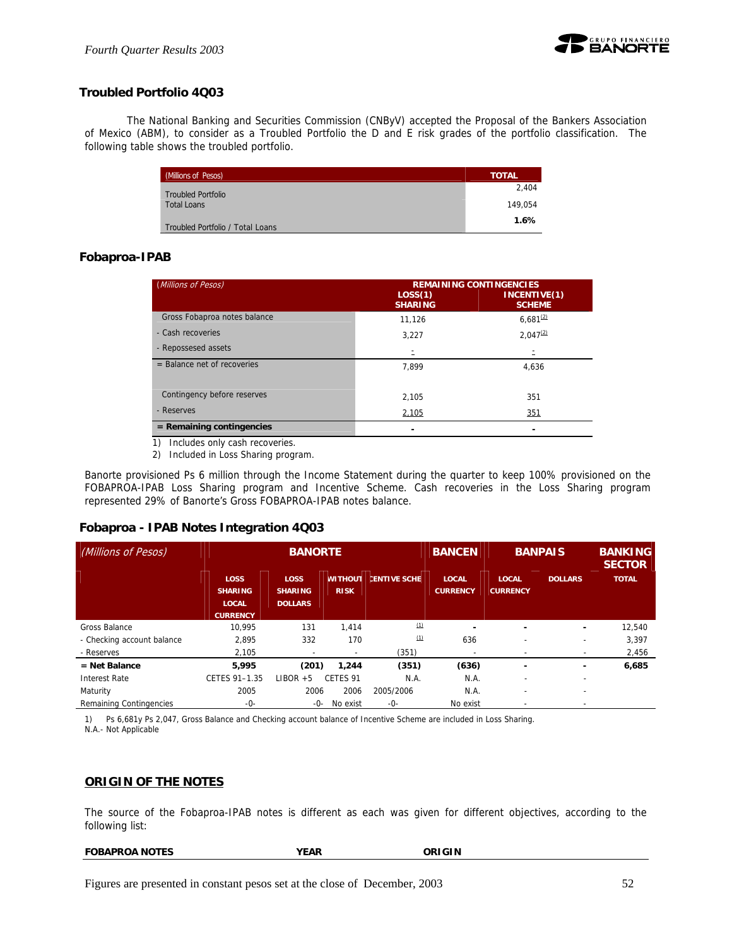

## **Troubled Portfolio 4Q03**

 The National Banking and Securities Commission (CNByV) accepted the Proposal of the Bankers Association of Mexico (ABM), to consider as a Troubled Portfolio the D and E risk grades of the portfolio classification. The following table shows the troubled portfolio.

| (Millions of Pesos)              | <b>TOTAL</b> |
|----------------------------------|--------------|
| <b>Troubled Portfolio</b>        | 2.404        |
| <b>Total Loans</b>               | 149.054      |
| Troubled Portfolio / Total Loans | 1.6%         |

## **Fobaproa-IPAB**

| (Millions of Pesos)           | LOS(1)         | <b>REMAINING CONTINGENCIES</b><br>INCENTIVE(1) |
|-------------------------------|----------------|------------------------------------------------|
|                               | <b>SHARING</b> | <b>SCHEME</b>                                  |
| Gross Fobaproa notes balance  | 11,126         | $6.681^{(2)}$                                  |
| - Cash recoveries             | 3.227          | $2,047^{(2)}$                                  |
| - Repossesed assets           | Ξ              |                                                |
| $=$ Balance net of recoveries | 7,899          | 4.636                                          |
|                               |                |                                                |
| Contingency before reserves   | 2,105          | 351                                            |
| - Reserves                    | 2,105          | 351                                            |
| $=$ Remaining contingencies   |                |                                                |

1) Includes only cash recoveries.

2) Included in Loss Sharing program.

Banorte provisioned Ps 6 million through the Income Statement during the quarter to keep 100% provisioned on the FOBAPROA-IPAB Loss Sharing program and Incentive Scheme. Cash recoveries in the Loss Sharing program represented 29% of Banorte's Gross FOBAPROA-IPAB notes balance.

#### **Fobaproa - IPAB Notes Integration 4Q03**

| (Millions of Pesos)            | <b>BANORTE</b>                                                   |                                                 |                     | <b>BANCEN</b>              | <b>BANPAIS</b>                  |                                 | <b>BANKING</b><br><b>SECTOR</b> |              |
|--------------------------------|------------------------------------------------------------------|-------------------------------------------------|---------------------|----------------------------|---------------------------------|---------------------------------|---------------------------------|--------------|
|                                | <b>LOSS</b><br><b>SHARING</b><br><b>LOCAL</b><br><b>CURRENCY</b> | <b>LOSS</b><br><b>SHARING</b><br><b>DOLLARS</b> | <b>RISK</b>         | <b>WITHOUT ENTIVE SCHE</b> | <b>LOCAL</b><br><b>CURRENCY</b> | <b>LOCAL</b><br><b>CURRENCY</b> | <b>DOLLARS</b>                  | <b>TOTAL</b> |
| Gross Balance                  | 10.995                                                           | 131                                             | 1.414               | (1)                        |                                 | -                               | ۰                               | 12,540       |
| - Checking account balance     | 2,895                                                            | 332                                             | 170                 | (1)                        | 636                             | $\qquad \qquad \blacksquare$    | $\overline{\phantom{a}}$        | 3,397        |
| - Reserves                     | 2,105                                                            |                                                 |                     | (351)                      |                                 |                                 | $\overline{\phantom{a}}$        | 2,456        |
| $=$ Net Balance                | 5.995                                                            | (201)                                           | 1,244               | (351)                      | (636)                           | $\overline{\phantom{0}}$        | ۰                               | 6,685        |
| Interest Rate                  | CETES 91-1.35                                                    | LIBOR<br>$+5$                                   | CETES <sub>91</sub> | N.A.                       | N.A.                            |                                 | $\overline{\phantom{0}}$        |              |
| Maturity                       | 2005                                                             | 2006                                            | 2006                | 2005/2006                  | N.A.                            |                                 | $\overline{\phantom{0}}$        |              |
| <b>Remaining Contingencies</b> | -0-                                                              | -0-                                             | No exist            | $-0-$                      | No exist                        |                                 | $\overline{\phantom{a}}$        |              |

1) Ps 6,681y Ps 2,047, Gross Balance and Checking account balance of Incentive Scheme are included in Loss Sharing. N.A.- Not Applicable

#### **ORIGIN OF THE NOTES**

The source of the Fobaproa-IPAB notes is different as each was given for different objectives, according to the following list:

| <b>FOBAPROA NOTES</b> | <b>YEAR</b> | ORIGIN |
|-----------------------|-------------|--------|
|-----------------------|-------------|--------|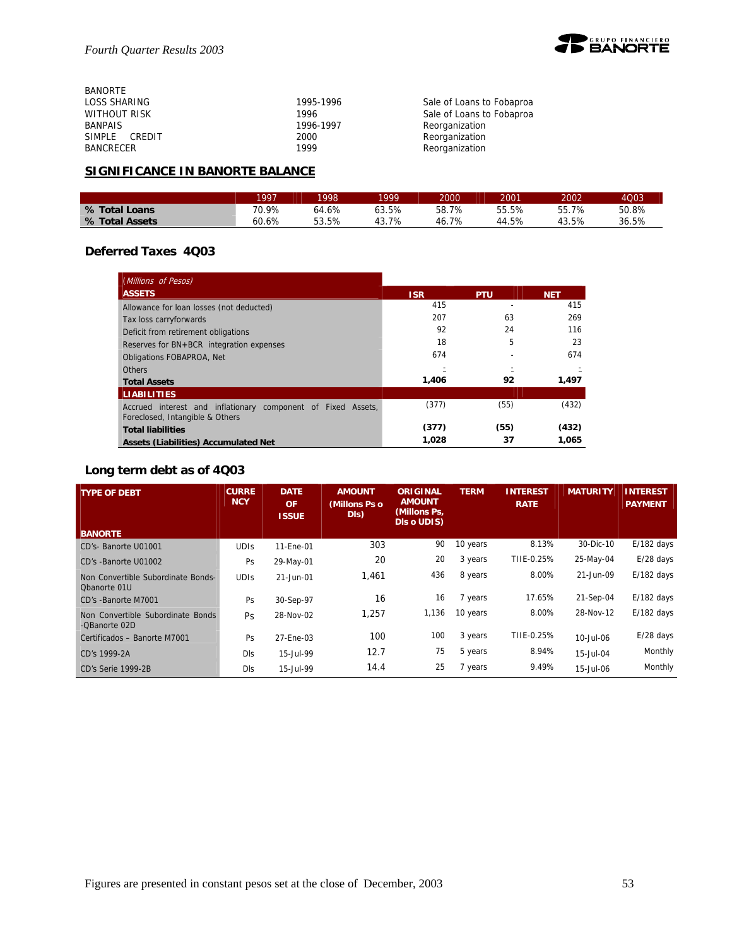

| <b>BANORTE</b>      |           |                           |
|---------------------|-----------|---------------------------|
| LOSS SHARING        | 1995-1996 | Sale of Loans to Fobaproa |
| <b>WITHOUT RISK</b> | 1996      | Sale of Loans to Fobaproa |
| <b>BANPAIS</b>      | 1996-1997 | Reorganization            |
| SIMPLE CREDIT       | 2000      | Reorganization            |
| <b>BANCRECER</b>    | 1999      | Reorganization            |

## **SIGNIFICANCE IN BANORTE BALANCE**

|                | 1007  | 1998  | QQQ   | 2000  | 2001  | 2002        | 4Q03  |
|----------------|-------|-------|-------|-------|-------|-------------|-------|
| % Total Loans  | 70.9% | 64.6% | 63.5% | 58.7% | 55.5% | 55.7%<br>55 | 50.8% |
| % Total Assets | 60.6% | 53.5% | 7%    | 46.7% | 44.5% | 13.5%       | 36.5% |

## **Deferred Taxes 4Q03**

| (Millions of Pesos)                                                                             |            |            |            |
|-------------------------------------------------------------------------------------------------|------------|------------|------------|
| <b>ASSETS</b>                                                                                   | <b>ISR</b> | <b>PTU</b> | <b>NET</b> |
| Allowance for loan losses (not deducted)                                                        | 415        |            | 415        |
| Tax loss carryforwards                                                                          | 207        | 63         | 269        |
| Deficit from retirement obligations                                                             | 92         | 24         | 116        |
| Reserves for BN+BCR integration expenses                                                        | 18         | 5          | 23         |
| <b>Obligations FOBAPROA, Net</b>                                                                | 674        |            | 674        |
| <b>Others</b>                                                                                   |            |            |            |
| <b>Total Assets</b>                                                                             | 1,406      | 92         | 1.497      |
| <b>LIABILITIES</b>                                                                              |            |            |            |
| Accrued interest and inflationary component of Fixed Assets,<br>Foreclosed, Intangible & Others | (377)      | (55)       | (432)      |
| <b>Total liabilities</b>                                                                        | (377)      | (55)       | (432)      |
| <b>Assets (Liabilities) Accumulated Net</b>                                                     | 1.028      | 37         | 1.065      |

## **Long term debt as of 4Q03**

| <b>TYPE OF DEBT</b>                                | <b>CURRE</b><br><b>NCY</b> | <b>DATE</b><br><b>OF</b><br><b>ISSUE</b> | <b>AMOUNT</b><br>(Millons Ps o<br>DIs) | <b>ORIGINAL</b><br><b>AMOUNT</b><br>(Millons Ps,<br>DIs o UDIS) | <b>TERM</b> | <b>INTEREST</b><br><b>RATE</b> | <b>MATURITY</b> | <b>INTEREST</b><br><b>PAYMENT</b> |
|----------------------------------------------------|----------------------------|------------------------------------------|----------------------------------------|-----------------------------------------------------------------|-------------|--------------------------------|-----------------|-----------------------------------|
| <b>BANORTE</b>                                     |                            |                                          |                                        |                                                                 |             |                                |                 |                                   |
| CD's- Banorte U01001                               | <b>UDIS</b>                | 11-Ene-01                                | 303                                    | 90                                                              | 10 years    | 8.13%                          | 30-Dic-10       | $E/182$ days                      |
| CD's -Banorte U01002                               | Ps                         | 29-May-01                                | 20                                     | 20                                                              | 3 years     | TIIE-0.25%                     | 25-May-04       | $E/28$ days                       |
| Non Convertible Subordinate Bonds-<br>Obanorte 01U | <b>UDIS</b>                | 21-Jun-01                                | 1,461                                  | 436                                                             | 8 years     | 8.00%                          | 21-Jun-09       | $E/182$ days                      |
| CD's -Banorte M7001                                | Ps                         | 30-Sep-97                                | 16                                     | 16                                                              | 7 years     | 17.65%                         | 21-Sep-04       | $E/182$ days                      |
| Non Convertible Subordinate Bonds<br>-QBanorte 02D | Ps                         | 28-Nov-02                                | 1,257                                  | 1,136                                                           | 10 years    | 8.00%                          | 28-Nov-12       | $E/182$ days                      |
| Certificados - Banorte M7001                       | Ps                         | 27-Ene-03                                | 100                                    | 100                                                             | 3 years     | TIIE-0.25%                     | 10-Jul-06       | $E/28$ days                       |
| CD's 1999-2A                                       | Dls                        | 15-Jul-99                                | 12.7                                   | 75                                                              | 5 years     | 8.94%                          | 15-Jul-04       | Monthly                           |
| CD's Serie 1999-2B                                 | Dls                        | 15-Jul-99                                | 14.4                                   | 25                                                              | 7 years     | 9.49%                          | 15-Jul-06       | Monthly                           |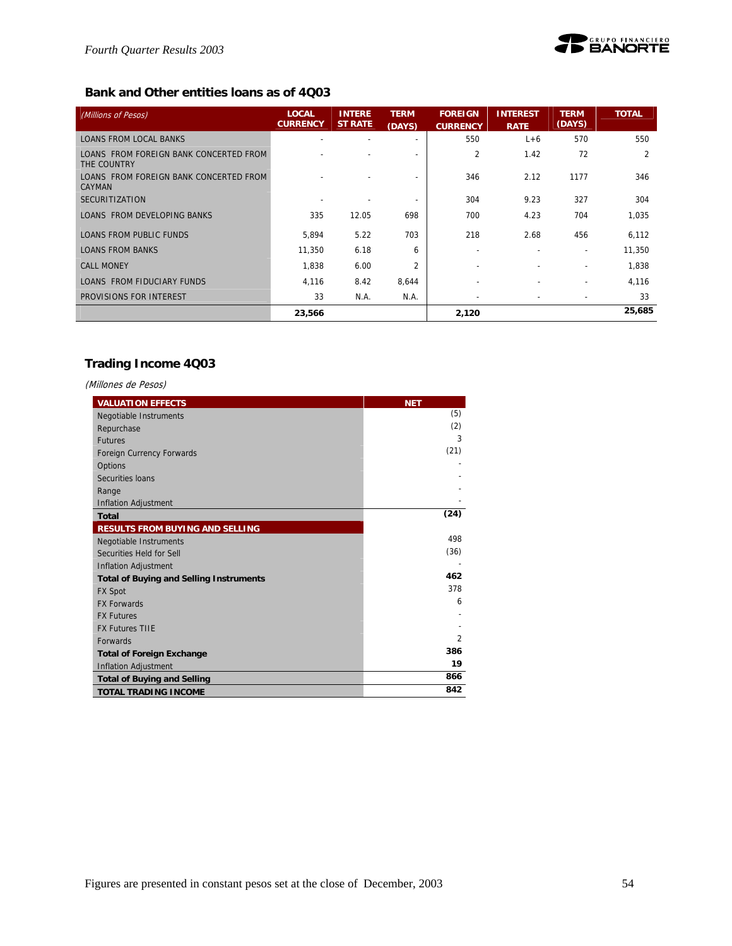

## **Bank and Other entities loans as of 4Q03**

| (Millions of Pesos)                                   | <b>LOCAL</b><br><b>CURRENCY</b> | <b>INTERE</b><br><b>ST RATE</b> | <b>TERM</b><br>(DAYS) | <b>FOREIGN</b><br><b>CURRENCY</b> | <b>INTEREST</b><br><b>RATE</b> | <b>TERM</b><br>(DAYS)    | <b>TOTAL</b>   |
|-------------------------------------------------------|---------------------------------|---------------------------------|-----------------------|-----------------------------------|--------------------------------|--------------------------|----------------|
| <b>LOANS FROM LOCAL BANKS</b>                         |                                 |                                 |                       | 550                               | $L+6$                          | 570                      | 550            |
| LOANS FROM FOREIGN BANK CONCERTED FROM<br>THE COUNTRY |                                 |                                 |                       | 2                                 | 1.42                           | 72                       | $\overline{2}$ |
| LOANS FROM FOREIGN BANK CONCERTED FROM<br>CAYMAN      |                                 |                                 |                       | 346                               | 2.12                           | 1177                     | 346            |
| <b>SECURITIZATION</b>                                 |                                 |                                 |                       | 304                               | 9.23                           | 327                      | 304            |
| LOANS FROM DEVELOPING BANKS                           | 335                             | 12.05                           | 698                   | 700                               | 4.23                           | 704                      | 1,035          |
| <b>LOANS FROM PUBLIC FUNDS</b>                        | 5,894                           | 5.22                            | 703                   | 218                               | 2.68                           | 456                      | 6,112          |
| <b>LOANS FROM BANKS</b>                               | 11,350                          | 6.18                            | 6                     | ۰.                                |                                | $\overline{\phantom{a}}$ | 11,350         |
| <b>CALL MONEY</b>                                     | 1,838                           | 6.00                            | $\overline{2}$        |                                   |                                |                          | 1,838          |
| LOANS FROM FIDUCIARY FUNDS                            | 4,116                           | 8.42                            | 8,644                 |                                   |                                | $\overline{\phantom{a}}$ | 4,116          |
| PROVISIONS FOR INTEREST                               | 33                              | N.A.                            | N.A.                  |                                   |                                |                          | 33             |
|                                                       | 23,566                          |                                 |                       | 2,120                             |                                |                          | 25,685         |

## **Trading Income 4Q03**

| (Millones de Pesos)                            |                |
|------------------------------------------------|----------------|
| <b>VALUATION EFFECTS</b>                       | <b>NET</b>     |
| Negotiable Instruments                         | (5)            |
| Repurchase                                     | (2)            |
| <b>Futures</b>                                 | 3              |
| Foreign Currency Forwards                      | (21)           |
| Options                                        |                |
| Securities Ioans                               |                |
| Range                                          |                |
| <b>Inflation Adjustment</b>                    |                |
| <b>Total</b>                                   | (24)           |
| <b>RESULTS FROM BUYING AND SELLING</b>         |                |
| Negotiable Instruments                         | 498            |
| Securities Held for Sell                       | (36)           |
| <b>Inflation Adjustment</b>                    |                |
| <b>Total of Buying and Selling Instruments</b> | 462            |
| <b>FX Spot</b>                                 | 378            |
| <b>FX Forwards</b>                             | 6              |
| <b>FX Futures</b>                              |                |
| <b>FX Futures TIIE</b>                         |                |
| <b>Forwards</b>                                | $\overline{2}$ |
| <b>Total of Foreign Exchange</b>               | 386            |
| <b>Inflation Adjustment</b>                    | 19             |
| <b>Total of Buying and Selling</b>             | 866            |
| <b>TOTAL TRADING INCOME</b>                    | 842            |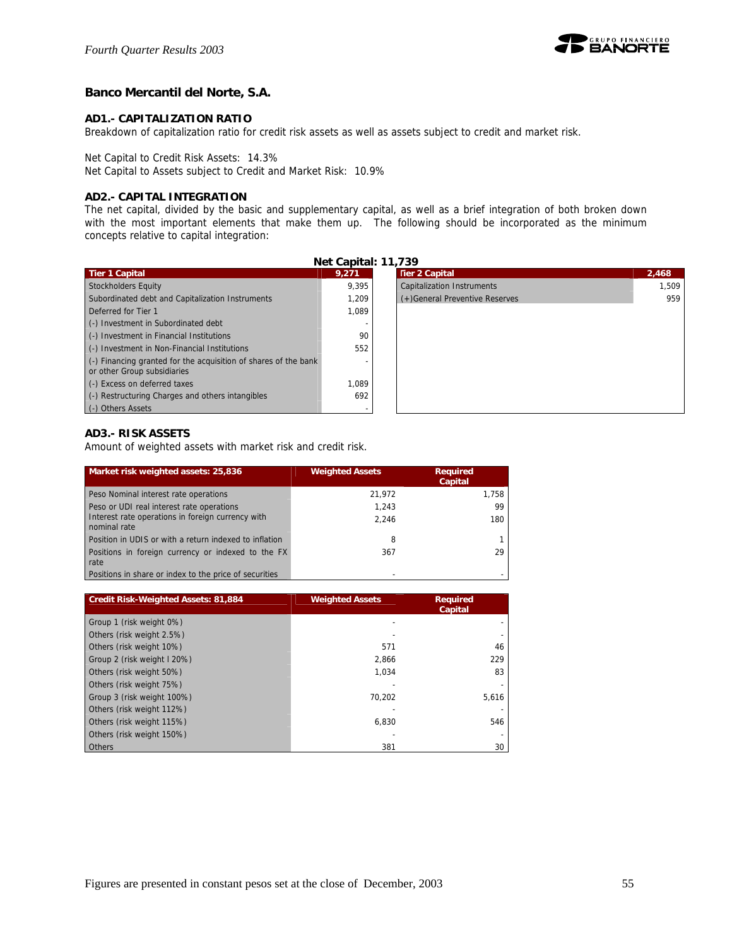

## **Banco Mercantil del Norte, S.A.**

#### **AD1.- CAPITALIZATION RATIO**

Breakdown of capitalization ratio for credit risk assets as well as assets subject to credit and market risk.

Net Capital to Credit Risk Assets: 14.3%

Net Capital to Assets subject to Credit and Market Risk: 10.9%

#### **AD2.- CAPITAL INTEGRATION**

The net capital, divided by the basic and supplementary capital, as well as a brief integration of both broken down with the most important elements that make them up. The following should be incorporated as the minimum concepts relative to capital integration:

| Net Capital: 11,739                                                                                    |       |                                   |       |  |  |  |  |
|--------------------------------------------------------------------------------------------------------|-------|-----------------------------------|-------|--|--|--|--|
| <b>Tier 1 Capital</b>                                                                                  | 9,271 | <b>Tier 2 Capital</b>             | 2,468 |  |  |  |  |
| Stockholders Equity                                                                                    | 9.395 | <b>Capitalization Instruments</b> | 1.509 |  |  |  |  |
| Subordinated debt and Capitalization Instruments                                                       | 1.209 | (+) General Preventive Reserves   | 959   |  |  |  |  |
| Deferred for Tier 1                                                                                    | 1.089 |                                   |       |  |  |  |  |
| (-) Investment in Subordinated debt                                                                    |       |                                   |       |  |  |  |  |
| (-) Investment in Financial Institutions                                                               | 90    |                                   |       |  |  |  |  |
| (-) Investment in Non-Financial Institutions                                                           | 552   |                                   |       |  |  |  |  |
| $\left($ .) Financing granted for the acquisition of shares of the bank<br>or other Group subsidiaries |       |                                   |       |  |  |  |  |
| (-) Excess on deferred taxes                                                                           | 1.089 |                                   |       |  |  |  |  |
| (-) Restructuring Charges and others intangibles                                                       | 692   |                                   |       |  |  |  |  |
| (-) Others Assets                                                                                      |       |                                   |       |  |  |  |  |

## **AD3.- RISK ASSETS**

Amount of weighted assets with market risk and credit risk.

| Market risk weighted assets: 25,836                               | <b>Weighted Assets</b> | <b>Required</b><br>Capital |
|-------------------------------------------------------------------|------------------------|----------------------------|
| Peso Nominal interest rate operations                             | 21.972                 | 1,758                      |
| Peso or UDI real interest rate operations                         | 1.243                  | 99                         |
| Interest rate operations in foreign currency with<br>nominal rate | 2.246                  | 180                        |
| Position in UDIS or with a return indexed to inflation            | 8                      |                            |
| Positions in foreign currency or indexed to the FX<br>rate        | 367                    | 29                         |
| Positions in share or index to the price of securities            |                        |                            |

| <b>Credit Risk-Weighted Assets: 81,884</b> | <b>Weighted Assets</b> | <b>Required</b><br>Capital |
|--------------------------------------------|------------------------|----------------------------|
| Group 1 (risk weight 0%)                   |                        |                            |
| Others (risk weight 2.5%)                  |                        |                            |
| Others (risk weight 10%)                   | 571                    | 46                         |
| Group 2 (risk weight I 20%)                | 2,866                  | 229                        |
| Others (risk weight 50%)                   | 1.034                  | 83                         |
| Others (risk weight 75%)                   |                        |                            |
| Group 3 (risk weight 100%)                 | 70.202                 | 5,616                      |
| Others (risk weight 112%)                  |                        |                            |
| Others (risk weight 115%)                  | 6.830                  | 546                        |
| Others (risk weight 150%)                  |                        |                            |
| <b>Others</b>                              | 381                    | 30                         |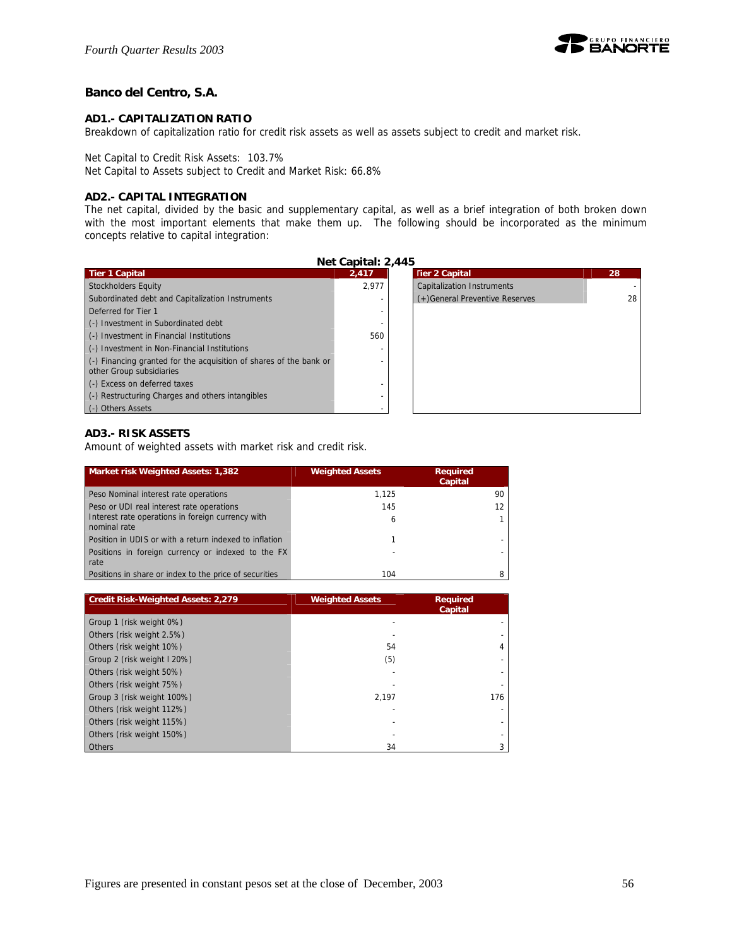

## **Banco del Centro, S.A.**

#### **AD1.- CAPITALIZATION RATIO**

Breakdown of capitalization ratio for credit risk assets as well as assets subject to credit and market risk.

Net Capital to Credit Risk Assets: 103.7%

Net Capital to Assets subject to Credit and Market Risk: 66.8%

#### **AD2.- CAPITAL INTEGRATION**

The net capital, divided by the basic and supplementary capital, as well as a brief integration of both broken down with the most important elements that make them up. The following should be incorporated as the minimum concepts relative to capital integration:

| Net Capital: 2,445                                                                             |       |                                   |    |  |  |
|------------------------------------------------------------------------------------------------|-------|-----------------------------------|----|--|--|
| <b>Tier 1 Capital</b>                                                                          | 2.417 | <b>Tier 2 Capital</b>             | 28 |  |  |
| <b>Stockholders Equity</b>                                                                     | 2.977 | <b>Capitalization Instruments</b> |    |  |  |
| Subordinated debt and Capitalization Instruments                                               |       | (+)General Preventive Reserves    | 28 |  |  |
| Deferred for Tier 1                                                                            |       |                                   |    |  |  |
| (-) Investment in Subordinated debt                                                            |       |                                   |    |  |  |
| (-) Investment in Financial Institutions                                                       | 560   |                                   |    |  |  |
| (-) Investment in Non-Financial Institutions                                                   |       |                                   |    |  |  |
| (-) Financing granted for the acquisition of shares of the bank or<br>other Group subsidiaries |       |                                   |    |  |  |
| (-) Excess on deferred taxes                                                                   |       |                                   |    |  |  |
| (-) Restructuring Charges and others intangibles                                               |       |                                   |    |  |  |
| (-) Others Assets                                                                              |       |                                   |    |  |  |

## **AD3.- RISK ASSETS**

Amount of weighted assets with market risk and credit risk.

| Market risk Weighted Assets: 1,382                                | <b>Weighted Assets</b> | <b>Required</b><br>Capital |
|-------------------------------------------------------------------|------------------------|----------------------------|
| Peso Nominal interest rate operations                             | 1.125                  | 90                         |
| Peso or UDI real interest rate operations                         | 145                    |                            |
| Interest rate operations in foreign currency with<br>nominal rate | 6                      |                            |
| Position in UDIS or with a return indexed to inflation            |                        |                            |
| Positions in foreign currency or indexed to the FX<br>rate        | ٠                      |                            |
| Positions in share or index to the price of securities            | 104                    |                            |

| <b>Credit Risk-Weighted Assets: 2,279</b> | <b>Weighted Assets</b> | <b>Required</b><br>Capital |
|-------------------------------------------|------------------------|----------------------------|
| Group 1 (risk weight 0%)                  |                        |                            |
| Others (risk weight 2.5%)                 |                        |                            |
| Others (risk weight 10%)                  | 54                     |                            |
| Group 2 (risk weight I 20%)               | (5)                    |                            |
| Others (risk weight 50%)                  |                        |                            |
| Others (risk weight 75%)                  |                        |                            |
| Group 3 (risk weight 100%)                | 2.197                  | 176                        |
| Others (risk weight 112%)                 |                        |                            |
| Others (risk weight 115%)                 |                        |                            |
| Others (risk weight 150%)                 |                        |                            |
| <b>Others</b>                             | 34                     |                            |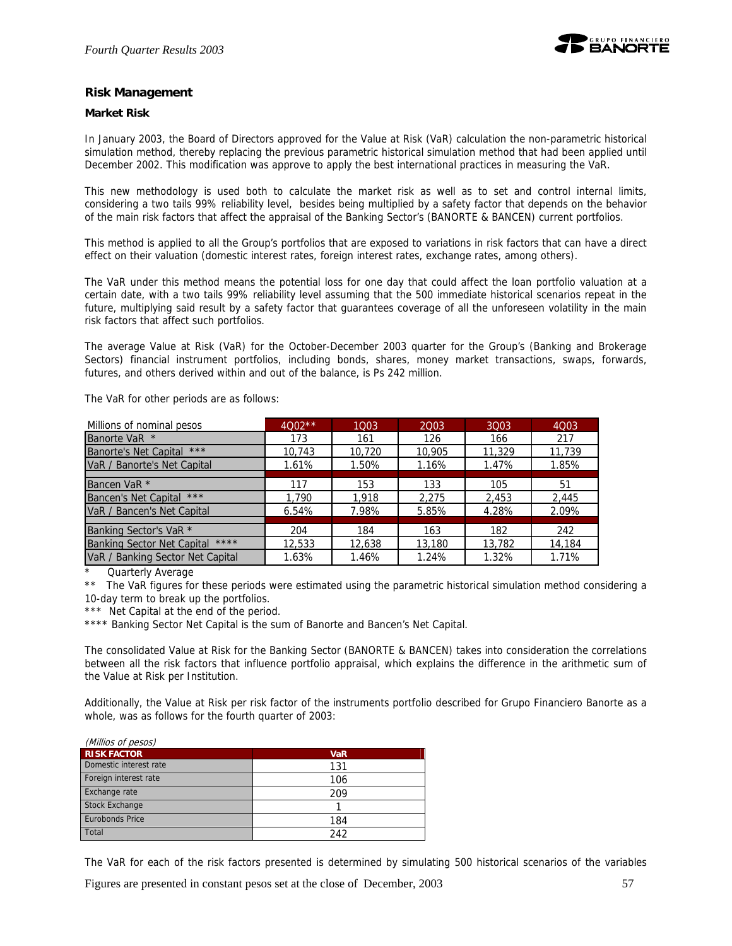

#### **Risk Management**

#### **Market Risk**

In January 2003, the Board of Directors approved for the Value at Risk (VaR) calculation the non-parametric historical simulation method, thereby replacing the previous parametric historical simulation method that had been applied until December 2002. This modification was approve to apply the best international practices in measuring the VaR.

This new methodology is used both to calculate the market risk as well as to set and control internal limits, considering a two tails 99% reliability level, besides being multiplied by a safety factor that depends on the behavior of the main risk factors that affect the appraisal of the Banking Sector's (BANORTE & BANCEN) current portfolios.

This method is applied to all the Group's portfolios that are exposed to variations in risk factors that can have a direct effect on their valuation (domestic interest rates, foreign interest rates, exchange rates, among others).

The VaR under this method means the potential loss for one day that could affect the loan portfolio valuation at a certain date, with a two tails 99% reliability level assuming that the 500 immediate historical scenarios repeat in the future, multiplying said result by a safety factor that guarantees coverage of all the unforeseen volatility in the main risk factors that affect such portfolios.

The average Value at Risk (VaR) for the October-December 2003 quarter for the Group's (Banking and Brokerage Sectors) financial instrument portfolios, including bonds, shares, money market transactions, swaps, forwards, futures, and others derived within and out of the balance, is Ps 242 million.

The VaR for other periods are as follows:

| Millions of nominal pesos             | $4002**$ | 1003   | 2003   | 3003   | 4Q03   |
|---------------------------------------|----------|--------|--------|--------|--------|
| Banorte VaR *                         | 173      | 161    | 126    | 166    | 217    |
| $***$<br><b>Banorte's Net Capital</b> | 10,743   | 10,720 | 10.905 | 11,329 | 11.739 |
| VaR / Banorte's Net Capital           | 1.61%    | 1.50%  | 1.16%  | 1.47%  | 1.85%  |
|                                       |          |        |        |        |        |
| Bancen VaR <sup>*</sup>               | 117      | 153    | 133    | 105    | 51     |
| $***$<br><b>Bancen's Net Capital</b>  | 1.790    | 1,918  | 2.275  | 2,453  | 2.445  |
| VaR / Bancen's Net Capital            | 6.54%    | 7.98%  | 5.85%  | 4.28%  | 2.09%  |
|                                       |          |        |        |        |        |
| Banking Sector's VaR <sup>*</sup>     | 204      | 184    | 163    | 182    | 242    |
| Banking Sector Net Capital ****       | 12,533   | 12,638 | 13,180 | 13,782 | 14,184 |
| VaR / Banking Sector Net Capital      | 1.63%    | 1.46%  | 1.24%  | 1.32%  | 1.71%  |

Quarterly Average

The VaR figures for these periods were estimated using the parametric historical simulation method considering a 10-day term to break up the portfolios.

\*\*\* Net Capital at the end of the period.

\*\*\*\* Banking Sector Net Capital is the sum of Banorte and Bancen's Net Capital.

The consolidated Value at Risk for the Banking Sector (BANORTE & BANCEN) takes into consideration the correlations between all the risk factors that influence portfolio appraisal, which explains the difference in the arithmetic sum of the Value at Risk per Institution.

Additionally, the Value at Risk per risk factor of the instruments portfolio described for Grupo Financiero Banorte as a whole, was as follows for the fourth quarter of 2003:

| (Millios of pesos)     |            |
|------------------------|------------|
| <b>RISK FACTOR</b>     | <b>VaR</b> |
| Domestic interest rate | 131        |
| Foreign interest rate  | 106        |
| Exchange rate          | 209        |
| Stock Exchange         |            |
| <b>Eurobonds Price</b> | 184        |
| Total                  | 242        |

The VaR for each of the risk factors presented is determined by simulating 500 historical scenarios of the variables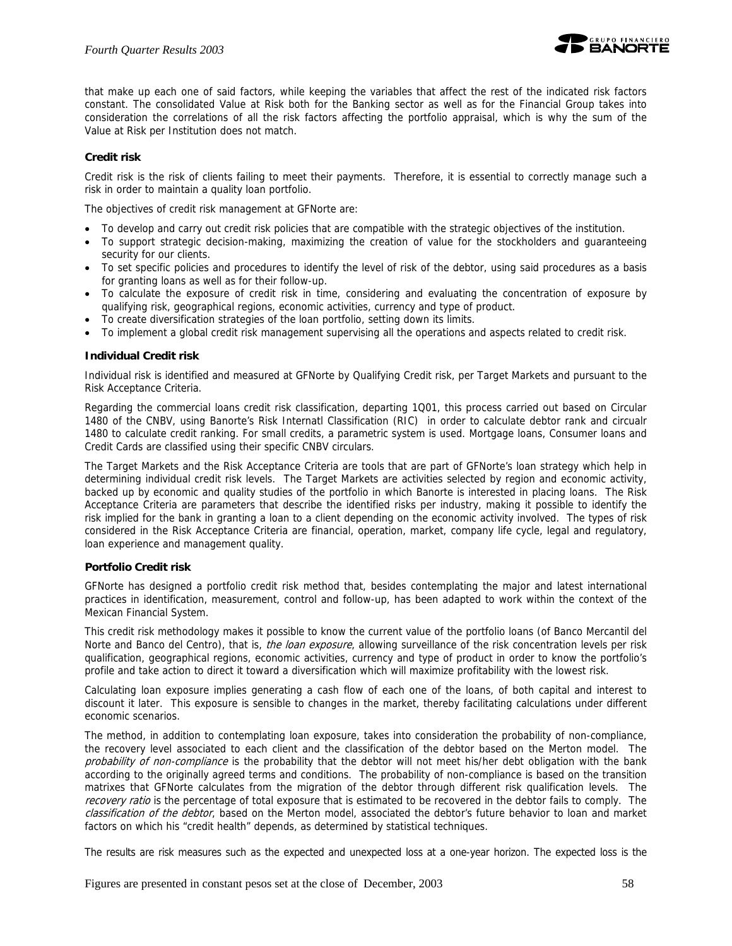

that make up each one of said factors, while keeping the variables that affect the rest of the indicated risk factors constant. The consolidated Value at Risk both for the Banking sector as well as for the Financial Group takes into consideration the correlations of all the risk factors affecting the portfolio appraisal, which is why the sum of the Value at Risk per Institution does not match.

#### **Credit risk**

Credit risk is the risk of clients failing to meet their payments. Therefore, it is essential to correctly manage such a risk in order to maintain a quality loan portfolio.

The objectives of credit risk management at GFNorte are:

- To develop and carry out credit risk policies that are compatible with the strategic objectives of the institution.
- To support strategic decision-making, maximizing the creation of value for the stockholders and guaranteeing security for our clients.
- To set specific policies and procedures to identify the level of risk of the debtor, using said procedures as a basis for granting loans as well as for their follow-up.
- To calculate the exposure of credit risk in time, considering and evaluating the concentration of exposure by qualifying risk, geographical regions, economic activities, currency and type of product.
- To create diversification strategies of the loan portfolio, setting down its limits.
- To implement a global credit risk management supervising all the operations and aspects related to credit risk.

#### **Individual Credit risk**

Individual risk is identified and measured at GFNorte by Qualifying Credit risk, per Target Markets and pursuant to the Risk Acceptance Criteria.

Regarding the commercial loans credit risk classification, departing 1Q01, this process carried out based on Circular 1480 of the CNBV, using Banorte's Risk Internatl Classification (RIC) in order to calculate debtor rank and circualr 1480 to calculate credit ranking. For small credits, a parametric system is used. Mortgage loans, Consumer loans and Credit Cards are classified using their specific CNBV circulars.

The Target Markets and the Risk Acceptance Criteria are tools that are part of GFNorte's loan strategy which help in determining individual credit risk levels. The Target Markets are activities selected by region and economic activity, backed up by economic and quality studies of the portfolio in which Banorte is interested in placing loans. The Risk Acceptance Criteria are parameters that describe the identified risks per industry, making it possible to identify the risk implied for the bank in granting a loan to a client depending on the economic activity involved. The types of risk considered in the Risk Acceptance Criteria are financial, operation, market, company life cycle, legal and regulatory, loan experience and management quality.

#### **Portfolio Credit risk**

GFNorte has designed a portfolio credit risk method that, besides contemplating the major and latest international practices in identification, measurement, control and follow-up, has been adapted to work within the context of the Mexican Financial System.

This credit risk methodology makes it possible to know the current value of the portfolio loans (of Banco Mercantil del Norte and Banco del Centro), that is, the loan exposure, allowing surveillance of the risk concentration levels per risk qualification, geographical regions, economic activities, currency and type of product in order to know the portfolio's profile and take action to direct it toward a diversification which will maximize profitability with the lowest risk.

Calculating loan exposure implies generating a cash flow of each one of the loans, of both capital and interest to discount it later. This exposure is sensible to changes in the market, thereby facilitating calculations under different economic scenarios.

The method, in addition to contemplating loan exposure, takes into consideration the probability of non-compliance, the recovery level associated to each client and the classification of the debtor based on the Merton model. The probability of non-compliance is the probability that the debtor will not meet his/her debt obligation with the bank according to the originally agreed terms and conditions. The probability of non-compliance is based on the transition matrixes that GFNorte calculates from the migration of the debtor through different risk qualification levels. The recovery ratio is the percentage of total exposure that is estimated to be recovered in the debtor fails to comply. The classification of the debtor, based on the Merton model, associated the debtor's future behavior to loan and market factors on which his "credit health" depends, as determined by statistical techniques.

The results are risk measures such as the expected and unexpected loss at a one-year horizon. The expected loss is the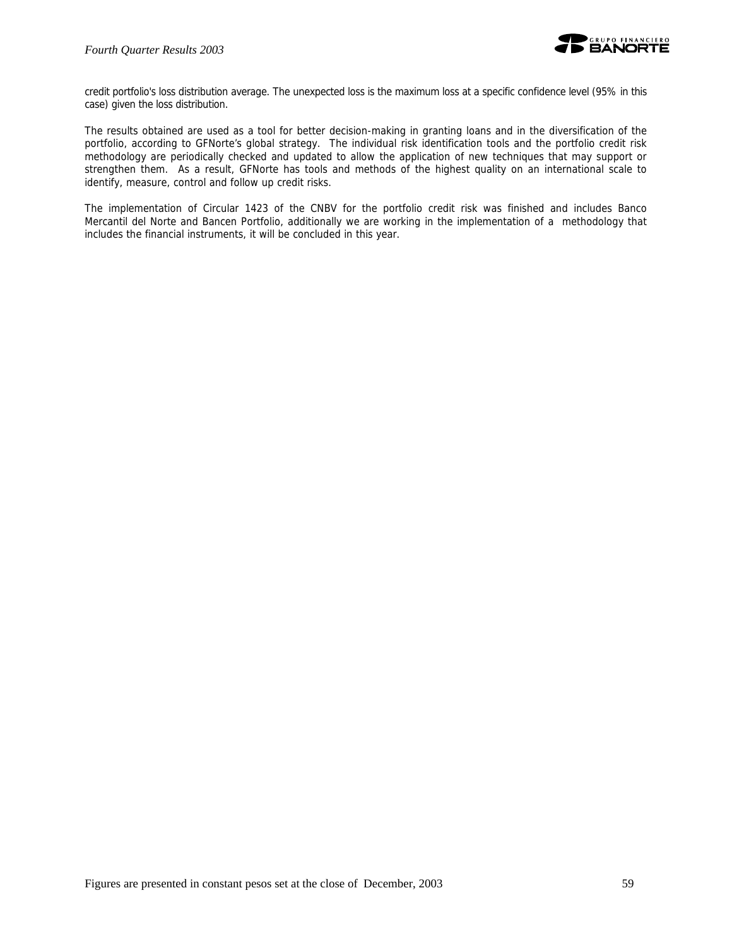

credit portfolio's loss distribution average. The unexpected loss is the maximum loss at a specific confidence level (95% in this case) given the loss distribution.

The results obtained are used as a tool for better decision-making in granting loans and in the diversification of the portfolio, according to GFNorte's global strategy. The individual risk identification tools and the portfolio credit risk methodology are periodically checked and updated to allow the application of new techniques that may support or strengthen them. As a result, GFNorte has tools and methods of the highest quality on an international scale to identify, measure, control and follow up credit risks.

The implementation of Circular 1423 of the CNBV for the portfolio credit risk was finished and includes Banco Mercantil del Norte and Bancen Portfolio, additionally we are working in the implementation of a methodology that includes the financial instruments, it will be concluded in this year.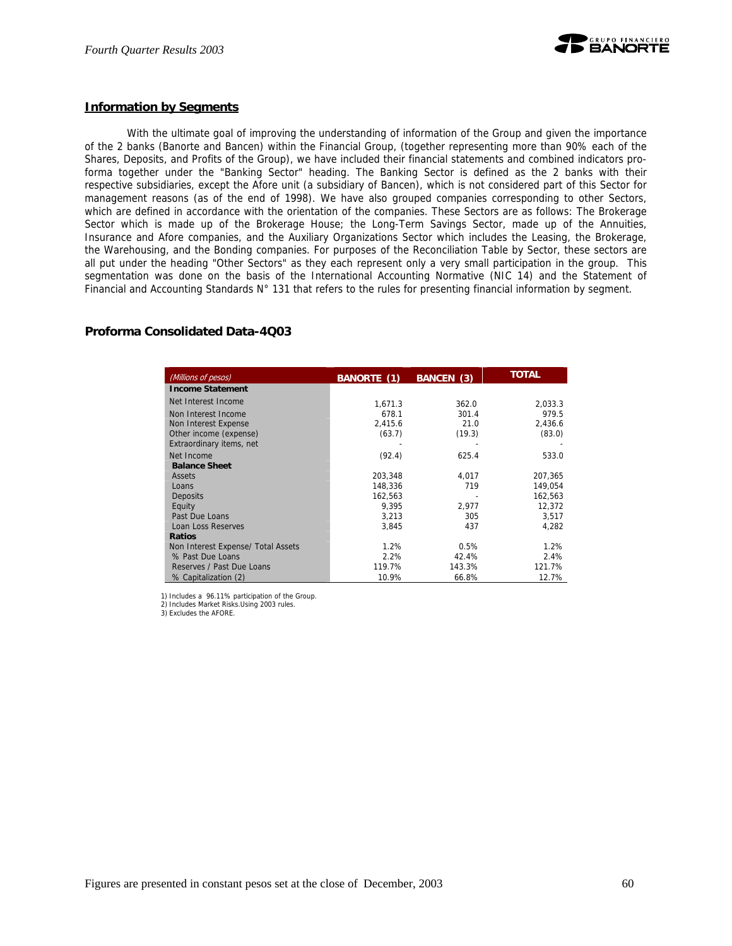

#### **Information by Segments**

With the ultimate goal of improving the understanding of information of the Group and given the importance of the 2 banks (Banorte and Bancen) within the Financial Group, (together representing more than 90% each of the Shares, Deposits, and Profits of the Group), we have included their financial statements and combined indicators proforma together under the "Banking Sector" heading. The Banking Sector is defined as the 2 banks with their respective subsidiaries, except the Afore unit (a subsidiary of Bancen), which is not considered part of this Sector for management reasons (as of the end of 1998). We have also grouped companies corresponding to other Sectors, which are defined in accordance with the orientation of the companies. These Sectors are as follows: The Brokerage Sector which is made up of the Brokerage House; the Long-Term Savings Sector, made up of the Annuities, Insurance and Afore companies, and the Auxiliary Organizations Sector which includes the Leasing, the Brokerage, the Warehousing, and the Bonding companies. For purposes of the Reconciliation Table by Sector, these sectors are all put under the heading "Other Sectors" as they each represent only a very small participation in the group. This segmentation was done on the basis of the International Accounting Normative (NIC 14) and the Statement of Financial and Accounting Standards N° 131 that refers to the rules for presenting financial information by segment.

#### **Proforma Consolidated Data-4Q03**

| (Millions of pesos)                | <b>BANORTE (1)</b> | <b>BANCEN (3)</b> | <b>TOTAL</b> |
|------------------------------------|--------------------|-------------------|--------------|
| <b>Income Statement</b>            |                    |                   |              |
| Net Interest Income                | 1,671.3            | 362.0             | 2,033.3      |
| Non Interest Income                | 678.1              | 301.4             | 979.5        |
| Non Interest Expense               | 2,415.6            | 21.0              | 2,436.6      |
| Other income (expense)             | (63.7)             | (19.3)            | (83.0)       |
| Extraordinary items, net           |                    |                   |              |
| Net Income                         | (92.4)             | 625.4             | 533.0        |
| <b>Balance Sheet</b>               |                    |                   |              |
| Assets                             | 203.348            | 4.017             | 207.365      |
| Loans                              | 148,336            | 719               | 149,054      |
| Deposits                           | 162,563            |                   | 162,563      |
| Equity                             | 9.395              | 2.977             | 12.372       |
| Past Due Loans                     | 3,213              | 305               | 3,517        |
| Loan Loss Reserves                 | 3,845              | 437               | 4,282        |
| <b>Ratios</b>                      |                    |                   |              |
| Non Interest Expense/ Total Assets | 1.2%               | 0.5%              | 1.2%         |
| % Past Due Loans                   | 2.2%               | 42.4%             | 2.4%         |
| Reserves / Past Due Loans          | 119.7%             | 143.3%            | 121.7%       |
| % Capitalization (2)               | 10.9%              | 66.8%             | 12.7%        |

1) Includes a 96.11% participation of the Group.

2) Includes Market Risks.Using 2003 rules. 3) Excludes the AFORE.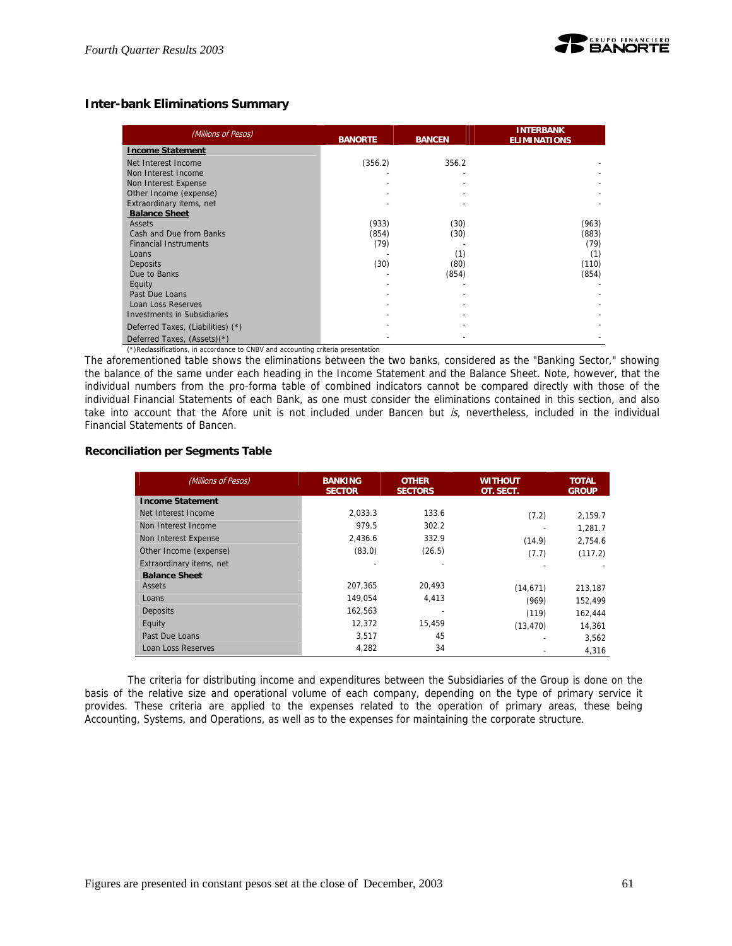## **Inter-bank Eliminations Summary**

| (Millions of Pesos)                | <b>BANORTE</b> | <b>BANCEN</b> | <b>INTERBANK</b><br><b>ELIMINATIONS</b> |  |
|------------------------------------|----------------|---------------|-----------------------------------------|--|
| <b>Income Statement</b>            |                |               |                                         |  |
| Net Interest Income                | (356.2)        | 356.2         |                                         |  |
| Non Interest Income                |                |               |                                         |  |
| Non Interest Expense               |                |               |                                         |  |
| Other Income (expense)             |                |               |                                         |  |
| Extraordinary items, net           |                |               |                                         |  |
| <b>Balance Sheet</b>               |                |               |                                         |  |
| Assets                             | (933)          | (30)          | (963)                                   |  |
| Cash and Due from Banks            | (854)          | (30)          | (883)                                   |  |
| <b>Financial Instruments</b>       | (79)           |               | (79)                                    |  |
| Loans                              |                | (1)           | (1)                                     |  |
| <b>Deposits</b>                    | (30)           | (80)          | (110)                                   |  |
| Due to Banks                       |                | (854)         | (854)                                   |  |
| Equity                             |                |               |                                         |  |
| Past Due Loans                     |                |               |                                         |  |
| Loan Loss Reserves                 |                |               |                                         |  |
| <b>Investments in Subsidiaries</b> |                |               |                                         |  |
| Deferred Taxes, (Liabilities) (*)  |                |               |                                         |  |
| Deferred Taxes, (Assets)(*)        |                |               |                                         |  |

(\*)Reclassifications, in accordance to CNBV and accounting criteria presentation

The aforementioned table shows the eliminations between the two banks, considered as the "Banking Sector," showing the balance of the same under each heading in the Income Statement and the Balance Sheet. Note, however, that the individual numbers from the pro-forma table of combined indicators cannot be compared directly with those of the individual Financial Statements of each Bank, as one must consider the eliminations contained in this section, and also take into account that the Afore unit is not included under Bancen but  $is$ , nevertheless, included in the individual Financial Statements of Bancen.

#### **Reconciliation per Segments Table**

| (Millions of Pesos)      | <b>BANKING</b><br><b>SECTOR</b> | <b>OTHER</b><br><b>SECTORS</b> | <b>WITHOUT</b><br>OT. SECT. | <b>TOTAL</b><br><b>GROUP</b> |
|--------------------------|---------------------------------|--------------------------------|-----------------------------|------------------------------|
| <b>Income Statement</b>  |                                 |                                |                             |                              |
| Net Interest Income      | 2.033.3                         | 133.6                          | (7.2)                       | 2,159.7                      |
| Non Interest Income      | 979.5                           | 302.2                          |                             | 1,281.7                      |
| Non Interest Expense     | 2,436.6                         | 332.9                          | (14.9)                      | 2,754.6                      |
| Other Income (expense)   | (83.0)                          | (26.5)                         | (7.7)                       | (117.2)                      |
| Extraordinary items, net |                                 |                                |                             |                              |
| <b>Balance Sheet</b>     |                                 |                                |                             |                              |
| <b>Assets</b>            | 207.365                         | 20.493                         | (14, 671)                   | 213,187                      |
| Loans                    | 149.054                         | 4,413                          | (969)                       | 152.499                      |
| <b>Deposits</b>          | 162,563                         | -                              | (119)                       | 162,444                      |
| Equity                   | 12,372                          | 15.459                         | (13, 470)                   | 14,361                       |
| Past Due Loans           | 3,517                           | 45                             |                             | 3,562                        |
| Loan Loss Reserves       | 4,282                           | 34                             |                             | 4,316                        |

The criteria for distributing income and expenditures between the Subsidiaries of the Group is done on the basis of the relative size and operational volume of each company, depending on the type of primary service it provides. These criteria are applied to the expenses related to the operation of primary areas, these being Accounting, Systems, and Operations, as well as to the expenses for maintaining the corporate structure.